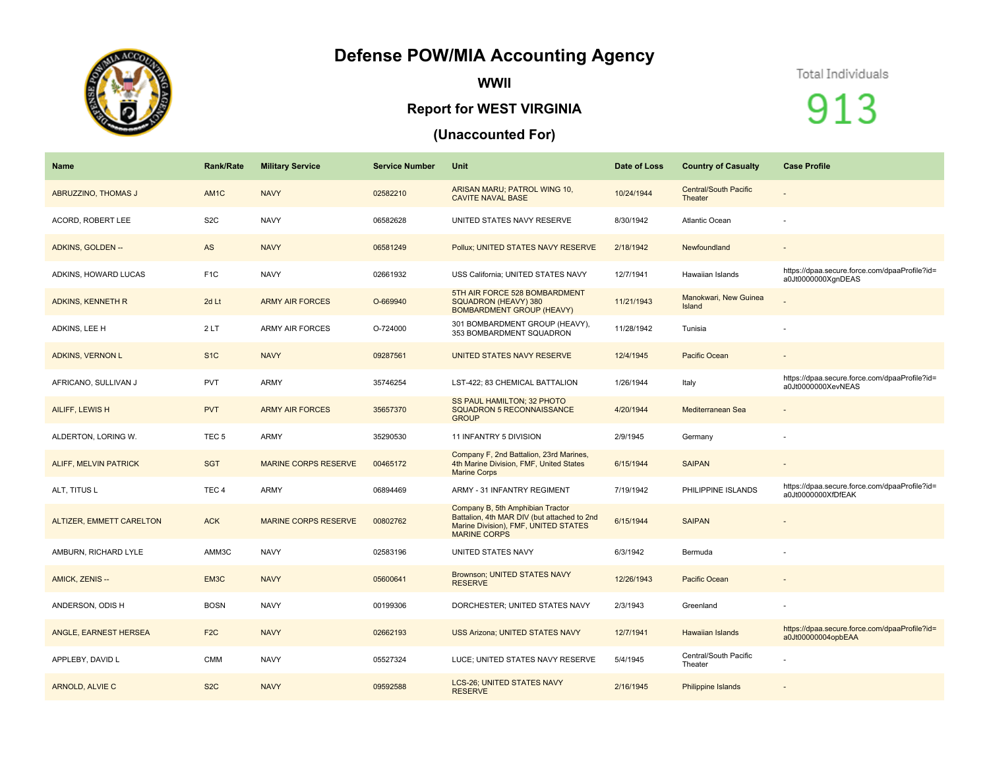## **Defense POW/MIA Accounting Agency**



**WWII**

## **Report for WEST VIRGINIA**

## **(Unaccounted For)**

## Total Individuals

913

| Name                         | <b>Rank/Rate</b>  | <b>Military Service</b>     | <b>Service Number</b> | <b>Unit</b>                                                                                                                                    | Date of Loss | <b>Country of Casualty</b>              | <b>Case Profile</b>                                                 |
|------------------------------|-------------------|-----------------------------|-----------------------|------------------------------------------------------------------------------------------------------------------------------------------------|--------------|-----------------------------------------|---------------------------------------------------------------------|
| <b>ABRUZZINO, THOMAS J</b>   | AM <sub>1</sub> C | <b>NAVY</b>                 | 02582210              | ARISAN MARU; PATROL WING 10,<br><b>CAVITE NAVAL BASE</b>                                                                                       | 10/24/1944   | <b>Central/South Pacific</b><br>Theater |                                                                     |
| ACORD, ROBERT LEE            | S <sub>2</sub> C  | <b>NAVY</b>                 | 06582628              | UNITED STATES NAVY RESERVE                                                                                                                     | 8/30/1942    | Atlantic Ocean                          |                                                                     |
| ADKINS, GOLDEN --            | AS                | <b>NAVY</b>                 | 06581249              | Pollux; UNITED STATES NAVY RESERVE                                                                                                             | 2/18/1942    | Newfoundland                            | $\rightarrow$                                                       |
| ADKINS, HOWARD LUCAS         | F <sub>1</sub> C  | <b>NAVY</b>                 | 02661932              | USS California; UNITED STATES NAVY                                                                                                             | 12/7/1941    | Hawaiian Islands                        | https://dpaa.secure.force.com/dpaaProfile?id=<br>a0Jt0000000XqnDEAS |
| <b>ADKINS, KENNETH R</b>     | 2d Lt             | <b>ARMY AIR FORCES</b>      | O-669940              | 5TH AIR FORCE 528 BOMBARDMENT<br>SQUADRON (HEAVY) 380<br><b>BOMBARDMENT GROUP (HEAVY)</b>                                                      | 11/21/1943   | Manokwari, New Guinea<br>Island         |                                                                     |
| ADKINS, LEE H                | 2LT               | <b>ARMY AIR FORCES</b>      | O-724000              | 301 BOMBARDMENT GROUP (HEAVY),<br>353 BOMBARDMENT SQUADRON                                                                                     | 11/28/1942   | Tunisia                                 |                                                                     |
| <b>ADKINS, VERNON L</b>      | S <sub>1</sub> C  | <b>NAVY</b>                 | 09287561              | UNITED STATES NAVY RESERVE                                                                                                                     | 12/4/1945    | Pacific Ocean                           | $\overline{\phantom{a}}$                                            |
| AFRICANO, SULLIVAN J         | <b>PVT</b>        | <b>ARMY</b>                 | 35746254              | LST-422; 83 CHEMICAL BATTALION                                                                                                                 | 1/26/1944    | Italy                                   | https://dpaa.secure.force.com/dpaaProfile?id=<br>a0Jt0000000XevNEAS |
| AILIFF, LEWIS H              | <b>PVT</b>        | <b>ARMY AIR FORCES</b>      | 35657370              | SS PAUL HAMILTON; 32 PHOTO<br><b>SQUADRON 5 RECONNAISSANCE</b><br><b>GROUP</b>                                                                 | 4/20/1944    | Mediterranean Sea                       | $\overline{\phantom{a}}$                                            |
| ALDERTON, LORING W.          | TEC <sub>5</sub>  | <b>ARMY</b>                 | 35290530              | 11 INFANTRY 5 DIVISION                                                                                                                         | 2/9/1945     | Germany                                 |                                                                     |
| <b>ALIFF, MELVIN PATRICK</b> | <b>SGT</b>        | <b>MARINE CORPS RESERVE</b> | 00465172              | Company F, 2nd Battalion, 23rd Marines,<br>4th Marine Division, FMF, United States<br><b>Marine Corps</b>                                      | 6/15/1944    | <b>SAIPAN</b>                           | $\overline{\phantom{a}}$                                            |
| ALT, TITUS L                 | TEC <sub>4</sub>  | <b>ARMY</b>                 | 06894469              | ARMY - 31 INFANTRY REGIMENT                                                                                                                    | 7/19/1942    | PHILIPPINE ISLANDS                      | https://dpaa.secure.force.com/dpaaProfile?id=<br>a0Jt0000000XfDfEAK |
| ALTIZER, EMMETT CARELTON     | <b>ACK</b>        | <b>MARINE CORPS RESERVE</b> | 00802762              | Company B, 5th Amphibian Tractor<br>Battalion, 4th MAR DIV (but attached to 2nd<br>Marine Division), FMF, UNITED STATES<br><b>MARINE CORPS</b> | 6/15/1944    | <b>SAIPAN</b>                           |                                                                     |
| AMBURN, RICHARD LYLE         | AMM3C             | <b>NAVY</b>                 | 02583196              | UNITED STATES NAVY                                                                                                                             | 6/3/1942     | Bermuda                                 |                                                                     |
| AMICK, ZENIS --              | EM3C              | <b>NAVY</b>                 | 05600641              | Brownson; UNITED STATES NAVY<br><b>RESERVE</b>                                                                                                 | 12/26/1943   | <b>Pacific Ocean</b>                    |                                                                     |
| ANDERSON, ODIS H             | <b>BOSN</b>       | <b>NAVY</b>                 | 00199306              | DORCHESTER; UNITED STATES NAVY                                                                                                                 | 2/3/1943     | Greenland                               |                                                                     |
| ANGLE, EARNEST HERSEA        | F <sub>2C</sub>   | <b>NAVY</b>                 | 02662193              | <b>USS Arizona; UNITED STATES NAVY</b>                                                                                                         | 12/7/1941    | <b>Hawaiian Islands</b>                 | https://dpaa.secure.force.com/dpaaProfile?id=<br>a0Jt00000004opbEAA |
| APPLEBY, DAVID L             | <b>CMM</b>        | <b>NAVY</b>                 | 05527324              | LUCE; UNITED STATES NAVY RESERVE                                                                                                               | 5/4/1945     | Central/South Pacific<br>Theater        |                                                                     |
| ARNOLD, ALVIE C              | S <sub>2</sub> C  | <b>NAVY</b>                 | 09592588              | <b>LCS-26; UNITED STATES NAVY</b><br><b>RESERVE</b>                                                                                            | 2/16/1945    | Philippine Islands                      |                                                                     |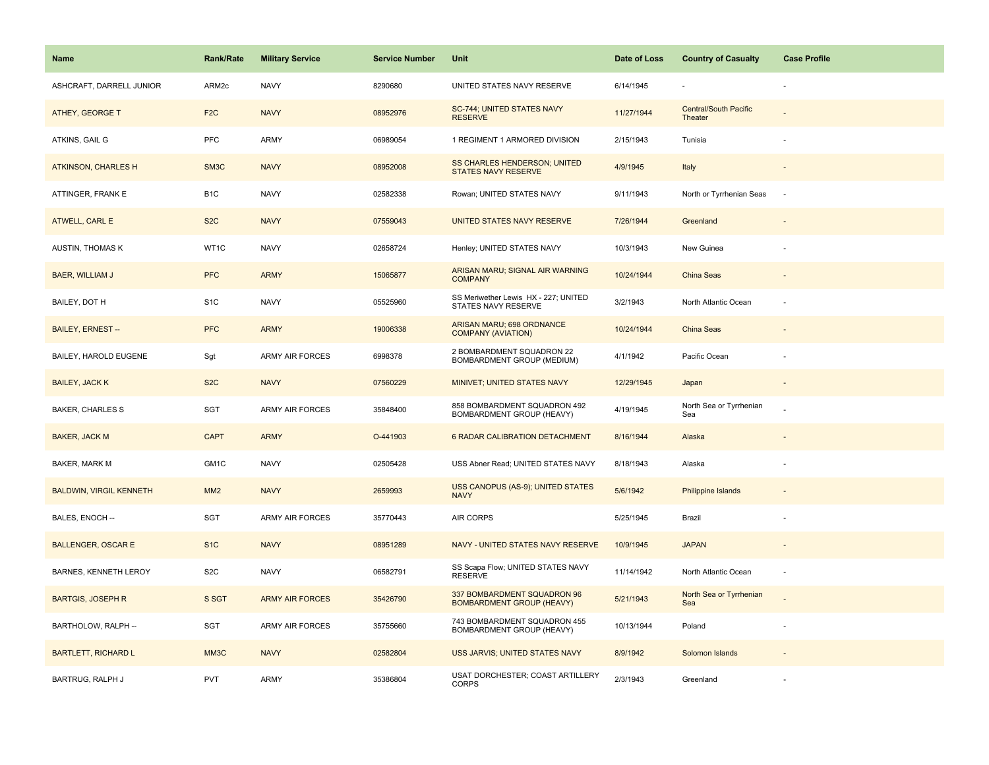| <b>Name</b>                    | <b>Rank/Rate</b> | <b>Military Service</b> | <b>Service Number</b> | Unit                                                            | Date of Loss | <b>Country of Casualty</b>              | <b>Case Profile</b>      |
|--------------------------------|------------------|-------------------------|-----------------------|-----------------------------------------------------------------|--------------|-----------------------------------------|--------------------------|
| ASHCRAFT, DARRELL JUNIOR       | ARM2c            | <b>NAVY</b>             | 8290680               | UNITED STATES NAVY RESERVE                                      | 6/14/1945    |                                         |                          |
| <b>ATHEY, GEORGE T</b>         | F <sub>2</sub> C | <b>NAVY</b>             | 08952976              | <b>SC-744; UNITED STATES NAVY</b><br><b>RESERVE</b>             | 11/27/1944   | <b>Central/South Pacific</b><br>Theater |                          |
| ATKINS, GAIL G                 | PFC              | <b>ARMY</b>             | 06989054              | 1 REGIMENT 1 ARMORED DIVISION                                   | 2/15/1943    | Tunisia                                 |                          |
| <b>ATKINSON, CHARLES H</b>     | SM3C             | <b>NAVY</b>             | 08952008              | SS CHARLES HENDERSON; UNITED<br><b>STATES NAVY RESERVE</b>      | 4/9/1945     | Italy                                   |                          |
| ATTINGER, FRANK E              | B <sub>1</sub> C | <b>NAVY</b>             | 02582338              | Rowan; UNITED STATES NAVY                                       | 9/11/1943    | North or Tyrrhenian Seas                | ÷,                       |
| ATWELL, CARL E                 | S <sub>2</sub> C | <b>NAVY</b>             | 07559043              | UNITED STATES NAVY RESERVE                                      | 7/26/1944    | Greenland                               | $\overline{\phantom{a}}$ |
| AUSTIN, THOMAS K               | WT1C             | <b>NAVY</b>             | 02658724              | Henley; UNITED STATES NAVY                                      | 10/3/1943    | New Guinea                              | ÷                        |
| BAER, WILLIAM J                | <b>PFC</b>       | <b>ARMY</b>             | 15065877              | ARISAN MARU; SIGNAL AIR WARNING<br><b>COMPANY</b>               | 10/24/1944   | <b>China Seas</b>                       |                          |
| BAILEY, DOT H                  | S <sub>1</sub> C | <b>NAVY</b>             | 05525960              | SS Meriwether Lewis HX - 227; UNITED<br>STATES NAVY RESERVE     | 3/2/1943     | North Atlantic Ocean                    |                          |
| <b>BAILEY, ERNEST --</b>       | <b>PFC</b>       | <b>ARMY</b>             | 19006338              | ARISAN MARU; 698 ORDNANCE<br><b>COMPANY (AVIATION)</b>          | 10/24/1944   | <b>China Seas</b>                       |                          |
| BAILEY, HAROLD EUGENE          | Sgt              | <b>ARMY AIR FORCES</b>  | 6998378               | 2 BOMBARDMENT SQUADRON 22<br>BOMBARDMENT GROUP (MEDIUM)         | 4/1/1942     | Pacific Ocean                           |                          |
| <b>BAILEY, JACK K</b>          | S <sub>2</sub> C | <b>NAVY</b>             | 07560229              | MINIVET; UNITED STATES NAVY                                     | 12/29/1945   | Japan                                   | $\overline{\phantom{a}}$ |
| <b>BAKER, CHARLES S</b>        | SGT              | ARMY AIR FORCES         | 35848400              | 858 BOMBARDMENT SQUADRON 492<br>BOMBARDMENT GROUP (HEAVY)       | 4/19/1945    | North Sea or Tyrrhenian<br>Sea          |                          |
| <b>BAKER, JACK M</b>           | <b>CAPT</b>      | <b>ARMY</b>             | O-441903              | <b>6 RADAR CALIBRATION DETACHMENT</b>                           | 8/16/1944    | Alaska                                  |                          |
| <b>BAKER, MARK M</b>           | GM1C             | <b>NAVY</b>             | 02505428              | USS Abner Read; UNITED STATES NAVY                              | 8/18/1943    | Alaska                                  |                          |
| <b>BALDWIN, VIRGIL KENNETH</b> | MM2              | <b>NAVY</b>             | 2659993               | USS CANOPUS (AS-9); UNITED STATES<br><b>NAVY</b>                | 5/6/1942     | <b>Philippine Islands</b>               |                          |
| BALES, ENOCH --                | SGT              | <b>ARMY AIR FORCES</b>  | 35770443              | AIR CORPS                                                       | 5/25/1945    | Brazil                                  |                          |
| <b>BALLENGER, OSCAR E</b>      | S <sub>1</sub> C | <b>NAVY</b>             | 08951289              | NAVY - UNITED STATES NAVY RESERVE                               | 10/9/1945    | <b>JAPAN</b>                            |                          |
| BARNES, KENNETH LEROY          | S <sub>2</sub> C | <b>NAVY</b>             | 06582791              | SS Scapa Flow; UNITED STATES NAVY<br><b>RESERVE</b>             | 11/14/1942   | North Atlantic Ocean                    | $\sim$                   |
| <b>BARTGIS, JOSEPH R</b>       | S SGT            | <b>ARMY AIR FORCES</b>  | 35426790              | 337 BOMBARDMENT SQUADRON 96<br><b>BOMBARDMENT GROUP (HEAVY)</b> | 5/21/1943    | North Sea or Tyrrhenian<br>Sea          |                          |
| BARTHOLOW, RALPH --            | SGT              | ARMY AIR FORCES         | 35755660              | 743 BOMBARDMENT SQUADRON 455<br>BOMBARDMENT GROUP (HEAVY)       | 10/13/1944   | Poland                                  |                          |
| <b>BARTLETT, RICHARD L</b>     | MM3C             | <b>NAVY</b>             | 02582804              | USS JARVIS; UNITED STATES NAVY                                  | 8/9/1942     | Solomon Islands                         |                          |
| BARTRUG, RALPH J               | <b>PVT</b>       | <b>ARMY</b>             | 35386804              | USAT DORCHESTER; COAST ARTILLERY<br><b>CORPS</b>                | 2/3/1943     | Greenland                               |                          |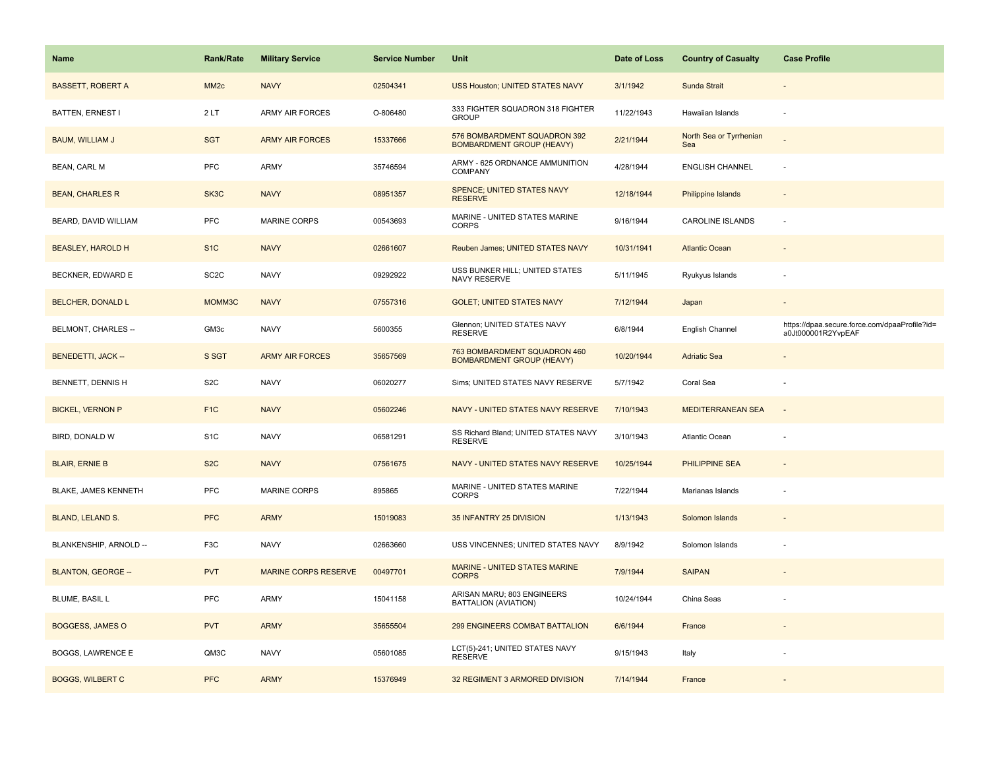| <b>Name</b>               | Rank/Rate         | <b>Military Service</b>     | <b>Service Number</b> | Unit                                                             | Date of Loss | <b>Country of Casualty</b>     | <b>Case Profile</b>                                                 |
|---------------------------|-------------------|-----------------------------|-----------------------|------------------------------------------------------------------|--------------|--------------------------------|---------------------------------------------------------------------|
| <b>BASSETT, ROBERT A</b>  | MM <sub>2c</sub>  | <b>NAVY</b>                 | 02504341              | USS Houston; UNITED STATES NAVY                                  | 3/1/1942     | Sunda Strait                   |                                                                     |
| BATTEN, ERNEST I          | 2LT               | <b>ARMY AIR FORCES</b>      | O-806480              | 333 FIGHTER SQUADRON 318 FIGHTER<br><b>GROUP</b>                 | 11/22/1943   | Hawaiian Islands               | $\sim$                                                              |
| <b>BAUM, WILLIAM J</b>    | <b>SGT</b>        | <b>ARMY AIR FORCES</b>      | 15337666              | 576 BOMBARDMENT SQUADRON 392<br><b>BOMBARDMENT GROUP (HEAVY)</b> | 2/21/1944    | North Sea or Tyrrhenian<br>Sea |                                                                     |
| <b>BEAN, CARL M</b>       | <b>PFC</b>        | ARMY                        | 35746594              | ARMY - 625 ORDNANCE AMMUNITION<br>COMPANY                        | 4/28/1944    | <b>ENGLISH CHANNEL</b>         | ÷,                                                                  |
| <b>BEAN, CHARLES R</b>    | SK3C              | <b>NAVY</b>                 | 08951357              | <b>SPENCE; UNITED STATES NAVY</b><br><b>RESERVE</b>              | 12/18/1944   | Philippine Islands             |                                                                     |
| BEARD, DAVID WILLIAM      | <b>PFC</b>        | MARINE CORPS                | 00543693              | MARINE - UNITED STATES MARINE<br><b>CORPS</b>                    | 9/16/1944    | <b>CAROLINE ISLANDS</b>        | ÷,                                                                  |
| <b>BEASLEY, HAROLD H</b>  | S <sub>1</sub> C  | <b>NAVY</b>                 | 02661607              | Reuben James; UNITED STATES NAVY                                 | 10/31/1941   | <b>Atlantic Ocean</b>          | $\sim$                                                              |
| BECKNER, EDWARD E         | SC <sub>2</sub> C | <b>NAVY</b>                 | 09292922              | USS BUNKER HILL; UNITED STATES<br>NAVY RESERVE                   | 5/11/1945    | Ryukyus Islands                |                                                                     |
| <b>BELCHER, DONALD L</b>  | MOMM3C            | <b>NAVY</b>                 | 07557316              | <b>GOLET; UNITED STATES NAVY</b>                                 | 7/12/1944    | Japan                          |                                                                     |
| BELMONT, CHARLES --       | GM3c              | <b>NAVY</b>                 | 5600355               | Glennon; UNITED STATES NAVY<br><b>RESERVE</b>                    | 6/8/1944     | English Channel                | https://dpaa.secure.force.com/dpaaProfile?id=<br>a0Jt000001R2YvpEAF |
| <b>BENEDETTI, JACK --</b> | S SGT             | <b>ARMY AIR FORCES</b>      | 35657569              | 763 BOMBARDMENT SQUADRON 460<br><b>BOMBARDMENT GROUP (HEAVY)</b> | 10/20/1944   | <b>Adriatic Sea</b>            |                                                                     |
| BENNETT, DENNIS H         | S <sub>2</sub> C  | <b>NAVY</b>                 | 06020277              | Sims; UNITED STATES NAVY RESERVE                                 | 5/7/1942     | Coral Sea                      |                                                                     |
| <b>BICKEL, VERNON P</b>   | F <sub>1C</sub>   | <b>NAVY</b>                 | 05602246              | NAVY - UNITED STATES NAVY RESERVE                                | 7/10/1943    | <b>MEDITERRANEAN SEA</b>       |                                                                     |
| BIRD, DONALD W            | S <sub>1</sub> C  | <b>NAVY</b>                 | 06581291              | SS Richard Bland; UNITED STATES NAVY<br><b>RESERVE</b>           | 3/10/1943    | Atlantic Ocean                 |                                                                     |
| <b>BLAIR, ERNIE B</b>     | S <sub>2</sub> C  | <b>NAVY</b>                 | 07561675              | NAVY - UNITED STATES NAVY RESERVE                                | 10/25/1944   | <b>PHILIPPINE SEA</b>          |                                                                     |
| BLAKE, JAMES KENNETH      | PFC               | MARINE CORPS                | 895865                | MARINE - UNITED STATES MARINE<br><b>CORPS</b>                    | 7/22/1944    | Marianas Islands               |                                                                     |
| BLAND, LELAND S.          | <b>PFC</b>        | <b>ARMY</b>                 | 15019083              | 35 INFANTRY 25 DIVISION                                          | 1/13/1943    | Solomon Islands                |                                                                     |
| BLANKENSHIP, ARNOLD --    | F <sub>3</sub> C  | <b>NAVY</b>                 | 02663660              | USS VINCENNES; UNITED STATES NAVY                                | 8/9/1942     | Solomon Islands                |                                                                     |
| <b>BLANTON, GEORGE --</b> | <b>PVT</b>        | <b>MARINE CORPS RESERVE</b> | 00497701              | MARINE - UNITED STATES MARINE<br><b>CORPS</b>                    | 7/9/1944     | <b>SAIPAN</b>                  |                                                                     |
| BLUME, BASIL L            | <b>PFC</b>        | <b>ARMY</b>                 | 15041158              | ARISAN MARU; 803 ENGINEERS<br>BATTALION (AVIATION)               | 10/24/1944   | China Seas                     |                                                                     |
| <b>BOGGESS, JAMES O</b>   | <b>PVT</b>        | <b>ARMY</b>                 | 35655504              | 299 ENGINEERS COMBAT BATTALION                                   | 6/6/1944     | France                         | $\overline{\phantom{a}}$                                            |
| <b>BOGGS, LAWRENCE E</b>  | QM3C              | <b>NAVY</b>                 | 05601085              | LCT(5)-241; UNITED STATES NAVY<br><b>RESERVE</b>                 | 9/15/1943    | Italy                          |                                                                     |
| <b>BOGGS, WILBERT C</b>   | <b>PFC</b>        | <b>ARMY</b>                 | 15376949              | 32 REGIMENT 3 ARMORED DIVISION                                   | 7/14/1944    | France                         |                                                                     |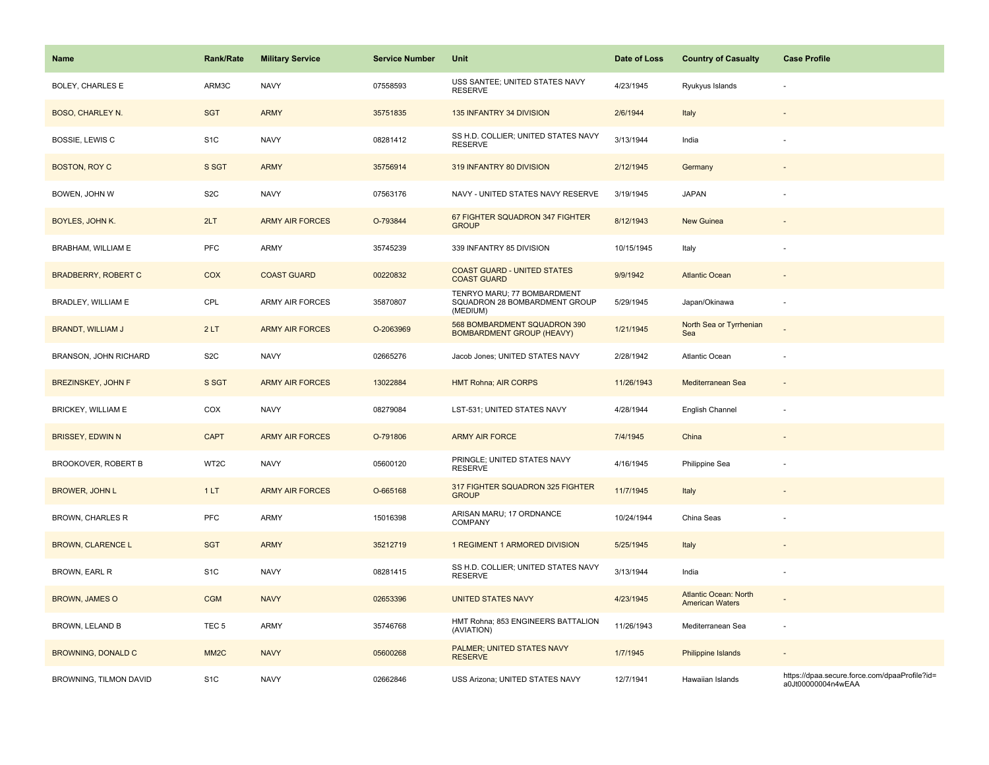| <b>Name</b>                | <b>Rank/Rate</b>  | <b>Military Service</b> | <b>Service Number</b> | Unit                                                                     | Date of Loss | <b>Country of Casualty</b>                             | <b>Case Profile</b>                                                 |
|----------------------------|-------------------|-------------------------|-----------------------|--------------------------------------------------------------------------|--------------|--------------------------------------------------------|---------------------------------------------------------------------|
| <b>BOLEY, CHARLES E</b>    | ARM3C             | <b>NAVY</b>             | 07558593              | USS SANTEE; UNITED STATES NAVY<br><b>RESERVE</b>                         | 4/23/1945    | Ryukyus Islands                                        |                                                                     |
| <b>BOSO, CHARLEY N.</b>    | <b>SGT</b>        | <b>ARMY</b>             | 35751835              | 135 INFANTRY 34 DIVISION                                                 | 2/6/1944     | Italy                                                  |                                                                     |
| BOSSIE, LEWIS C            | S <sub>1</sub> C  | <b>NAVY</b>             | 08281412              | SS H.D. COLLIER; UNITED STATES NAVY<br><b>RESERVE</b>                    | 3/13/1944    | India                                                  |                                                                     |
| <b>BOSTON, ROY C</b>       | S SGT             | <b>ARMY</b>             | 35756914              | 319 INFANTRY 80 DIVISION                                                 | 2/12/1945    | Germany                                                |                                                                     |
| BOWEN, JOHN W              | S <sub>2</sub> C  | <b>NAVY</b>             | 07563176              | NAVY - UNITED STATES NAVY RESERVE                                        | 3/19/1945    | <b>JAPAN</b>                                           |                                                                     |
| BOYLES, JOHN K.            | 2LT               | <b>ARMY AIR FORCES</b>  | O-793844              | 67 FIGHTER SQUADRON 347 FIGHTER<br><b>GROUP</b>                          | 8/12/1943    | <b>New Guinea</b>                                      |                                                                     |
| BRABHAM, WILLIAM E         | <b>PFC</b>        | <b>ARMY</b>             | 35745239              | 339 INFANTRY 85 DIVISION                                                 | 10/15/1945   | Italy                                                  |                                                                     |
| <b>BRADBERRY, ROBERT C</b> | COX               | <b>COAST GUARD</b>      | 00220832              | <b>COAST GUARD - UNITED STATES</b><br><b>COAST GUARD</b>                 | 9/9/1942     | <b>Atlantic Ocean</b>                                  |                                                                     |
| BRADLEY, WILLIAM E         | CPL               | <b>ARMY AIR FORCES</b>  | 35870807              | TENRYO MARU; 77 BOMBARDMENT<br>SQUADRON 28 BOMBARDMENT GROUP<br>(MEDIUM) | 5/29/1945    | Japan/Okinawa                                          |                                                                     |
| <b>BRANDT, WILLIAM J</b>   | 2LT               | <b>ARMY AIR FORCES</b>  | O-2063969             | 568 BOMBARDMENT SQUADRON 390<br><b>BOMBARDMENT GROUP (HEAVY)</b>         | 1/21/1945    | North Sea or Tyrrhenian<br>Sea                         |                                                                     |
| BRANSON, JOHN RICHARD      | S <sub>2</sub> C  | <b>NAVY</b>             | 02665276              | Jacob Jones; UNITED STATES NAVY                                          | 2/28/1942    | Atlantic Ocean                                         |                                                                     |
| <b>BREZINSKEY, JOHN F</b>  | S SGT             | <b>ARMY AIR FORCES</b>  | 13022884              | <b>HMT Rohna; AIR CORPS</b>                                              | 11/26/1943   | Mediterranean Sea                                      |                                                                     |
| BRICKEY, WILLIAM E         | COX               | <b>NAVY</b>             | 08279084              | LST-531; UNITED STATES NAVY                                              | 4/28/1944    | English Channel                                        |                                                                     |
| <b>BRISSEY, EDWIN N</b>    | <b>CAPT</b>       | <b>ARMY AIR FORCES</b>  | O-791806              | <b>ARMY AIR FORCE</b>                                                    | 7/4/1945     | China                                                  |                                                                     |
| BROOKOVER, ROBERT B        | WT2C              | <b>NAVY</b>             | 05600120              | PRINGLE; UNITED STATES NAVY<br><b>RESERVE</b>                            | 4/16/1945    | Philippine Sea                                         |                                                                     |
| <b>BROWER, JOHN L</b>      | 1LT               | <b>ARMY AIR FORCES</b>  | O-665168              | 317 FIGHTER SQUADRON 325 FIGHTER<br><b>GROUP</b>                         | 11/7/1945    | Italy                                                  |                                                                     |
| <b>BROWN, CHARLES R</b>    | PFC               | <b>ARMY</b>             | 15016398              | ARISAN MARU; 17 ORDNANCE<br><b>COMPANY</b>                               | 10/24/1944   | China Seas                                             |                                                                     |
| <b>BROWN, CLARENCE L</b>   | <b>SGT</b>        | <b>ARMY</b>             | 35212719              | 1 REGIMENT 1 ARMORED DIVISION                                            | 5/25/1945    | Italy                                                  |                                                                     |
| BROWN, EARL R              | S <sub>1</sub> C  | <b>NAVY</b>             | 08281415              | SS H.D. COLLIER; UNITED STATES NAVY<br><b>RESERVE</b>                    | 3/13/1944    | India                                                  |                                                                     |
| BROWN, JAMES O             | <b>CGM</b>        | <b>NAVY</b>             | 02653396              | <b>UNITED STATES NAVY</b>                                                | 4/23/1945    | <b>Atlantic Ocean: North</b><br><b>American Waters</b> |                                                                     |
| BROWN, LELAND B            | TEC <sub>5</sub>  | <b>ARMY</b>             | 35746768              | HMT Rohna; 853 ENGINEERS BATTALION<br>(AVIATION)                         | 11/26/1943   | Mediterranean Sea                                      | ÷,                                                                  |
| <b>BROWNING, DONALD C</b>  | MM <sub>2</sub> C | <b>NAVY</b>             | 05600268              | PALMER; UNITED STATES NAVY<br><b>RESERVE</b>                             | 1/7/1945     | <b>Philippine Islands</b>                              |                                                                     |
| BROWNING, TILMON DAVID     | S <sub>1</sub> C  | <b>NAVY</b>             | 02662846              | USS Arizona; UNITED STATES NAVY                                          | 12/7/1941    | Hawaiian Islands                                       | https://dpaa.secure.force.com/dpaaProfile?id=<br>a0Jt00000004n4wEAA |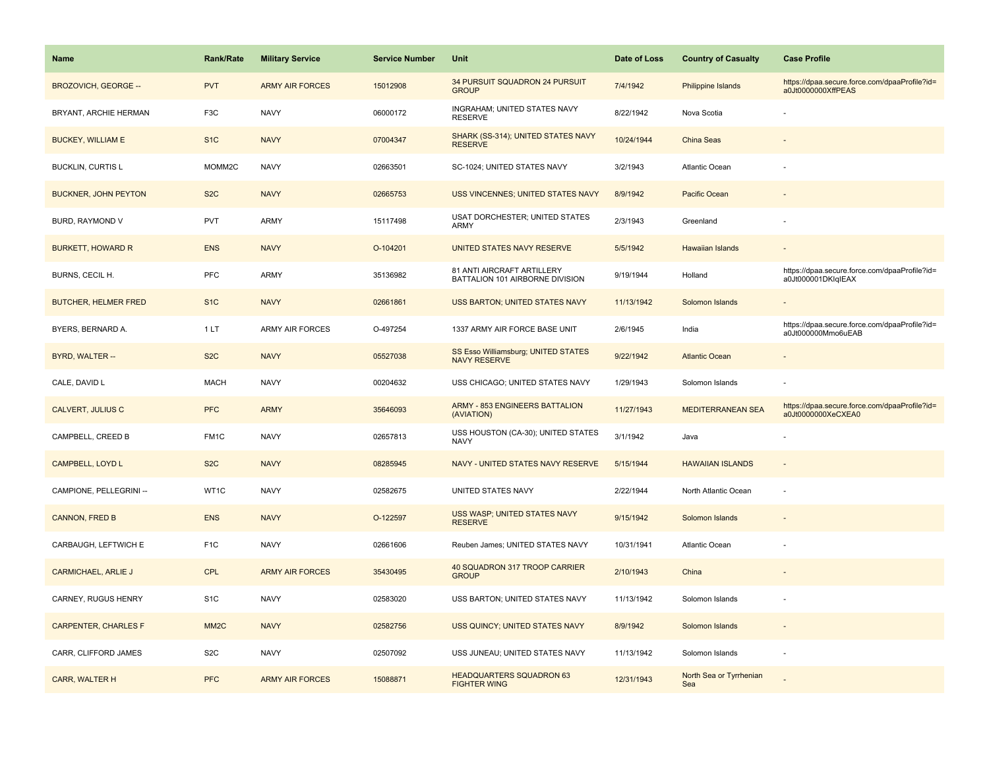| <b>Name</b>                 | Rank/Rate         | <b>Military Service</b> | <b>Service Number</b> | Unit                                                          | Date of Loss | <b>Country of Casualty</b>     | <b>Case Profile</b>                                                 |
|-----------------------------|-------------------|-------------------------|-----------------------|---------------------------------------------------------------|--------------|--------------------------------|---------------------------------------------------------------------|
| <b>BROZOVICH, GEORGE --</b> | <b>PVT</b>        | <b>ARMY AIR FORCES</b>  | 15012908              | 34 PURSUIT SQUADRON 24 PURSUIT<br><b>GROUP</b>                | 7/4/1942     | Philippine Islands             | https://dpaa.secure.force.com/dpaaProfile?id=<br>a0Jt0000000XffPEAS |
| BRYANT, ARCHIE HERMAN       | F <sub>3</sub> C  | <b>NAVY</b>             | 06000172              | INGRAHAM; UNITED STATES NAVY<br><b>RESERVE</b>                | 8/22/1942    | Nova Scotia                    |                                                                     |
| <b>BUCKEY, WILLIAM E</b>    | S <sub>1</sub> C  | <b>NAVY</b>             | 07004347              | SHARK (SS-314); UNITED STATES NAVY<br><b>RESERVE</b>          | 10/24/1944   | <b>China Seas</b>              |                                                                     |
| <b>BUCKLIN, CURTIS L</b>    | MOMM2C            | <b>NAVY</b>             | 02663501              | SC-1024; UNITED STATES NAVY                                   | 3/2/1943     | Atlantic Ocean                 |                                                                     |
| <b>BUCKNER, JOHN PEYTON</b> | S <sub>2</sub> C  | <b>NAVY</b>             | 02665753              | USS VINCENNES; UNITED STATES NAVY                             | 8/9/1942     | Pacific Ocean                  |                                                                     |
| BURD, RAYMOND V             | <b>PVT</b>        | ARMY                    | 15117498              | USAT DORCHESTER; UNITED STATES<br><b>ARMY</b>                 | 2/3/1943     | Greenland                      |                                                                     |
| <b>BURKETT, HOWARD R</b>    | <b>ENS</b>        | <b>NAVY</b>             | O-104201              | UNITED STATES NAVY RESERVE                                    | 5/5/1942     | Hawaiian Islands               | $\sim$                                                              |
| BURNS, CECIL H.             | PFC               | ARMY                    | 35136982              | 81 ANTI AIRCRAFT ARTILLERY<br>BATTALION 101 AIRBORNE DIVISION | 9/19/1944    | Holland                        | https://dpaa.secure.force.com/dpaaProfile?id=<br>a0Jt000001DKIqIEAX |
| <b>BUTCHER, HELMER FRED</b> | S <sub>1</sub> C  | <b>NAVY</b>             | 02661861              | USS BARTON; UNITED STATES NAVY                                | 11/13/1942   | Solomon Islands                |                                                                     |
| BYERS, BERNARD A.           | 1LT               | <b>ARMY AIR FORCES</b>  | O-497254              | 1337 ARMY AIR FORCE BASE UNIT                                 | 2/6/1945     | India                          | https://dpaa.secure.force.com/dpaaProfile?id=<br>a0Jt000000Mmo6uEAB |
| BYRD, WALTER --             | S <sub>2</sub> C  | <b>NAVY</b>             | 05527038              | SS Esso Williamsburg; UNITED STATES<br><b>NAVY RESERVE</b>    | 9/22/1942    | <b>Atlantic Ocean</b>          |                                                                     |
| CALE, DAVID L               | <b>MACH</b>       | <b>NAVY</b>             | 00204632              | USS CHICAGO; UNITED STATES NAVY                               | 1/29/1943    | Solomon Islands                |                                                                     |
| <b>CALVERT, JULIUS C</b>    | <b>PFC</b>        | <b>ARMY</b>             | 35646093              | ARMY - 853 ENGINEERS BATTALION<br>(AVIATION)                  | 11/27/1943   | <b>MEDITERRANEAN SEA</b>       | https://dpaa.secure.force.com/dpaaProfile?id=<br>a0Jt0000000XeCXEA0 |
| CAMPBELL, CREED B           | FM <sub>1</sub> C | <b>NAVY</b>             | 02657813              | USS HOUSTON (CA-30); UNITED STATES<br><b>NAVY</b>             | 3/1/1942     | Java                           |                                                                     |
| CAMPBELL, LOYD L            | S <sub>2</sub> C  | <b>NAVY</b>             | 08285945              | NAVY - UNITED STATES NAVY RESERVE                             | 5/15/1944    | <b>HAWAIIAN ISLANDS</b>        | $\sim$                                                              |
| CAMPIONE, PELLEGRINI --     | WT1C              | <b>NAVY</b>             | 02582675              | UNITED STATES NAVY                                            | 2/22/1944    | North Atlantic Ocean           | ÷,                                                                  |
| <b>CANNON, FRED B</b>       | <b>ENS</b>        | <b>NAVY</b>             | O-122597              | USS WASP; UNITED STATES NAVY<br><b>RESERVE</b>                | 9/15/1942    | Solomon Islands                |                                                                     |
| CARBAUGH, LEFTWICH E        | F <sub>1</sub> C  | <b>NAVY</b>             | 02661606              | Reuben James; UNITED STATES NAVY                              | 10/31/1941   | Atlantic Ocean                 |                                                                     |
| <b>CARMICHAEL, ARLIE J</b>  | <b>CPL</b>        | <b>ARMY AIR FORCES</b>  | 35430495              | 40 SQUADRON 317 TROOP CARRIER<br><b>GROUP</b>                 | 2/10/1943    | China                          |                                                                     |
| CARNEY, RUGUS HENRY         | S <sub>1</sub> C  | <b>NAVY</b>             | 02583020              | USS BARTON; UNITED STATES NAVY                                | 11/13/1942   | Solomon Islands                |                                                                     |
| <b>CARPENTER, CHARLES F</b> | MM <sub>2</sub> C | <b>NAVY</b>             | 02582756              | USS QUINCY; UNITED STATES NAVY                                | 8/9/1942     | Solomon Islands                | $\sim$                                                              |
| CARR, CLIFFORD JAMES        | S <sub>2</sub> C  | <b>NAVY</b>             | 02507092              | USS JUNEAU; UNITED STATES NAVY                                | 11/13/1942   | Solomon Islands                |                                                                     |
| CARR, WALTER H              | <b>PFC</b>        | <b>ARMY AIR FORCES</b>  | 15088871              | <b>HEADQUARTERS SQUADRON 63</b><br><b>FIGHTER WING</b>        | 12/31/1943   | North Sea or Tyrrhenian<br>Sea |                                                                     |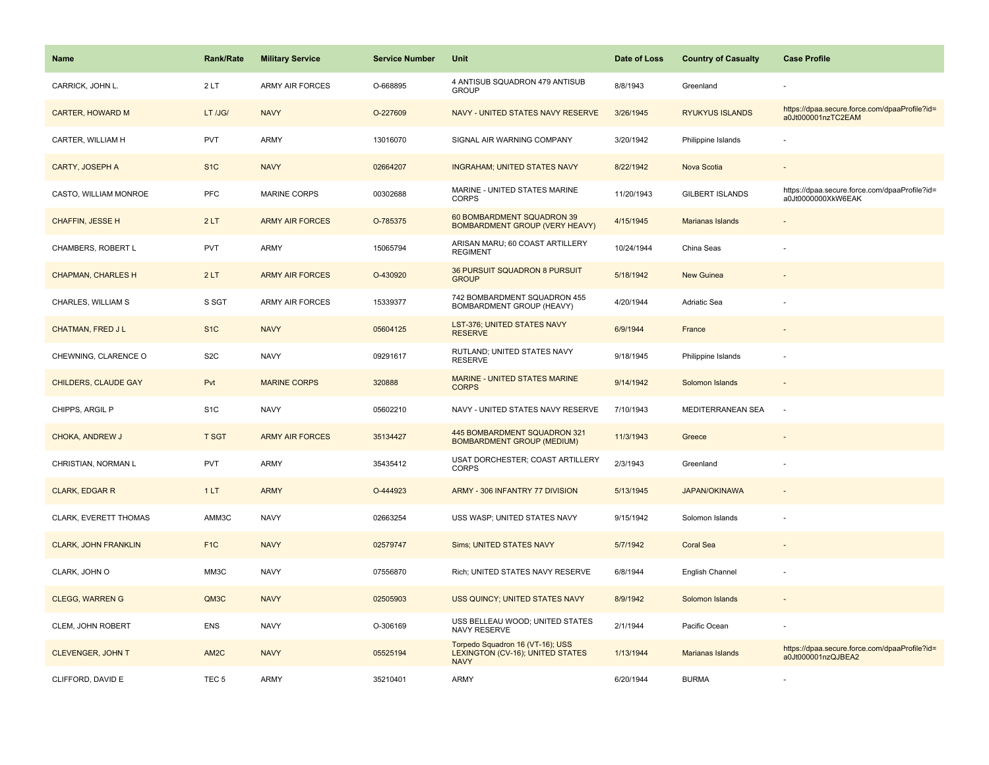| <b>Name</b>                 | <b>Rank/Rate</b>  | <b>Military Service</b> | <b>Service Number</b> | Unit                                                                                | Date of Loss | <b>Country of Casualty</b> | <b>Case Profile</b>                                                 |
|-----------------------------|-------------------|-------------------------|-----------------------|-------------------------------------------------------------------------------------|--------------|----------------------------|---------------------------------------------------------------------|
| CARRICK, JOHN L.            | 2LT               | <b>ARMY AIR FORCES</b>  | O-668895              | 4 ANTISUB SQUADRON 479 ANTISUB<br><b>GROUP</b>                                      | 8/8/1943     | Greenland                  |                                                                     |
| <b>CARTER, HOWARD M</b>     | LT /JG/           | <b>NAVY</b>             | O-227609              | NAVY - UNITED STATES NAVY RESERVE                                                   | 3/26/1945    | <b>RYUKYUS ISLANDS</b>     | https://dpaa.secure.force.com/dpaaProfile?id=<br>a0Jt000001nzTC2EAM |
| CARTER, WILLIAM H           | <b>PVT</b>        | ARMY                    | 13016070              | SIGNAL AIR WARNING COMPANY                                                          | 3/20/1942    | Philippine Islands         |                                                                     |
| <b>CARTY, JOSEPH A</b>      | S <sub>1</sub> C  | <b>NAVY</b>             | 02664207              | <b>INGRAHAM; UNITED STATES NAVY</b>                                                 | 8/22/1942    | Nova Scotia                |                                                                     |
| CASTO, WILLIAM MONROE       | <b>PFC</b>        | MARINE CORPS            | 00302688              | MARINE - UNITED STATES MARINE<br><b>CORPS</b>                                       | 11/20/1943   | <b>GILBERT ISLANDS</b>     | https://dpaa.secure.force.com/dpaaProfile?id=<br>a0Jt0000000XkW6EAK |
| CHAFFIN, JESSE H            | 2LT               | <b>ARMY AIR FORCES</b>  | O-785375              | 60 BOMBARDMENT SQUADRON 39<br><b>BOMBARDMENT GROUP (VERY HEAVY)</b>                 | 4/15/1945    | Marianas Islands           | $\overline{\phantom{a}}$                                            |
| CHAMBERS, ROBERT L          | PVT               | ARMY                    | 15065794              | ARISAN MARU; 60 COAST ARTILLERY<br><b>REGIMENT</b>                                  | 10/24/1944   | China Seas                 |                                                                     |
| <b>CHAPMAN, CHARLES H</b>   | 2LT               | <b>ARMY AIR FORCES</b>  | O-430920              | 36 PURSUIT SQUADRON 8 PURSUIT<br><b>GROUP</b>                                       | 5/18/1942    | <b>New Guinea</b>          |                                                                     |
| CHARLES, WILLIAM S          | S SGT             | <b>ARMY AIR FORCES</b>  | 15339377              | 742 BOMBARDMENT SQUADRON 455<br>BOMBARDMENT GROUP (HEAVY)                           | 4/20/1944    | Adriatic Sea               |                                                                     |
| <b>CHATMAN, FRED JL</b>     | S <sub>1</sub> C  | <b>NAVY</b>             | 05604125              | LST-376; UNITED STATES NAVY<br><b>RESERVE</b>                                       | 6/9/1944     | France                     |                                                                     |
| CHEWNING, CLARENCE O        | S <sub>2</sub> C  | <b>NAVY</b>             | 09291617              | RUTLAND: UNITED STATES NAVY<br><b>RESERVE</b>                                       | 9/18/1945    | Philippine Islands         |                                                                     |
| CHILDERS, CLAUDE GAY        | Pvt               | <b>MARINE CORPS</b>     | 320888                | MARINE - UNITED STATES MARINE<br><b>CORPS</b>                                       | 9/14/1942    | Solomon Islands            | $\overline{\phantom{a}}$                                            |
| CHIPPS, ARGIL P             | S <sub>1</sub> C  | <b>NAVY</b>             | 05602210              | NAVY - UNITED STATES NAVY RESERVE                                                   | 7/10/1943    | MEDITERRANEAN SEA          | ÷,                                                                  |
| <b>CHOKA, ANDREW J</b>      | <b>T SGT</b>      | <b>ARMY AIR FORCES</b>  | 35134427              | 445 BOMBARDMENT SQUADRON 321<br><b>BOMBARDMENT GROUP (MEDIUM)</b>                   | 11/3/1943    | Greece                     |                                                                     |
| CHRISTIAN, NORMAN L         | <b>PVT</b>        | ARMY                    | 35435412              | USAT DORCHESTER; COAST ARTILLERY<br><b>CORPS</b>                                    | 2/3/1943     | Greenland                  |                                                                     |
| <b>CLARK, EDGAR R</b>       | 1LT               | <b>ARMY</b>             | O-444923              | ARMY - 306 INFANTRY 77 DIVISION                                                     | 5/13/1945    | <b>JAPAN/OKINAWA</b>       |                                                                     |
| CLARK, EVERETT THOMAS       | AMM3C             | <b>NAVY</b>             | 02663254              | USS WASP; UNITED STATES NAVY                                                        | 9/15/1942    | Solomon Islands            |                                                                     |
| <b>CLARK, JOHN FRANKLIN</b> | F <sub>1</sub> C  | <b>NAVY</b>             | 02579747              | Sims; UNITED STATES NAVY                                                            | 5/7/1942     | <b>Coral Sea</b>           | $\overline{\phantom{a}}$                                            |
| CLARK, JOHN O               | MM3C              | <b>NAVY</b>             | 07556870              | Rich; UNITED STATES NAVY RESERVE                                                    | 6/8/1944     | English Channel            | ÷,                                                                  |
| <b>CLEGG, WARREN G</b>      | QM3C              | <b>NAVY</b>             | 02505903              | USS QUINCY; UNITED STATES NAVY                                                      | 8/9/1942     | Solomon Islands            |                                                                     |
| CLEM, JOHN ROBERT           | <b>ENS</b>        | <b>NAVY</b>             | O-306169              | USS BELLEAU WOOD; UNITED STATES<br><b>NAVY RESERVE</b>                              | 2/1/1944     | Pacific Ocean              |                                                                     |
| <b>CLEVENGER, JOHN T</b>    | AM <sub>2</sub> C | <b>NAVY</b>             | 05525194              | Torpedo Squadron 16 (VT-16); USS<br>LEXINGTON (CV-16); UNITED STATES<br><b>NAVY</b> | 1/13/1944    | <b>Marianas Islands</b>    | https://dpaa.secure.force.com/dpaaProfile?id=<br>a0Jt000001nzQJBEA2 |
| CLIFFORD, DAVID E           | TEC <sub>5</sub>  | ARMY                    | 35210401              | <b>ARMY</b>                                                                         | 6/20/1944    | <b>BURMA</b>               |                                                                     |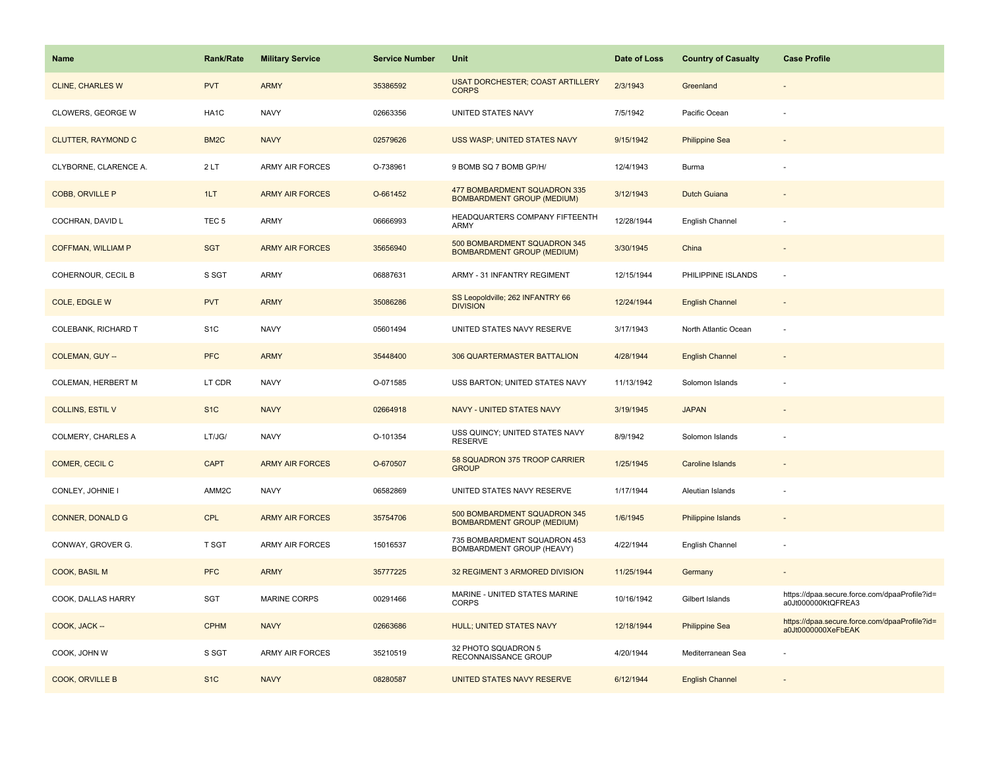| <b>Name</b>               | <b>Rank/Rate</b>  | <b>Military Service</b> | <b>Service Number</b> | Unit                                                              | Date of Loss | <b>Country of Casualty</b> | <b>Case Profile</b>                                                 |
|---------------------------|-------------------|-------------------------|-----------------------|-------------------------------------------------------------------|--------------|----------------------------|---------------------------------------------------------------------|
| <b>CLINE, CHARLES W</b>   | <b>PVT</b>        | <b>ARMY</b>             | 35386592              | <b>USAT DORCHESTER; COAST ARTILLERY</b><br><b>CORPS</b>           | 2/3/1943     | Greenland                  |                                                                     |
| CLOWERS, GEORGE W         | HA1C              | <b>NAVY</b>             | 02663356              | UNITED STATES NAVY                                                | 7/5/1942     | Pacific Ocean              |                                                                     |
| <b>CLUTTER, RAYMOND C</b> | BM <sub>2</sub> C | <b>NAVY</b>             | 02579626              | USS WASP; UNITED STATES NAVY                                      | 9/15/1942    | <b>Philippine Sea</b>      |                                                                     |
| CLYBORNE, CLARENCE A.     | 2LT               | <b>ARMY AIR FORCES</b>  | O-738961              | 9 BOMB SQ 7 BOMB GP/H/                                            | 12/4/1943    | Burma                      |                                                                     |
| <b>COBB, ORVILLE P</b>    | 1LT               | <b>ARMY AIR FORCES</b>  | O-661452              | 477 BOMBARDMENT SQUADRON 335<br><b>BOMBARDMENT GROUP (MEDIUM)</b> | 3/12/1943    | <b>Dutch Guiana</b>        |                                                                     |
| COCHRAN, DAVID L          | TEC <sub>5</sub>  | <b>ARMY</b>             | 06666993              | HEADQUARTERS COMPANY FIFTEENTH<br>ARMY                            | 12/28/1944   | English Channel            |                                                                     |
| <b>COFFMAN, WILLIAM P</b> | <b>SGT</b>        | <b>ARMY AIR FORCES</b>  | 35656940              | 500 BOMBARDMENT SQUADRON 345<br><b>BOMBARDMENT GROUP (MEDIUM)</b> | 3/30/1945    | China                      | $\sim$                                                              |
| COHERNOUR, CECIL B        | S SGT             | <b>ARMY</b>             | 06887631              | ARMY - 31 INFANTRY REGIMENT                                       | 12/15/1944   | PHILIPPINE ISLANDS         | $\sim$                                                              |
| COLE, EDGLE W             | <b>PVT</b>        | <b>ARMY</b>             | 35086286              | SS Leopoldville; 262 INFANTRY 66<br><b>DIVISION</b>               | 12/24/1944   | <b>English Channel</b>     |                                                                     |
| COLEBANK, RICHARD T       | S <sub>1</sub> C  | <b>NAVY</b>             | 05601494              | UNITED STATES NAVY RESERVE                                        | 3/17/1943    | North Atlantic Ocean       |                                                                     |
| <b>COLEMAN, GUY --</b>    | <b>PFC</b>        | <b>ARMY</b>             | 35448400              | 306 QUARTERMASTER BATTALION                                       | 4/28/1944    | <b>English Channel</b>     |                                                                     |
| COLEMAN, HERBERT M        | LT CDR            | <b>NAVY</b>             | O-071585              | USS BARTON; UNITED STATES NAVY                                    | 11/13/1942   | Solomon Islands            |                                                                     |
| <b>COLLINS, ESTIL V</b>   | S <sub>1C</sub>   | <b>NAVY</b>             | 02664918              | NAVY - UNITED STATES NAVY                                         | 3/19/1945    | <b>JAPAN</b>               |                                                                     |
| COLMERY, CHARLES A        | LT/JG/            | <b>NAVY</b>             | O-101354              | USS QUINCY; UNITED STATES NAVY<br><b>RESERVE</b>                  | 8/9/1942     | Solomon Islands            |                                                                     |
| COMER, CECIL C            | <b>CAPT</b>       | <b>ARMY AIR FORCES</b>  | O-670507              | 58 SQUADRON 375 TROOP CARRIER<br><b>GROUP</b>                     | 1/25/1945    | Caroline Islands           |                                                                     |
| CONLEY, JOHNIE I          | AMM2C             | <b>NAVY</b>             | 06582869              | UNITED STATES NAVY RESERVE                                        | 1/17/1944    | Aleutian Islands           |                                                                     |
| <b>CONNER, DONALD G</b>   | CPL               | <b>ARMY AIR FORCES</b>  | 35754706              | 500 BOMBARDMENT SQUADRON 345<br><b>BOMBARDMENT GROUP (MEDIUM)</b> | 1/6/1945     | <b>Philippine Islands</b>  |                                                                     |
| CONWAY, GROVER G.         | <b>T SGT</b>      | ARMY AIR FORCES         | 15016537              | 735 BOMBARDMENT SQUADRON 453<br>BOMBARDMENT GROUP (HEAVY)         | 4/22/1944    | English Channel            |                                                                     |
| COOK, BASIL M             | <b>PFC</b>        | <b>ARMY</b>             | 35777225              | 32 REGIMENT 3 ARMORED DIVISION                                    | 11/25/1944   | Germany                    |                                                                     |
| COOK, DALLAS HARRY        | SGT               | <b>MARINE CORPS</b>     | 00291466              | MARINE - UNITED STATES MARINE<br><b>CORPS</b>                     | 10/16/1942   | Gilbert Islands            | https://dpaa.secure.force.com/dpaaProfile?id=<br>a0Jt000000KtQFREA3 |
| COOK, JACK --             | <b>CPHM</b>       | <b>NAVY</b>             | 02663686              | HULL; UNITED STATES NAVY                                          | 12/18/1944   | <b>Philippine Sea</b>      | https://dpaa.secure.force.com/dpaaProfile?id=<br>a0Jt0000000XeFbEAK |
| COOK, JOHN W              | S SGT             | <b>ARMY AIR FORCES</b>  | 35210519              | 32 PHOTO SQUADRON 5<br>RECONNAISSANCE GROUP                       | 4/20/1944    | Mediterranean Sea          |                                                                     |
| COOK, ORVILLE B           | S <sub>1C</sub>   | <b>NAVY</b>             | 08280587              | UNITED STATES NAVY RESERVE                                        | 6/12/1944    | <b>English Channel</b>     |                                                                     |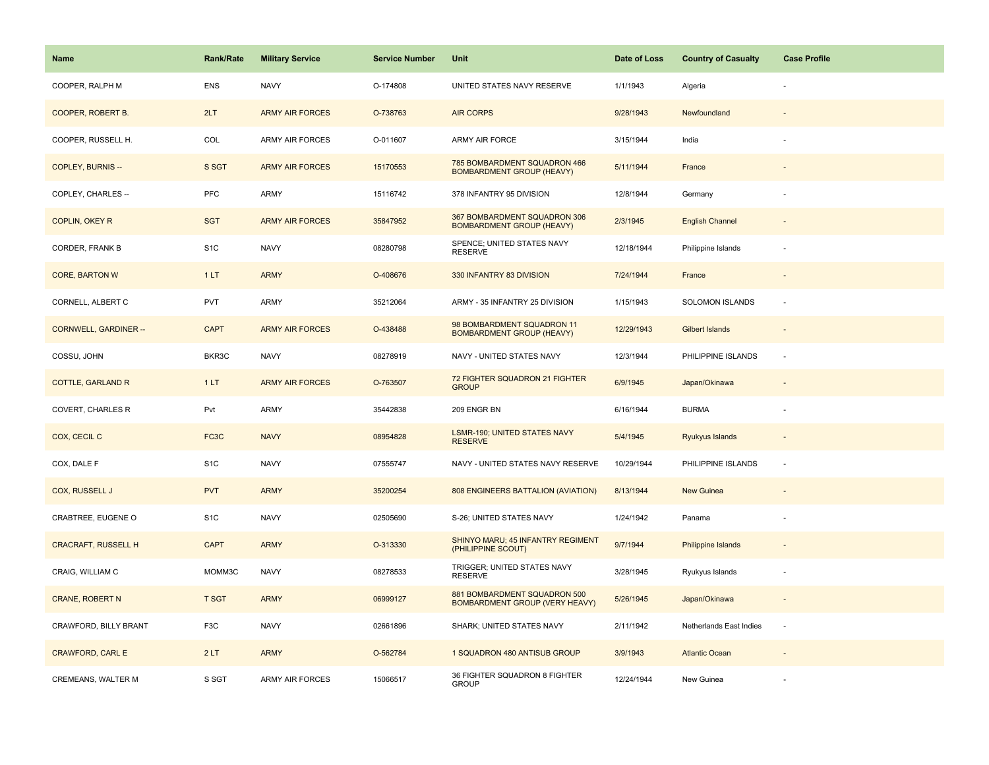| <b>Name</b>                  | <b>Rank/Rate</b> | <b>Military Service</b> | <b>Service Number</b> | Unit                                                                  | Date of Loss | <b>Country of Casualty</b> | <b>Case Profile</b>      |
|------------------------------|------------------|-------------------------|-----------------------|-----------------------------------------------------------------------|--------------|----------------------------|--------------------------|
| COOPER, RALPH M              | <b>ENS</b>       | <b>NAVY</b>             | O-174808              | UNITED STATES NAVY RESERVE                                            | 1/1/1943     | Algeria                    |                          |
| COOPER, ROBERT B.            | 2LT              | <b>ARMY AIR FORCES</b>  | O-738763              | <b>AIR CORPS</b>                                                      | 9/28/1943    | Newfoundland               |                          |
| COOPER, RUSSELL H.           | COL              | <b>ARMY AIR FORCES</b>  | O-011607              | <b>ARMY AIR FORCE</b>                                                 | 3/15/1944    | India                      |                          |
| <b>COPLEY, BURNIS --</b>     | S SGT            | <b>ARMY AIR FORCES</b>  | 15170553              | 785 BOMBARDMENT SQUADRON 466<br><b>BOMBARDMENT GROUP (HEAVY)</b>      | 5/11/1944    | France                     |                          |
| COPLEY, CHARLES --           | <b>PFC</b>       | <b>ARMY</b>             | 15116742              | 378 INFANTRY 95 DIVISION                                              | 12/8/1944    | Germany                    |                          |
| COPLIN, OKEY R               | <b>SGT</b>       | <b>ARMY AIR FORCES</b>  | 35847952              | 367 BOMBARDMENT SQUADRON 306<br><b>BOMBARDMENT GROUP (HEAVY)</b>      | 2/3/1945     | <b>English Channel</b>     |                          |
| CORDER, FRANK B              | S <sub>1</sub> C | <b>NAVY</b>             | 08280798              | SPENCE; UNITED STATES NAVY<br><b>RESERVE</b>                          | 12/18/1944   | Philippine Islands         |                          |
| <b>CORE, BARTON W</b>        | 1LT              | <b>ARMY</b>             | O-408676              | 330 INFANTRY 83 DIVISION                                              | 7/24/1944    | France                     |                          |
| CORNELL, ALBERT C            | <b>PVT</b>       | ARMY                    | 35212064              | ARMY - 35 INFANTRY 25 DIVISION                                        | 1/15/1943    | SOLOMON ISLANDS            | ×.                       |
| <b>CORNWELL, GARDINER --</b> | <b>CAPT</b>      | <b>ARMY AIR FORCES</b>  | O-438488              | 98 BOMBARDMENT SQUADRON 11<br><b>BOMBARDMENT GROUP (HEAVY)</b>        | 12/29/1943   | Gilbert Islands            |                          |
| COSSU, JOHN                  | BKR3C            | <b>NAVY</b>             | 08278919              | NAVY - UNITED STATES NAVY                                             | 12/3/1944    | PHILIPPINE ISLANDS         |                          |
| <b>COTTLE, GARLAND R</b>     | 1LT              | <b>ARMY AIR FORCES</b>  | O-763507              | 72 FIGHTER SQUADRON 21 FIGHTER<br><b>GROUP</b>                        | 6/9/1945     | Japan/Okinawa              | $\overline{\phantom{a}}$ |
| COVERT, CHARLES R            | Pvt              | <b>ARMY</b>             | 35442838              | 209 ENGR BN                                                           | 6/16/1944    | <b>BURMA</b>               |                          |
| COX, CECIL C                 | FC3C             | <b>NAVY</b>             | 08954828              | LSMR-190; UNITED STATES NAVY<br><b>RESERVE</b>                        | 5/4/1945     | Ryukyus Islands            | $\sim$                   |
| COX, DALE F                  | S <sub>1</sub> C | <b>NAVY</b>             | 07555747              | NAVY - UNITED STATES NAVY RESERVE                                     | 10/29/1944   | PHILIPPINE ISLANDS         | $\sim$                   |
| COX, RUSSELL J               | <b>PVT</b>       | <b>ARMY</b>             | 35200254              | 808 ENGINEERS BATTALION (AVIATION)                                    | 8/13/1944    | New Guinea                 |                          |
| CRABTREE, EUGENE O           | S <sub>1</sub> C | <b>NAVY</b>             | 02505690              | S-26; UNITED STATES NAVY                                              | 1/24/1942    | Panama                     |                          |
| <b>CRACRAFT, RUSSELL H</b>   | <b>CAPT</b>      | <b>ARMY</b>             | O-313330              | SHINYO MARU; 45 INFANTRY REGIMENT<br>(PHILIPPINE SCOUT)               | 9/7/1944     | Philippine Islands         |                          |
| CRAIG, WILLIAM C             | MOMM3C           | <b>NAVY</b>             | 08278533              | TRIGGER; UNITED STATES NAVY<br><b>RESERVE</b>                         | 3/28/1945    | Ryukyus Islands            |                          |
| <b>CRANE, ROBERT N</b>       | <b>T SGT</b>     | <b>ARMY</b>             | 06999127              | 881 BOMBARDMENT SQUADRON 500<br><b>BOMBARDMENT GROUP (VERY HEAVY)</b> | 5/26/1945    | Japan/Okinawa              |                          |
| CRAWFORD, BILLY BRANT        | F <sub>3</sub> C | <b>NAVY</b>             | 02661896              | SHARK; UNITED STATES NAVY                                             | 2/11/1942    | Netherlands East Indies    | $\sim$                   |
| <b>CRAWFORD, CARL E</b>      | 2LT              | <b>ARMY</b>             | O-562784              | 1 SQUADRON 480 ANTISUB GROUP                                          | 3/9/1943     | <b>Atlantic Ocean</b>      |                          |
| <b>CREMEANS, WALTER M</b>    | S SGT            | <b>ARMY AIR FORCES</b>  | 15066517              | 36 FIGHTER SQUADRON 8 FIGHTER<br><b>GROUP</b>                         | 12/24/1944   | New Guinea                 |                          |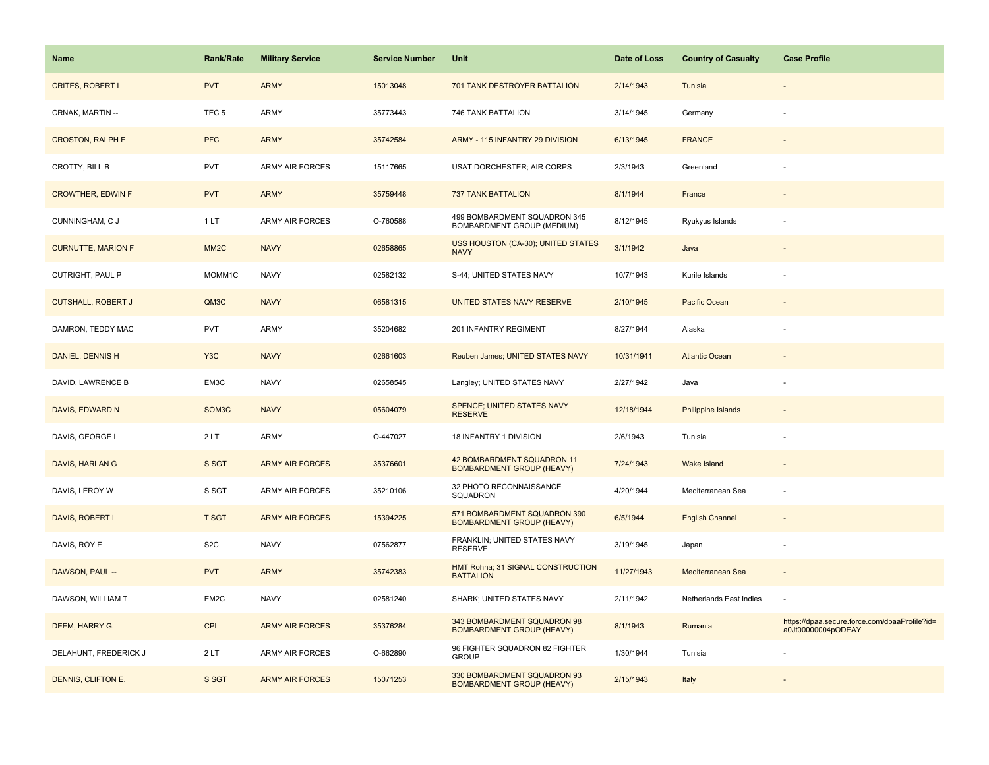| Name                      | Rank/Rate          | <b>Military Service</b> | <b>Service Number</b> | Unit                                                             | Date of Loss | <b>Country of Casualty</b> | <b>Case Profile</b>                                                 |
|---------------------------|--------------------|-------------------------|-----------------------|------------------------------------------------------------------|--------------|----------------------------|---------------------------------------------------------------------|
| <b>CRITES, ROBERT L</b>   | <b>PVT</b>         | <b>ARMY</b>             | 15013048              | 701 TANK DESTROYER BATTALION                                     | 2/14/1943    | Tunisia                    |                                                                     |
| CRNAK, MARTIN --          | TEC <sub>5</sub>   | ARMY                    | 35773443              | 746 TANK BATTALION                                               | 3/14/1945    | Germany                    |                                                                     |
| <b>CROSTON, RALPH E</b>   | <b>PFC</b>         | <b>ARMY</b>             | 35742584              | ARMY - 115 INFANTRY 29 DIVISION                                  | 6/13/1945    | <b>FRANCE</b>              |                                                                     |
| CROTTY, BILL B            | PVT                | <b>ARMY AIR FORCES</b>  | 15117665              | USAT DORCHESTER; AIR CORPS                                       | 2/3/1943     | Greenland                  |                                                                     |
| <b>CROWTHER, EDWIN F</b>  | <b>PVT</b>         | <b>ARMY</b>             | 35759448              | <b>737 TANK BATTALION</b>                                        | 8/1/1944     | France                     |                                                                     |
| CUNNINGHAM, C J           | 1LT                | <b>ARMY AIR FORCES</b>  | O-760588              | 499 BOMBARDMENT SQUADRON 345<br>BOMBARDMENT GROUP (MEDIUM)       | 8/12/1945    | Ryukyus Islands            |                                                                     |
| <b>CURNUTTE, MARION F</b> | MM <sub>2</sub> C  | <b>NAVY</b>             | 02658865              | USS HOUSTON (CA-30); UNITED STATES<br><b>NAVY</b>                | 3/1/1942     | Java                       |                                                                     |
| CUTRIGHT, PAUL P          | MOMM1C             | <b>NAVY</b>             | 02582132              | S-44; UNITED STATES NAVY                                         | 10/7/1943    | Kurile Islands             |                                                                     |
| <b>CUTSHALL, ROBERT J</b> | QM3C               | <b>NAVY</b>             | 06581315              | <b>UNITED STATES NAVY RESERVE</b>                                | 2/10/1945    | Pacific Ocean              |                                                                     |
| DAMRON, TEDDY MAC         | <b>PVT</b>         | ARMY                    | 35204682              | 201 INFANTRY REGIMENT                                            | 8/27/1944    | Alaska                     |                                                                     |
| DANIEL, DENNIS H          | Y <sub>3</sub> C   | <b>NAVY</b>             | 02661603              | Reuben James; UNITED STATES NAVY                                 | 10/31/1941   | <b>Atlantic Ocean</b>      |                                                                     |
| DAVID, LAWRENCE B         | EM3C               | <b>NAVY</b>             | 02658545              | Langley; UNITED STATES NAVY                                      | 2/27/1942    | Java                       |                                                                     |
| DAVIS, EDWARD N           | SOM <sub>3</sub> C | <b>NAVY</b>             | 05604079              | SPENCE; UNITED STATES NAVY<br><b>RESERVE</b>                     | 12/18/1944   | <b>Philippine Islands</b>  |                                                                     |
| DAVIS, GEORGE L           | 2LT                | <b>ARMY</b>             | O-447027              | 18 INFANTRY 1 DIVISION                                           | 2/6/1943     | Tunisia                    |                                                                     |
| DAVIS, HARLAN G           | S SGT              | <b>ARMY AIR FORCES</b>  | 35376601              | 42 BOMBARDMENT SQUADRON 11<br><b>BOMBARDMENT GROUP (HEAVY)</b>   | 7/24/1943    | Wake Island                |                                                                     |
| DAVIS, LEROY W            | S SGT              | <b>ARMY AIR FORCES</b>  | 35210106              | 32 PHOTO RECONNAISSANCE<br>SQUADRON                              | 4/20/1944    | Mediterranean Sea          |                                                                     |
| DAVIS, ROBERT L           | <b>T SGT</b>       | <b>ARMY AIR FORCES</b>  | 15394225              | 571 BOMBARDMENT SQUADRON 390<br><b>BOMBARDMENT GROUP (HEAVY)</b> | 6/5/1944     | <b>English Channel</b>     |                                                                     |
| DAVIS, ROY E              | S <sub>2</sub> C   | <b>NAVY</b>             | 07562877              | FRANKLIN; UNITED STATES NAVY<br><b>RESERVE</b>                   | 3/19/1945    | Japan                      | ÷,                                                                  |
| DAWSON, PAUL --           | <b>PVT</b>         | <b>ARMY</b>             | 35742383              | HMT Rohna; 31 SIGNAL CONSTRUCTION<br><b>BATTALION</b>            | 11/27/1943   | Mediterranean Sea          |                                                                     |
| DAWSON, WILLIAM T         | EM2C               | <b>NAVY</b>             | 02581240              | SHARK; UNITED STATES NAVY                                        | 2/11/1942    | Netherlands East Indies    |                                                                     |
| DEEM, HARRY G.            | <b>CPL</b>         | <b>ARMY AIR FORCES</b>  | 35376284              | 343 BOMBARDMENT SQUADRON 98<br><b>BOMBARDMENT GROUP (HEAVY)</b>  | 8/1/1943     | Rumania                    | https://dpaa.secure.force.com/dpaaProfile?id=<br>a0Jt00000004pODEAY |
| DELAHUNT, FREDERICK J     | 2LT                | ARMY AIR FORCES         | O-662890              | 96 FIGHTER SQUADRON 82 FIGHTER<br><b>GROUP</b>                   | 1/30/1944    | Tunisia                    |                                                                     |
| DENNIS, CLIFTON E.        | S SGT              | <b>ARMY AIR FORCES</b>  | 15071253              | 330 BOMBARDMENT SQUADRON 93<br><b>BOMBARDMENT GROUP (HEAVY)</b>  | 2/15/1943    | Italy                      |                                                                     |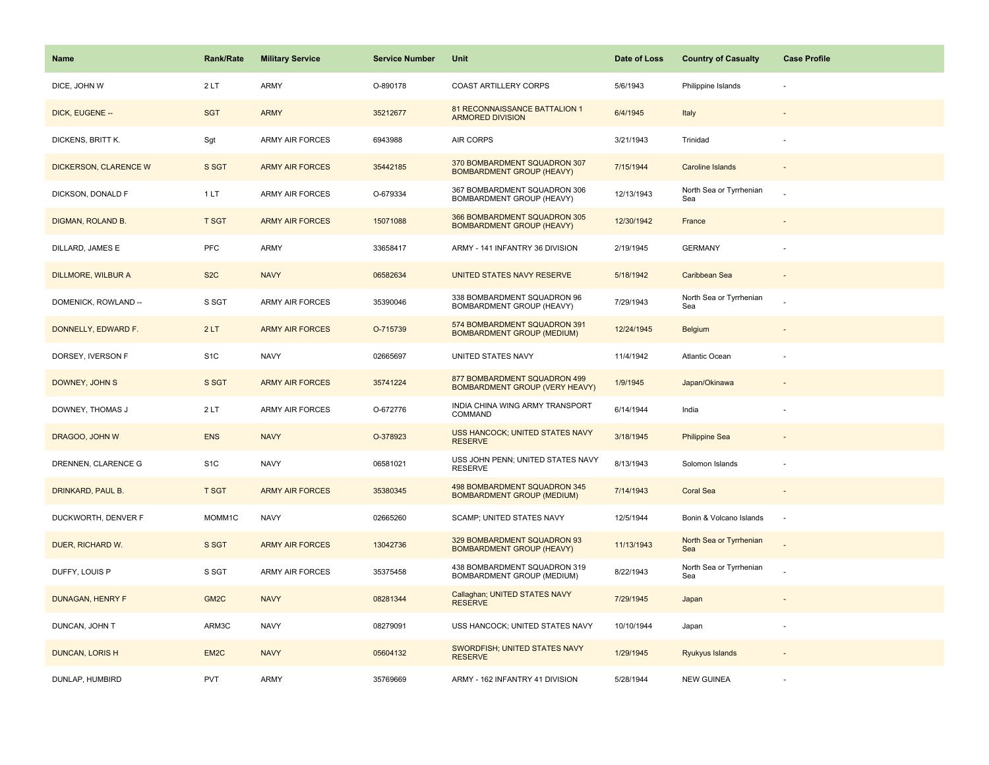| <b>Name</b>               | <b>Rank/Rate</b>  | <b>Military Service</b> | <b>Service Number</b> | Unit                                                                  | Date of Loss | <b>Country of Casualty</b>     | <b>Case Profile</b>      |
|---------------------------|-------------------|-------------------------|-----------------------|-----------------------------------------------------------------------|--------------|--------------------------------|--------------------------|
| DICE, JOHN W              | 2LT               | <b>ARMY</b>             | O-890178              | <b>COAST ARTILLERY CORPS</b>                                          | 5/6/1943     | Philippine Islands             |                          |
| DICK, EUGENE --           | <b>SGT</b>        | <b>ARMY</b>             | 35212677              | 81 RECONNAISSANCE BATTALION 1<br><b>ARMORED DIVISION</b>              | 6/4/1945     | Italy                          |                          |
| DICKENS, BRITT K.         | Sgt               | ARMY AIR FORCES         | 6943988               | AIR CORPS                                                             | 3/21/1943    | Trinidad                       |                          |
| DICKERSON, CLARENCE W     | S SGT             | <b>ARMY AIR FORCES</b>  | 35442185              | 370 BOMBARDMENT SQUADRON 307<br><b>BOMBARDMENT GROUP (HEAVY)</b>      | 7/15/1944    | <b>Caroline Islands</b>        |                          |
| DICKSON, DONALD F         | 1LT               | <b>ARMY AIR FORCES</b>  | O-679334              | 367 BOMBARDMENT SQUADRON 306<br>BOMBARDMENT GROUP (HEAVY)             | 12/13/1943   | North Sea or Tyrrhenian<br>Sea |                          |
| DIGMAN, ROLAND B.         | <b>T SGT</b>      | <b>ARMY AIR FORCES</b>  | 15071088              | 366 BOMBARDMENT SQUADRON 305<br><b>BOMBARDMENT GROUP (HEAVY)</b>      | 12/30/1942   | France                         |                          |
| DILLARD, JAMES E          | PFC               | <b>ARMY</b>             | 33658417              | ARMY - 141 INFANTRY 36 DIVISION                                       | 2/19/1945    | <b>GERMANY</b>                 |                          |
| <b>DILLMORE, WILBUR A</b> | S <sub>2</sub> C  | <b>NAVY</b>             | 06582634              | UNITED STATES NAVY RESERVE                                            | 5/18/1942    | Caribbean Sea                  |                          |
| DOMENICK, ROWLAND --      | S SGT             | ARMY AIR FORCES         | 35390046              | 338 BOMBARDMENT SQUADRON 96<br>BOMBARDMENT GROUP (HEAVY)              | 7/29/1943    | North Sea or Tyrrhenian<br>Sea |                          |
| DONNELLY, EDWARD F.       | 2LT               | <b>ARMY AIR FORCES</b>  | O-715739              | 574 BOMBARDMENT SQUADRON 391<br><b>BOMBARDMENT GROUP (MEDIUM)</b>     | 12/24/1945   | Belgium                        |                          |
| DORSEY, IVERSON F         | S <sub>1</sub> C  | <b>NAVY</b>             | 02665697              | UNITED STATES NAVY                                                    | 11/4/1942    | Atlantic Ocean                 |                          |
| DOWNEY, JOHN S            | S SGT             | <b>ARMY AIR FORCES</b>  | 35741224              | 877 BOMBARDMENT SQUADRON 499<br><b>BOMBARDMENT GROUP (VERY HEAVY)</b> | 1/9/1945     | Japan/Okinawa                  |                          |
| DOWNEY, THOMAS J          | 2LT               | <b>ARMY AIR FORCES</b>  | O-672776              | INDIA CHINA WING ARMY TRANSPORT<br>COMMAND                            | 6/14/1944    | India                          |                          |
| DRAGOO, JOHN W            | <b>ENS</b>        | <b>NAVY</b>             | O-378923              | USS HANCOCK; UNITED STATES NAVY<br><b>RESERVE</b>                     | 3/18/1945    | <b>Philippine Sea</b>          |                          |
| DRENNEN, CLARENCE G       | S <sub>1</sub> C  | <b>NAVY</b>             | 06581021              | USS JOHN PENN; UNITED STATES NAVY<br><b>RESERVE</b>                   | 8/13/1943    | Solomon Islands                |                          |
| DRINKARD, PAUL B.         | <b>T SGT</b>      | <b>ARMY AIR FORCES</b>  | 35380345              | 498 BOMBARDMENT SQUADRON 345<br><b>BOMBARDMENT GROUP (MEDIUM)</b>     | 7/14/1943    | <b>Coral Sea</b>               |                          |
| DUCKWORTH, DENVER F       | MOMM1C            | <b>NAVY</b>             | 02665260              | SCAMP; UNITED STATES NAVY                                             | 12/5/1944    | Bonin & Volcano Islands        | $\overline{\phantom{a}}$ |
| DUER, RICHARD W.          | S SGT             | <b>ARMY AIR FORCES</b>  | 13042736              | 329 BOMBARDMENT SQUADRON 93<br><b>BOMBARDMENT GROUP (HEAVY)</b>       | 11/13/1943   | North Sea or Tyrrhenian<br>Sea |                          |
| DUFFY, LOUIS P            | S SGT             | ARMY AIR FORCES         | 35375458              | 438 BOMBARDMENT SQUADRON 319<br>BOMBARDMENT GROUP (MEDIUM)            | 8/22/1943    | North Sea or Tyrrhenian<br>Sea |                          |
| <b>DUNAGAN, HENRY F</b>   | GM <sub>2</sub> C | <b>NAVY</b>             | 08281344              | Callaghan; UNITED STATES NAVY<br><b>RESERVE</b>                       | 7/29/1945    | Japan                          |                          |
| DUNCAN, JOHN T            | ARM3C             | <b>NAVY</b>             | 08279091              | USS HANCOCK; UNITED STATES NAVY                                       | 10/10/1944   | Japan                          |                          |
| <b>DUNCAN, LORIS H</b>    | EM <sub>2C</sub>  | <b>NAVY</b>             | 05604132              | SWORDFISH; UNITED STATES NAVY<br><b>RESERVE</b>                       | 1/29/1945    | Ryukyus Islands                |                          |
| DUNLAP, HUMBIRD           | <b>PVT</b>        | <b>ARMY</b>             | 35769669              | ARMY - 162 INFANTRY 41 DIVISION                                       | 5/28/1944    | <b>NEW GUINEA</b>              |                          |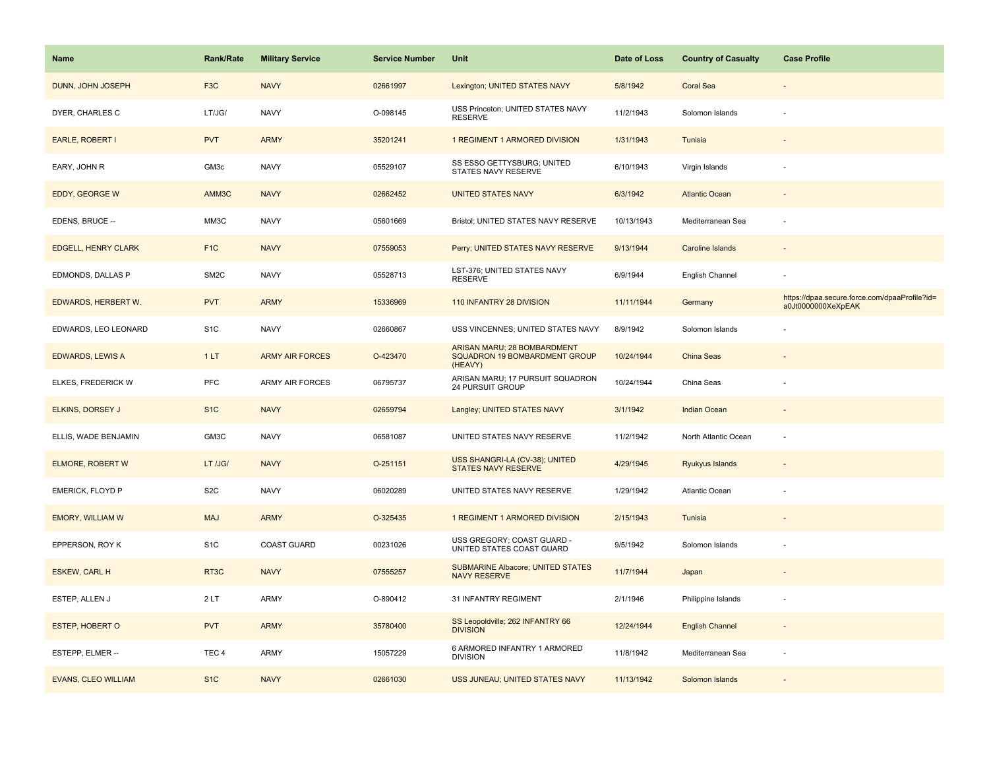| Name                       | Rank/Rate         | <b>Military Service</b> | <b>Service Number</b> | Unit                                                                    | Date of Loss | <b>Country of Casualty</b> | <b>Case Profile</b>                                                 |
|----------------------------|-------------------|-------------------------|-----------------------|-------------------------------------------------------------------------|--------------|----------------------------|---------------------------------------------------------------------|
| DUNN, JOHN JOSEPH          | F <sub>3</sub> C  | <b>NAVY</b>             | 02661997              | Lexington; UNITED STATES NAVY                                           | 5/8/1942     | <b>Coral Sea</b>           |                                                                     |
| DYER, CHARLES C            | LT/JG/            | <b>NAVY</b>             | O-098145              | USS Princeton; UNITED STATES NAVY<br><b>RESERVE</b>                     | 11/2/1943    | Solomon Islands            |                                                                     |
| EARLE, ROBERT I            | <b>PVT</b>        | <b>ARMY</b>             | 35201241              | 1 REGIMENT 1 ARMORED DIVISION                                           | 1/31/1943    | Tunisia                    |                                                                     |
| EARY, JOHN R               | GM3c              | <b>NAVY</b>             | 05529107              | SS ESSO GETTYSBURG; UNITED<br>STATES NAVY RESERVE                       | 6/10/1943    | Virgin Islands             |                                                                     |
| <b>EDDY, GEORGE W</b>      | AMM3C             | <b>NAVY</b>             | 02662452              | <b>UNITED STATES NAVY</b>                                               | 6/3/1942     | <b>Atlantic Ocean</b>      |                                                                     |
| EDENS, BRUCE --            | MM3C              | <b>NAVY</b>             | 05601669              | Bristol; UNITED STATES NAVY RESERVE                                     | 10/13/1943   | Mediterranean Sea          |                                                                     |
| <b>EDGELL, HENRY CLARK</b> | F <sub>1</sub> C  | <b>NAVY</b>             | 07559053              | Perry; UNITED STATES NAVY RESERVE                                       | 9/13/1944    | Caroline Islands           | $\overline{\phantom{a}}$                                            |
| EDMONDS, DALLAS P          | SM <sub>2</sub> C | <b>NAVY</b>             | 05528713              | LST-376; UNITED STATES NAVY<br><b>RESERVE</b>                           | 6/9/1944     | English Channel            |                                                                     |
| EDWARDS, HERBERT W.        | <b>PVT</b>        | <b>ARMY</b>             | 15336969              | 110 INFANTRY 28 DIVISION                                                | 11/11/1944   | Germany                    | https://dpaa.secure.force.com/dpaaProfile?id=<br>a0Jt0000000XeXpEAK |
| EDWARDS, LEO LEONARD       | S <sub>1</sub> C  | <b>NAVY</b>             | 02660867              | USS VINCENNES; UNITED STATES NAVY                                       | 8/9/1942     | Solomon Islands            |                                                                     |
| <b>EDWARDS, LEWIS A</b>    | 1LT               | <b>ARMY AIR FORCES</b>  | O-423470              | ARISAN MARU; 28 BOMBARDMENT<br>SQUADRON 19 BOMBARDMENT GROUP<br>(HEAVY) | 10/24/1944   | <b>China Seas</b>          |                                                                     |
| ELKES, FREDERICK W         | PFC               | <b>ARMY AIR FORCES</b>  | 06795737              | ARISAN MARU; 17 PURSUIT SQUADRON<br>24 PURSUIT GROUP                    | 10/24/1944   | China Seas                 |                                                                     |
| ELKINS, DORSEY J           | S <sub>1</sub> C  | <b>NAVY</b>             | 02659794              | Langley; UNITED STATES NAVY                                             | 3/1/1942     | <b>Indian Ocean</b>        |                                                                     |
| ELLIS, WADE BENJAMIN       | GM3C              | <b>NAVY</b>             | 06581087              | UNITED STATES NAVY RESERVE                                              | 11/2/1942    | North Atlantic Ocean       | ÷,                                                                  |
| <b>ELMORE, ROBERT W</b>    | LT /JG/           | <b>NAVY</b>             | O-251151              | USS SHANGRI-LA (CV-38); UNITED<br><b>STATES NAVY RESERVE</b>            | 4/29/1945    | Ryukyus Islands            |                                                                     |
| <b>EMERICK, FLOYD P</b>    | S <sub>2</sub> C  | <b>NAVY</b>             | 06020289              | UNITED STATES NAVY RESERVE                                              | 1/29/1942    | Atlantic Ocean             |                                                                     |
| <b>EMORY, WILLIAM W</b>    | <b>MAJ</b>        | <b>ARMY</b>             | O-325435              | 1 REGIMENT 1 ARMORED DIVISION                                           | 2/15/1943    | Tunisia                    |                                                                     |
| EPPERSON, ROY K            | S <sub>1</sub> C  | COAST GUARD             | 00231026              | USS GREGORY; COAST GUARD -<br>UNITED STATES COAST GUARD                 | 9/5/1942     | Solomon Islands            |                                                                     |
| <b>ESKEW, CARL H</b>       | RT <sub>3</sub> C | <b>NAVY</b>             | 07555257              | <b>SUBMARINE Albacore; UNITED STATES</b><br><b>NAVY RESERVE</b>         | 11/7/1944    | Japan                      |                                                                     |
| ESTEP, ALLEN J             | 2LT               | ARMY                    | O-890412              | 31 INFANTRY REGIMENT                                                    | 2/1/1946     | Philippine Islands         |                                                                     |
| <b>ESTEP, HOBERT O</b>     | <b>PVT</b>        | <b>ARMY</b>             | 35780400              | SS Leopoldville; 262 INFANTRY 66<br><b>DIVISION</b>                     | 12/24/1944   | <b>English Channel</b>     |                                                                     |
| ESTEPP, ELMER --           | TEC <sub>4</sub>  | ARMY                    | 15057229              | 6 ARMORED INFANTRY 1 ARMORED<br><b>DIVISION</b>                         | 11/8/1942    | Mediterranean Sea          |                                                                     |
| <b>EVANS, CLEO WILLIAM</b> | S <sub>1</sub> C  | <b>NAVY</b>             | 02661030              | USS JUNEAU; UNITED STATES NAVY                                          | 11/13/1942   | Solomon Islands            |                                                                     |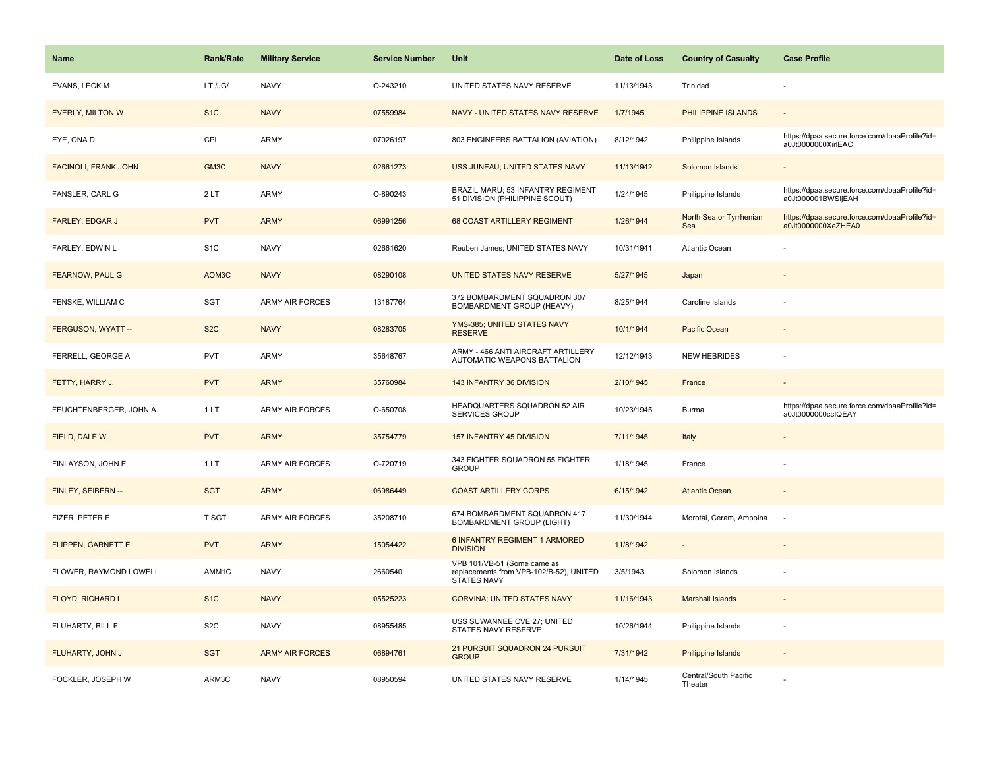| <b>Name</b>                 | Rank/Rate        | <b>Military Service</b> | <b>Service Number</b> | Unit                                                                                         | Date of Loss | <b>Country of Casualty</b>       | <b>Case Profile</b>                                                 |
|-----------------------------|------------------|-------------------------|-----------------------|----------------------------------------------------------------------------------------------|--------------|----------------------------------|---------------------------------------------------------------------|
| <b>EVANS, LECK M</b>        | LT /JG/          | <b>NAVY</b>             | O-243210              | UNITED STATES NAVY RESERVE                                                                   | 11/13/1943   | Trinidad                         |                                                                     |
| <b>EVERLY, MILTON W</b>     | S <sub>1</sub> C | <b>NAVY</b>             | 07559984              | NAVY - UNITED STATES NAVY RESERVE                                                            | 1/7/1945     | PHILIPPINE ISLANDS               | $\sim$                                                              |
| EYE, ONA D                  | CPL              | ARMY                    | 07026197              | 803 ENGINEERS BATTALION (AVIATION)                                                           | 8/12/1942    | Philippine Islands               | https://dpaa.secure.force.com/dpaaProfile?id=<br>a0Jt0000000XirlEAC |
| <b>FACINOLI, FRANK JOHN</b> | GM3C             | <b>NAVY</b>             | 02661273              | USS JUNEAU; UNITED STATES NAVY                                                               | 11/13/1942   | Solomon Islands                  |                                                                     |
| <b>FANSLER, CARL G</b>      | 2LT              | <b>ARMY</b>             | O-890243              | BRAZIL MARU; 53 INFANTRY REGIMENT<br>51 DIVISION (PHILIPPINE SCOUT)                          | 1/24/1945    | Philippine Islands               | https://dpaa.secure.force.com/dpaaProfile?id=<br>a0Jt000001BWSIjEAH |
| FARLEY, EDGAR J             | <b>PVT</b>       | <b>ARMY</b>             | 06991256              | 68 COAST ARTILLERY REGIMENT                                                                  | 1/26/1944    | North Sea or Tyrrhenian<br>Sea   | https://dpaa.secure.force.com/dpaaProfile?id=<br>a0Jt0000000XeZHEA0 |
| FARLEY, EDWIN L             | S <sub>1</sub> C | <b>NAVY</b>             | 02661620              | Reuben James; UNITED STATES NAVY                                                             | 10/31/1941   | Atlantic Ocean                   |                                                                     |
| <b>FEARNOW, PAUL G</b>      | AOM3C            | <b>NAVY</b>             | 08290108              | <b>UNITED STATES NAVY RESERVE</b>                                                            | 5/27/1945    | Japan                            |                                                                     |
| FENSKE, WILLIAM C           | SGT              | <b>ARMY AIR FORCES</b>  | 13187764              | 372 BOMBARDMENT SQUADRON 307<br>BOMBARDMENT GROUP (HEAVY)                                    | 8/25/1944    | Caroline Islands                 |                                                                     |
| FERGUSON, WYATT --          | S <sub>2</sub> C | <b>NAVY</b>             | 08283705              | YMS-385; UNITED STATES NAVY<br><b>RESERVE</b>                                                | 10/1/1944    | Pacific Ocean                    |                                                                     |
| FERRELL, GEORGE A           | PVT              | ARMY                    | 35648767              | ARMY - 466 ANTI AIRCRAFT ARTILLERY<br>AUTOMATIC WEAPONS BATTALION                            | 12/12/1943   | <b>NEW HEBRIDES</b>              |                                                                     |
| FETTY, HARRY J.             | <b>PVT</b>       | <b>ARMY</b>             | 35760984              | 143 INFANTRY 36 DIVISION                                                                     | 2/10/1945    | France                           |                                                                     |
| FEUCHTENBERGER, JOHN A.     | 1LT              | ARMY AIR FORCES         | O-650708              | HEADQUARTERS SQUADRON 52 AIR<br>SERVICES GROUP                                               | 10/23/1945   | Burma                            | https://dpaa.secure.force.com/dpaaProfile?id=<br>a0Jt0000000cclQEAY |
| FIELD, DALE W               | <b>PVT</b>       | <b>ARMY</b>             | 35754779              | 157 INFANTRY 45 DIVISION                                                                     | 7/11/1945    | Italy                            |                                                                     |
| FINLAYSON, JOHN E.          | 1LT              | <b>ARMY AIR FORCES</b>  | O-720719              | 343 FIGHTER SQUADRON 55 FIGHTER<br><b>GROUP</b>                                              | 1/18/1945    | France                           |                                                                     |
| FINLEY, SEIBERN --          | <b>SGT</b>       | <b>ARMY</b>             | 06986449              | <b>COAST ARTILLERY CORPS</b>                                                                 | 6/15/1942    | <b>Atlantic Ocean</b>            |                                                                     |
| FIZER, PETER F              | T SGT            | <b>ARMY AIR FORCES</b>  | 35208710              | 674 BOMBARDMENT SQUADRON 417<br><b>BOMBARDMENT GROUP (LIGHT)</b>                             | 11/30/1944   | Morotai, Ceram, Amboina          | $\overline{\phantom{a}}$                                            |
| FLIPPEN, GARNETT E          | <b>PVT</b>       | <b>ARMY</b>             | 15054422              | 6 INFANTRY REGIMENT 1 ARMORED<br><b>DIVISION</b>                                             | 11/8/1942    |                                  |                                                                     |
| FLOWER, RAYMOND LOWELL      | AMM1C            | <b>NAVY</b>             | 2660540               | VPB 101/VB-51 (Some came as<br>replacements from VPB-102/B-52), UNITED<br><b>STATES NAVY</b> | 3/5/1943     | Solomon Islands                  |                                                                     |
| FLOYD, RICHARD L            | S <sub>1</sub> C | <b>NAVY</b>             | 05525223              | <b>CORVINA; UNITED STATES NAVY</b>                                                           | 11/16/1943   | <b>Marshall Islands</b>          |                                                                     |
| FLUHARTY, BILL F            | S <sub>2</sub> C | <b>NAVY</b>             | 08955485              | USS SUWANNEE CVE 27; UNITED<br>STATES NAVY RESERVE                                           | 10/26/1944   | Philippine Islands               | ÷,                                                                  |
| FLUHARTY, JOHN J            | <b>SGT</b>       | <b>ARMY AIR FORCES</b>  | 06894761              | 21 PURSUIT SQUADRON 24 PURSUIT<br><b>GROUP</b>                                               | 7/31/1942    | <b>Philippine Islands</b>        |                                                                     |
| FOCKLER, JOSEPH W           | ARM3C            | <b>NAVY</b>             | 08950594              | UNITED STATES NAVY RESERVE                                                                   | 1/14/1945    | Central/South Pacific<br>Theater |                                                                     |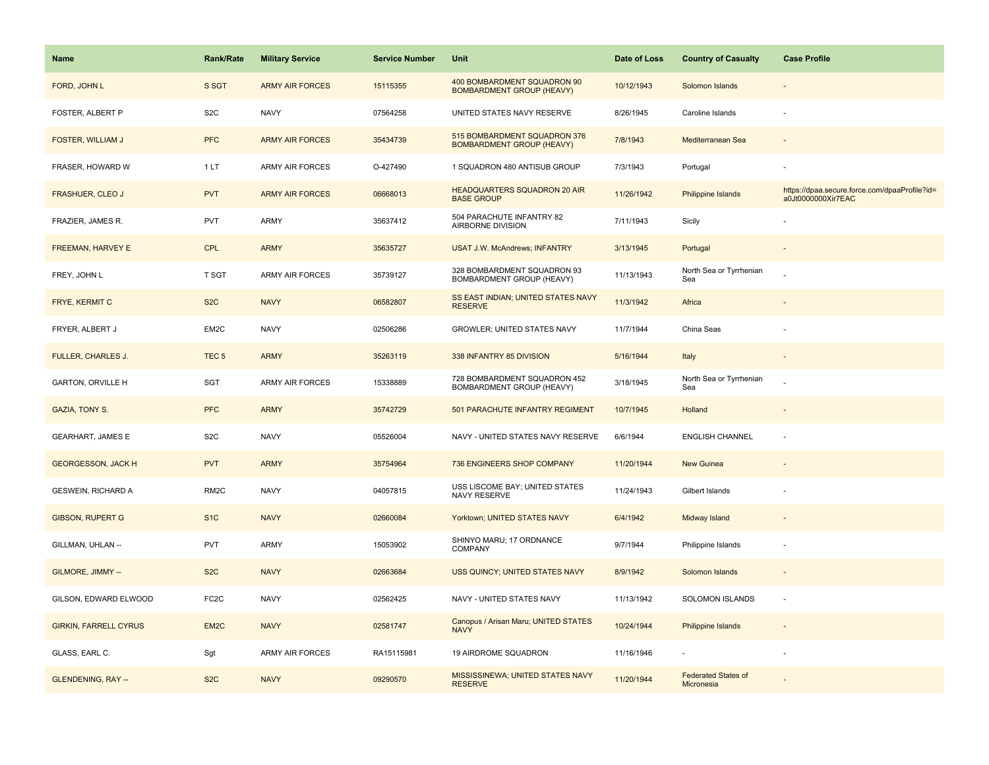| Name                         | Rank/Rate         | <b>Military Service</b> | <b>Service Number</b> | Unit                                                             | Date of Loss | <b>Country of Casualty</b>               | <b>Case Profile</b>                                                 |
|------------------------------|-------------------|-------------------------|-----------------------|------------------------------------------------------------------|--------------|------------------------------------------|---------------------------------------------------------------------|
| FORD, JOHN L                 | S SGT             | <b>ARMY AIR FORCES</b>  | 15115355              | 400 BOMBARDMENT SQUADRON 90<br><b>BOMBARDMENT GROUP (HEAVY)</b>  | 10/12/1943   | Solomon Islands                          |                                                                     |
| FOSTER, ALBERT P             | S <sub>2</sub> C  | <b>NAVY</b>             | 07564258              | UNITED STATES NAVY RESERVE                                       | 8/26/1945    | Caroline Islands                         |                                                                     |
| <b>FOSTER, WILLIAM J</b>     | <b>PFC</b>        | <b>ARMY AIR FORCES</b>  | 35434739              | 515 BOMBARDMENT SQUADRON 376<br><b>BOMBARDMENT GROUP (HEAVY)</b> | 7/8/1943     | Mediterranean Sea                        |                                                                     |
| FRASER, HOWARD W             | 1LT               | <b>ARMY AIR FORCES</b>  | O-427490              | 1 SQUADRON 480 ANTISUB GROUP                                     | 7/3/1943     | Portugal                                 |                                                                     |
| <b>FRASHUER, CLEO J</b>      | <b>PVT</b>        | <b>ARMY AIR FORCES</b>  | 06668013              | <b>HEADQUARTERS SQUADRON 20 AIR</b><br><b>BASE GROUP</b>         | 11/26/1942   | Philippine Islands                       | https://dpaa.secure.force.com/dpaaProfile?id=<br>a0Jt0000000Xir7EAC |
| FRAZIER, JAMES R.            | PVT               | ARMY                    | 35637412              | 504 PARACHUTE INFANTRY 82<br>AIRBORNE DIVISION                   | 7/11/1943    | Sicily                                   |                                                                     |
| FREEMAN, HARVEY E            | <b>CPL</b>        | <b>ARMY</b>             | 35635727              | <b>USAT J.W. McAndrews; INFANTRY</b>                             | 3/13/1945    | Portugal                                 | $\sim$                                                              |
| FREY, JOHN L                 | T SGT             | <b>ARMY AIR FORCES</b>  | 35739127              | 328 BOMBARDMENT SQUADRON 93<br>BOMBARDMENT GROUP (HEAVY)         | 11/13/1943   | North Sea or Tyrrhenian<br>Sea           |                                                                     |
| FRYE, KERMIT C               | S <sub>2</sub> C  | <b>NAVY</b>             | 06582807              | SS EAST INDIAN; UNITED STATES NAVY<br><b>RESERVE</b>             | 11/3/1942    | Africa                                   |                                                                     |
| FRYER, ALBERT J              | EM2C              | <b>NAVY</b>             | 02506286              | GROWLER; UNITED STATES NAVY                                      | 11/7/1944    | China Seas                               |                                                                     |
| FULLER, CHARLES J.           | TEC <sub>5</sub>  | <b>ARMY</b>             | 35263119              | 338 INFANTRY 85 DIVISION                                         | 5/16/1944    | Italy                                    |                                                                     |
| <b>GARTON, ORVILLE H</b>     | SGT               | <b>ARMY AIR FORCES</b>  | 15338889              | 728 BOMBARDMENT SQUADRON 452<br>BOMBARDMENT GROUP (HEAVY)        | 3/18/1945    | North Sea or Tyrrhenian<br>Sea           |                                                                     |
| <b>GAZIA, TONY S.</b>        | <b>PFC</b>        | <b>ARMY</b>             | 35742729              | 501 PARACHUTE INFANTRY REGIMENT                                  | 10/7/1945    | Holland                                  |                                                                     |
| <b>GEARHART, JAMES E</b>     | S <sub>2</sub> C  | <b>NAVY</b>             | 05526004              | NAVY - UNITED STATES NAVY RESERVE                                | 6/6/1944     | <b>ENGLISH CHANNEL</b>                   | ÷,                                                                  |
| <b>GEORGESSON, JACK H</b>    | <b>PVT</b>        | <b>ARMY</b>             | 35754964              | 736 ENGINEERS SHOP COMPANY                                       | 11/20/1944   | <b>New Guinea</b>                        |                                                                     |
| GESWEIN, RICHARD A           | RM <sub>2</sub> C | <b>NAVY</b>             | 04057815              | USS LISCOME BAY; UNITED STATES<br>NAVY RESERVE                   | 11/24/1943   | Gilbert Islands                          |                                                                     |
| <b>GIBSON, RUPERT G</b>      | S <sub>1C</sub>   | <b>NAVY</b>             | 02660084              | Yorktown; UNITED STATES NAVY                                     | 6/4/1942     | Midway Island                            |                                                                     |
| GILLMAN, UHLAN --            | PVT               | ARMY                    | 15053902              | SHINYO MARU; 17 ORDNANCE<br>COMPANY                              | 9/7/1944     | Philippine Islands                       | ÷,                                                                  |
| GILMORE, JIMMY --            | S <sub>2</sub> C  | <b>NAVY</b>             | 02663684              | USS QUINCY; UNITED STATES NAVY                                   | 8/9/1942     | Solomon Islands                          |                                                                     |
| GILSON, EDWARD ELWOOD        | FC <sub>2</sub> C | <b>NAVY</b>             | 02562425              | NAVY - UNITED STATES NAVY                                        | 11/13/1942   | SOLOMON ISLANDS                          | ÷,                                                                  |
| <b>GIRKIN, FARRELL CYRUS</b> | EM <sub>2</sub> C | <b>NAVY</b>             | 02581747              | Canopus / Arisan Maru; UNITED STATES<br><b>NAVY</b>              | 10/24/1944   | Philippine Islands                       |                                                                     |
| GLASS, EARL C.               | Sgt               | <b>ARMY AIR FORCES</b>  | RA15115981            | 19 AIRDROME SQUADRON                                             | 11/16/1946   |                                          | ÷,                                                                  |
| <b>GLENDENING, RAY --</b>    | S <sub>2</sub> C  | <b>NAVY</b>             | 09290570              | MISSISSINEWA; UNITED STATES NAVY<br><b>RESERVE</b>               | 11/20/1944   | <b>Federated States of</b><br>Micronesia |                                                                     |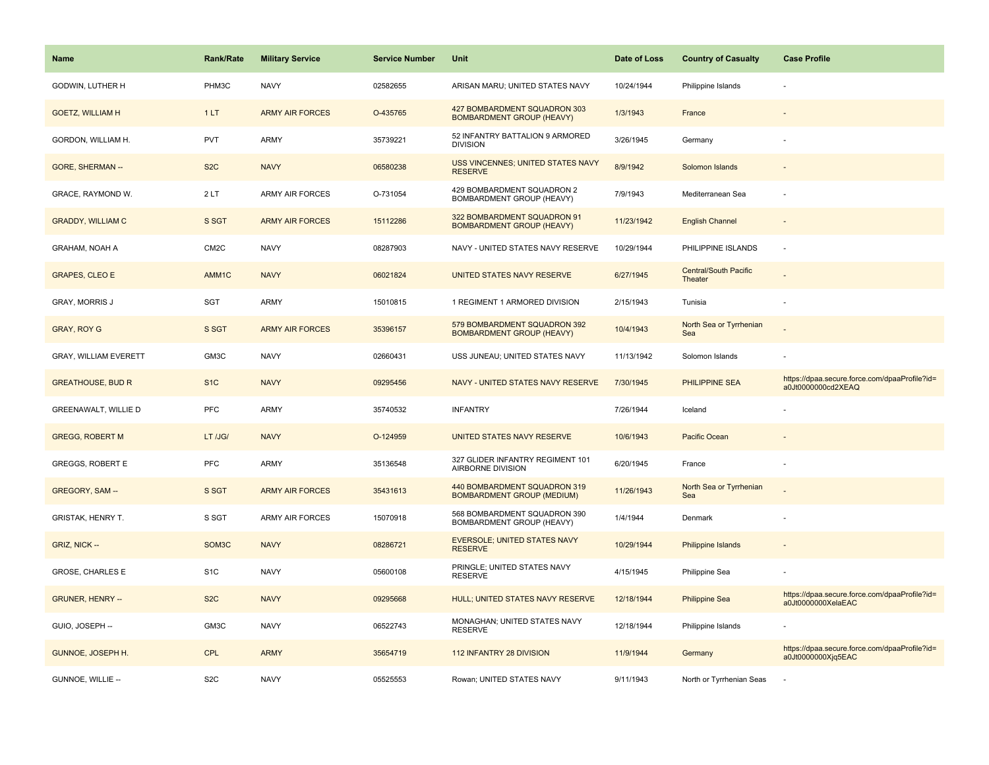| <b>Name</b>                  | <b>Rank/Rate</b>  | <b>Military Service</b> | <b>Service Number</b> | Unit                                                              | Date of Loss | <b>Country of Casualty</b>       | <b>Case Profile</b>                                                 |
|------------------------------|-------------------|-------------------------|-----------------------|-------------------------------------------------------------------|--------------|----------------------------------|---------------------------------------------------------------------|
| GODWIN, LUTHER H             | PHM3C             | <b>NAVY</b>             | 02582655              | ARISAN MARU; UNITED STATES NAVY                                   | 10/24/1944   | Philippine Islands               |                                                                     |
| <b>GOETZ, WILLIAM H</b>      | 1LT               | <b>ARMY AIR FORCES</b>  | O-435765              | 427 BOMBARDMENT SQUADRON 303<br><b>BOMBARDMENT GROUP (HEAVY)</b>  | 1/3/1943     | France                           |                                                                     |
| GORDON, WILLIAM H.           | <b>PVT</b>        | <b>ARMY</b>             | 35739221              | 52 INFANTRY BATTALION 9 ARMORED<br><b>DIVISION</b>                | 3/26/1945    | Germany                          |                                                                     |
| GORE, SHERMAN --             | S <sub>2</sub> C  | <b>NAVY</b>             | 06580238              | USS VINCENNES; UNITED STATES NAVY<br><b>RESERVE</b>               | 8/9/1942     | Solomon Islands                  |                                                                     |
| GRACE, RAYMOND W.            | 2LT               | ARMY AIR FORCES         | O-731054              | 429 BOMBARDMENT SQUADRON 2<br>BOMBARDMENT GROUP (HEAVY)           | 7/9/1943     | Mediterranean Sea                |                                                                     |
| <b>GRADDY, WILLIAM C</b>     | S SGT             | <b>ARMY AIR FORCES</b>  | 15112286              | 322 BOMBARDMENT SQUADRON 91<br><b>BOMBARDMENT GROUP (HEAVY)</b>   | 11/23/1942   | <b>English Channel</b>           |                                                                     |
| GRAHAM, NOAH A               | CM <sub>2</sub> C | <b>NAVY</b>             | 08287903              | NAVY - UNITED STATES NAVY RESERVE                                 | 10/29/1944   | PHILIPPINE ISLANDS               | $\sim$                                                              |
| <b>GRAPES, CLEO E</b>        | AMM1C             | <b>NAVY</b>             | 06021824              | UNITED STATES NAVY RESERVE                                        | 6/27/1945    | Central/South Pacific<br>Theater |                                                                     |
| <b>GRAY, MORRIS J</b>        | <b>SGT</b>        | ARMY                    | 15010815              | 1 REGIMENT 1 ARMORED DIVISION                                     | 2/15/1943    | Tunisia                          |                                                                     |
| <b>GRAY, ROY G</b>           | S SGT             | <b>ARMY AIR FORCES</b>  | 35396157              | 579 BOMBARDMENT SQUADRON 392<br><b>BOMBARDMENT GROUP (HEAVY)</b>  | 10/4/1943    | North Sea or Tyrrhenian<br>Sea   |                                                                     |
| <b>GRAY, WILLIAM EVERETT</b> | GM3C              | <b>NAVY</b>             | 02660431              | USS JUNEAU; UNITED STATES NAVY                                    | 11/13/1942   | Solomon Islands                  |                                                                     |
| <b>GREATHOUSE, BUD R</b>     | S <sub>1</sub> C  | <b>NAVY</b>             | 09295456              | NAVY - UNITED STATES NAVY RESERVE                                 | 7/30/1945    | PHILIPPINE SEA                   | https://dpaa.secure.force.com/dpaaProfile?id=<br>a0Jt0000000cd2XEAQ |
| GREENAWALT, WILLIE D         | <b>PFC</b>        | ARMY                    | 35740532              | <b>INFANTRY</b>                                                   | 7/26/1944    | Iceland                          |                                                                     |
| <b>GREGG, ROBERT M</b>       | LT /JG/           | <b>NAVY</b>             | O-124959              | UNITED STATES NAVY RESERVE                                        | 10/6/1943    | <b>Pacific Ocean</b>             |                                                                     |
| <b>GREGGS, ROBERT E</b>      | PFC               | <b>ARMY</b>             | 35136548              | 327 GLIDER INFANTRY REGIMENT 101<br>AIRBORNE DIVISION             | 6/20/1945    | France                           |                                                                     |
| GREGORY, SAM --              | S SGT             | <b>ARMY AIR FORCES</b>  | 35431613              | 440 BOMBARDMENT SQUADRON 319<br><b>BOMBARDMENT GROUP (MEDIUM)</b> | 11/26/1943   | North Sea or Tyrrhenian<br>Sea   |                                                                     |
| <b>GRISTAK, HENRY T.</b>     | S SGT             | <b>ARMY AIR FORCES</b>  | 15070918              | 568 BOMBARDMENT SQUADRON 390<br>BOMBARDMENT GROUP (HEAVY)         | 1/4/1944     | Denmark                          |                                                                     |
| GRIZ, NICK --                | SOM3C             | <b>NAVY</b>             | 08286721              | <b>EVERSOLE; UNITED STATES NAVY</b><br><b>RESERVE</b>             | 10/29/1944   | Philippine Islands               |                                                                     |
| <b>GROSE, CHARLES E</b>      | S <sub>1</sub> C  | <b>NAVY</b>             | 05600108              | PRINGLE: UNITED STATES NAVY<br><b>RESERVE</b>                     | 4/15/1945    | Philippine Sea                   |                                                                     |
| <b>GRUNER, HENRY --</b>      | S <sub>2</sub> C  | <b>NAVY</b>             | 09295668              | HULL; UNITED STATES NAVY RESERVE                                  | 12/18/1944   | <b>Philippine Sea</b>            | https://dpaa.secure.force.com/dpaaProfile?id=<br>a0Jt0000000XelaEAC |
| GUIO, JOSEPH --              | GM3C              | <b>NAVY</b>             | 06522743              | MONAGHAN; UNITED STATES NAVY<br><b>RESERVE</b>                    | 12/18/1944   | Philippine Islands               |                                                                     |
| <b>GUNNOE, JOSEPH H.</b>     | <b>CPL</b>        | <b>ARMY</b>             | 35654719              | 112 INFANTRY 28 DIVISION                                          | 11/9/1944    | Germany                          | https://dpaa.secure.force.com/dpaaProfile?id=<br>a0Jt0000000Xjq5EAC |
| GUNNOE, WILLIE --            | S <sub>2</sub> C  | <b>NAVY</b>             | 05525553              | Rowan; UNITED STATES NAVY                                         | 9/11/1943    | North or Tyrrhenian Seas         |                                                                     |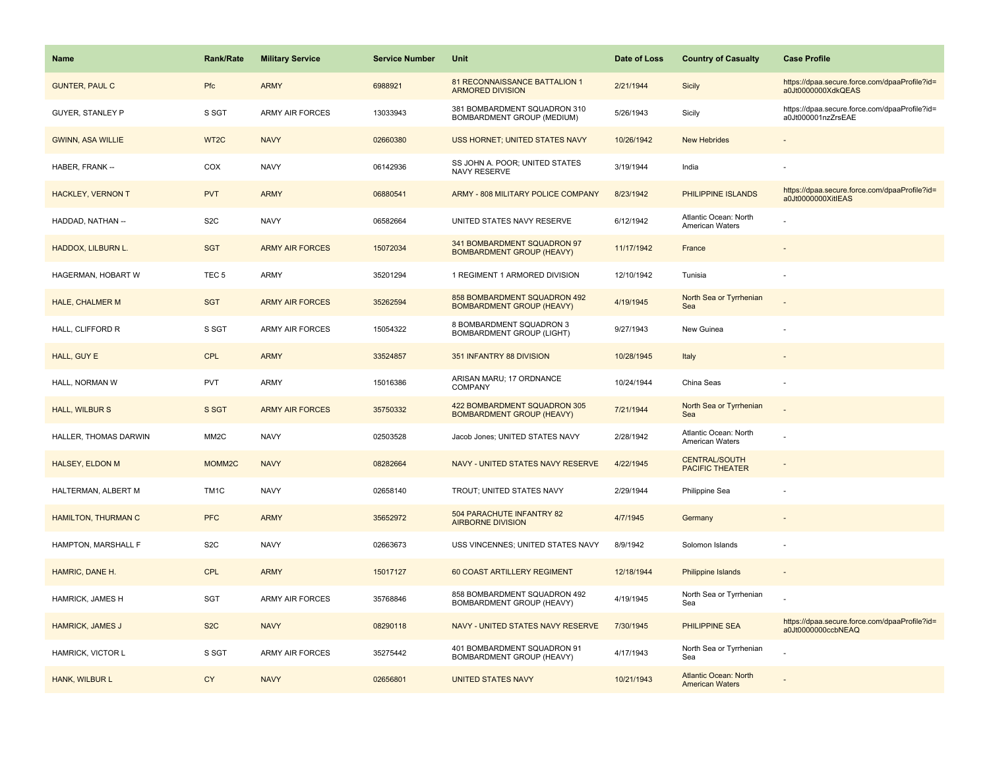| <b>Name</b>              | <b>Rank/Rate</b>  | <b>Military Service</b> | <b>Service Number</b> | Unit                                                             | Date of Loss | <b>Country of Casualty</b>                             | <b>Case Profile</b>                                                 |
|--------------------------|-------------------|-------------------------|-----------------------|------------------------------------------------------------------|--------------|--------------------------------------------------------|---------------------------------------------------------------------|
| <b>GUNTER, PAUL C</b>    | Pfc               | <b>ARMY</b>             | 6988921               | 81 RECONNAISSANCE BATTALION 1<br><b>ARMORED DIVISION</b>         | 2/21/1944    | <b>Sicily</b>                                          | https://dpaa.secure.force.com/dpaaProfile?id=<br>a0Jt0000000XdkQEAS |
| <b>GUYER, STANLEY P</b>  | S SGT             | <b>ARMY AIR FORCES</b>  | 13033943              | 381 BOMBARDMENT SQUADRON 310<br>BOMBARDMENT GROUP (MEDIUM)       | 5/26/1943    | Sicily                                                 | https://dpaa.secure.force.com/dpaaProfile?id=<br>a0Jt000001nzZrsEAE |
| <b>GWINN, ASA WILLIE</b> | WT <sub>2</sub> C | <b>NAVY</b>             | 02660380              | USS HORNET; UNITED STATES NAVY                                   | 10/26/1942   | <b>New Hebrides</b>                                    |                                                                     |
| HABER, FRANK --          | COX               | <b>NAVY</b>             | 06142936              | SS JOHN A. POOR; UNITED STATES<br>NAVY RESERVE                   | 3/19/1944    | India                                                  |                                                                     |
| <b>HACKLEY, VERNON T</b> | <b>PVT</b>        | <b>ARMY</b>             | 06880541              | ARMY - 808 MILITARY POLICE COMPANY                               | 8/23/1942    | PHILIPPINE ISLANDS                                     | https://dpaa.secure.force.com/dpaaProfile?id=<br>a0Jt0000000XitIEAS |
| HADDAD, NATHAN --        | S <sub>2</sub> C  | <b>NAVY</b>             | 06582664              | UNITED STATES NAVY RESERVE                                       | 6/12/1942    | Atlantic Ocean: North<br><b>American Waters</b>        |                                                                     |
| HADDOX, LILBURN L.       | <b>SGT</b>        | <b>ARMY AIR FORCES</b>  | 15072034              | 341 BOMBARDMENT SQUADRON 97<br><b>BOMBARDMENT GROUP (HEAVY)</b>  | 11/17/1942   | France                                                 |                                                                     |
| HAGERMAN, HOBART W       | TEC <sub>5</sub>  | ARMY                    | 35201294              | 1 REGIMENT 1 ARMORED DIVISION                                    | 12/10/1942   | Tunisia                                                |                                                                     |
| <b>HALE, CHALMER M</b>   | <b>SGT</b>        | <b>ARMY AIR FORCES</b>  | 35262594              | 858 BOMBARDMENT SQUADRON 492<br><b>BOMBARDMENT GROUP (HEAVY)</b> | 4/19/1945    | North Sea or Tyrrhenian<br>Sea                         |                                                                     |
| HALL, CLIFFORD R         | S SGT             | <b>ARMY AIR FORCES</b>  | 15054322              | 8 BOMBARDMENT SQUADRON 3<br><b>BOMBARDMENT GROUP (LIGHT)</b>     | 9/27/1943    | New Guinea                                             |                                                                     |
| HALL, GUY E              | <b>CPL</b>        | <b>ARMY</b>             | 33524857              | 351 INFANTRY 88 DIVISION                                         | 10/28/1945   | Italy                                                  |                                                                     |
| HALL, NORMAN W           | <b>PVT</b>        | ARMY                    | 15016386              | ARISAN MARU; 17 ORDNANCE<br>COMPANY                              | 10/24/1944   | China Seas                                             |                                                                     |
| <b>HALL, WILBUR S</b>    | S SGT             | <b>ARMY AIR FORCES</b>  | 35750332              | 422 BOMBARDMENT SQUADRON 305<br><b>BOMBARDMENT GROUP (HEAVY)</b> | 7/21/1944    | North Sea or Tyrrhenian<br>Sea                         |                                                                     |
| HALLER, THOMAS DARWIN    | MM <sub>2</sub> C | <b>NAVY</b>             | 02503528              | Jacob Jones; UNITED STATES NAVY                                  | 2/28/1942    | Atlantic Ocean: North<br>American Waters               |                                                                     |
| <b>HALSEY, ELDON M</b>   | MOMM2C            | <b>NAVY</b>             | 08282664              | NAVY - UNITED STATES NAVY RESERVE                                | 4/22/1945    | <b>CENTRAL/SOUTH</b><br><b>PACIFIC THEATER</b>         |                                                                     |
| HALTERMAN, ALBERT M      | TM1C              | <b>NAVY</b>             | 02658140              | TROUT; UNITED STATES NAVY                                        | 2/29/1944    | Philippine Sea                                         |                                                                     |
| HAMILTON, THURMAN C      | <b>PFC</b>        | <b>ARMY</b>             | 35652972              | 504 PARACHUTE INFANTRY 82<br><b>AIRBORNE DIVISION</b>            | 4/7/1945     | Germany                                                |                                                                     |
| HAMPTON, MARSHALL F      | S <sub>2</sub> C  | <b>NAVY</b>             | 02663673              | USS VINCENNES; UNITED STATES NAVY                                | 8/9/1942     | Solomon Islands                                        |                                                                     |
| HAMRIC, DANE H.          | <b>CPL</b>        | <b>ARMY</b>             | 15017127              | 60 COAST ARTILLERY REGIMENT                                      | 12/18/1944   | <b>Philippine Islands</b>                              |                                                                     |
| HAMRICK, JAMES H         | <b>SGT</b>        | <b>ARMY AIR FORCES</b>  | 35768846              | 858 BOMBARDMENT SQUADRON 492<br>BOMBARDMENT GROUP (HEAVY)        | 4/19/1945    | North Sea or Tyrrhenian<br>Sea                         |                                                                     |
| <b>HAMRICK, JAMES J</b>  | S <sub>2</sub> C  | <b>NAVY</b>             | 08290118              | NAVY - UNITED STATES NAVY RESERVE                                | 7/30/1945    | PHILIPPINE SEA                                         | https://dpaa.secure.force.com/dpaaProfile?id=<br>a0Jt0000000ccbNEAQ |
| HAMRICK, VICTOR L        | S SGT             | <b>ARMY AIR FORCES</b>  | 35275442              | 401 BOMBARDMENT SQUADRON 91<br>BOMBARDMENT GROUP (HEAVY)         | 4/17/1943    | North Sea or Tyrrhenian<br>Sea                         |                                                                     |
| HANK, WILBUR L           | <b>CY</b>         | <b>NAVY</b>             | 02656801              | <b>UNITED STATES NAVY</b>                                        | 10/21/1943   | <b>Atlantic Ocean: North</b><br><b>American Waters</b> |                                                                     |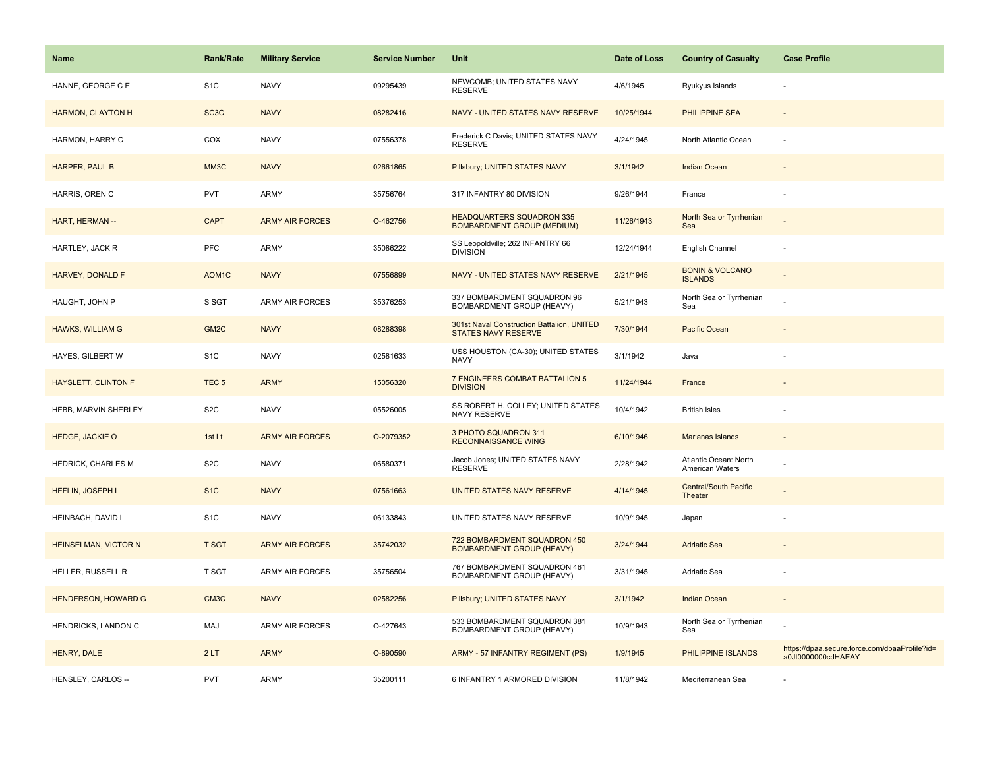| <b>Name</b>                 | <b>Rank/Rate</b>   | <b>Military Service</b> | <b>Service Number</b> | Unit                                                                  | Date of Loss | <b>Country of Casualty</b>                   | <b>Case Profile</b>                                                 |
|-----------------------------|--------------------|-------------------------|-----------------------|-----------------------------------------------------------------------|--------------|----------------------------------------------|---------------------------------------------------------------------|
| HANNE, GEORGE C E           | S <sub>1</sub> C   | <b>NAVY</b>             | 09295439              | NEWCOMB; UNITED STATES NAVY<br><b>RESERVE</b>                         | 4/6/1945     | Ryukyus Islands                              |                                                                     |
| HARMON, CLAYTON H           | SC <sub>3</sub> C  | <b>NAVY</b>             | 08282416              | NAVY - UNITED STATES NAVY RESERVE                                     | 10/25/1944   | <b>PHILIPPINE SEA</b>                        |                                                                     |
| HARMON, HARRY C             | COX                | <b>NAVY</b>             | 07556378              | Frederick C Davis; UNITED STATES NAVY<br><b>RESERVE</b>               | 4/24/1945    | North Atlantic Ocean                         |                                                                     |
| <b>HARPER, PAUL B</b>       | MM3C               | <b>NAVY</b>             | 02661865              | Pillsbury; UNITED STATES NAVY                                         | 3/1/1942     | <b>Indian Ocean</b>                          |                                                                     |
| HARRIS, OREN C              | <b>PVT</b>         | <b>ARMY</b>             | 35756764              | 317 INFANTRY 80 DIVISION                                              | 9/26/1944    | France                                       |                                                                     |
| HART, HERMAN --             | <b>CAPT</b>        | <b>ARMY AIR FORCES</b>  | O-462756              | <b>HEADQUARTERS SQUADRON 335</b><br><b>BOMBARDMENT GROUP (MEDIUM)</b> | 11/26/1943   | North Sea or Tyrrhenian<br>Sea               |                                                                     |
| HARTLEY, JACK R             | PFC                | <b>ARMY</b>             | 35086222              | SS Leopoldville; 262 INFANTRY 66<br><b>DIVISION</b>                   | 12/24/1944   | English Channel                              |                                                                     |
| <b>HARVEY, DONALD F</b>     | AOM <sub>1</sub> C | <b>NAVY</b>             | 07556899              | NAVY - UNITED STATES NAVY RESERVE                                     | 2/21/1945    | <b>BONIN &amp; VOLCANO</b><br><b>ISLANDS</b> |                                                                     |
| HAUGHT, JOHN P              | S SGT              | ARMY AIR FORCES         | 35376253              | 337 BOMBARDMENT SQUADRON 96<br>BOMBARDMENT GROUP (HEAVY)              | 5/21/1943    | North Sea or Tyrrhenian<br>Sea               |                                                                     |
| <b>HAWKS, WILLIAM G</b>     | GM <sub>2</sub> C  | <b>NAVY</b>             | 08288398              | 301st Naval Construction Battalion, UNITED<br>STATES NAVY RESERVE     | 7/30/1944    | <b>Pacific Ocean</b>                         |                                                                     |
| HAYES, GILBERT W            | S <sub>1</sub> C   | <b>NAVY</b>             | 02581633              | USS HOUSTON (CA-30); UNITED STATES<br><b>NAVY</b>                     | 3/1/1942     | Java                                         |                                                                     |
| <b>HAYSLETT, CLINTON F</b>  | TEC <sub>5</sub>   | <b>ARMY</b>             | 15056320              | 7 ENGINEERS COMBAT BATTALION 5<br><b>DIVISION</b>                     | 11/24/1944   | France                                       |                                                                     |
| HEBB, MARVIN SHERLEY        | S <sub>2</sub> C   | <b>NAVY</b>             | 05526005              | SS ROBERT H. COLLEY; UNITED STATES<br>NAVY RESERVE                    | 10/4/1942    | <b>British Isles</b>                         |                                                                     |
| <b>HEDGE, JACKIE O</b>      | 1st Lt             | <b>ARMY AIR FORCES</b>  | O-2079352             | 3 PHOTO SQUADRON 311<br><b>RECONNAISSANCE WING</b>                    | 6/10/1946    | Marianas Islands                             |                                                                     |
| HEDRICK, CHARLES M          | S <sub>2</sub> C   | <b>NAVY</b>             | 06580371              | Jacob Jones; UNITED STATES NAVY<br><b>RESERVE</b>                     | 2/28/1942    | Atlantic Ocean: North<br>American Waters     |                                                                     |
| HEFLIN, JOSEPH L            | S <sub>1</sub> C   | <b>NAVY</b>             | 07561663              | UNITED STATES NAVY RESERVE                                            | 4/14/1945    | <b>Central/South Pacific</b><br>Theater      |                                                                     |
| HEINBACH, DAVID L           | S <sub>1</sub> C   | <b>NAVY</b>             | 06133843              | UNITED STATES NAVY RESERVE                                            | 10/9/1945    | Japan                                        |                                                                     |
| <b>HEINSELMAN, VICTOR N</b> | <b>T SGT</b>       | <b>ARMY AIR FORCES</b>  | 35742032              | 722 BOMBARDMENT SQUADRON 450<br><b>BOMBARDMENT GROUP (HEAVY)</b>      | 3/24/1944    | <b>Adriatic Sea</b>                          |                                                                     |
| HELLER, RUSSELL R           | <b>T SGT</b>       | ARMY AIR FORCES         | 35756504              | 767 BOMBARDMENT SQUADRON 461<br>BOMBARDMENT GROUP (HEAVY)             | 3/31/1945    | Adriatic Sea                                 |                                                                     |
| <b>HENDERSON, HOWARD G</b>  | CM3C               | <b>NAVY</b>             | 02582256              | Pillsbury; UNITED STATES NAVY                                         | 3/1/1942     | Indian Ocean                                 | $\sim$                                                              |
| HENDRICKS, LANDON C         | MAJ                | <b>ARMY AIR FORCES</b>  | O-427643              | 533 BOMBARDMENT SQUADRON 381<br>BOMBARDMENT GROUP (HEAVY)             | 10/9/1943    | North Sea or Tyrrhenian<br>Sea               |                                                                     |
| HENRY, DALE                 | 2LT                | <b>ARMY</b>             | O-890590              | ARMY - 57 INFANTRY REGIMENT (PS)                                      | 1/9/1945     | PHILIPPINE ISLANDS                           | https://dpaa.secure.force.com/dpaaProfile?id=<br>a0Jt0000000cdHAEAY |
| HENSLEY, CARLOS --          | <b>PVT</b>         | <b>ARMY</b>             | 35200111              | 6 INFANTRY 1 ARMORED DIVISION                                         | 11/8/1942    | Mediterranean Sea                            |                                                                     |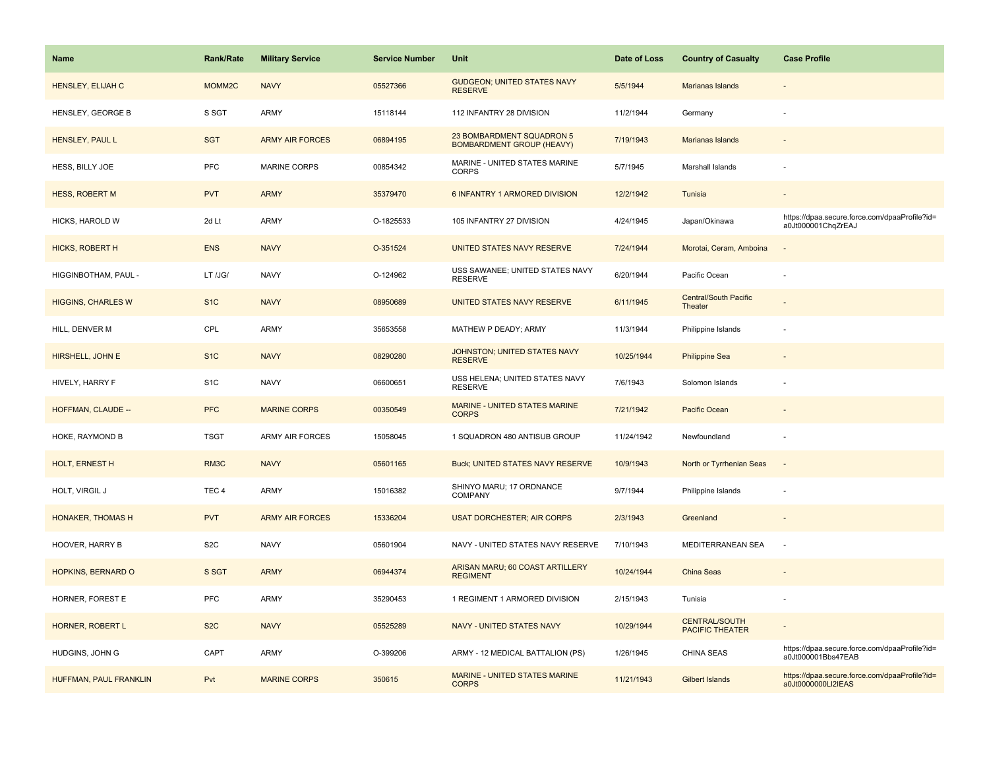| <b>Name</b>               | <b>Rank/Rate</b> | <b>Military Service</b> | <b>Service Number</b> | Unit                                                          | Date of Loss | <b>Country of Casualty</b>                     | <b>Case Profile</b>                                                 |
|---------------------------|------------------|-------------------------|-----------------------|---------------------------------------------------------------|--------------|------------------------------------------------|---------------------------------------------------------------------|
| HENSLEY, ELIJAH C         | MOMM2C           | <b>NAVY</b>             | 05527366              | <b>GUDGEON; UNITED STATES NAVY</b><br><b>RESERVE</b>          | 5/5/1944     | Marianas Islands                               |                                                                     |
| HENSLEY, GEORGE B         | S SGT            | ARMY                    | 15118144              | 112 INFANTRY 28 DIVISION                                      | 11/2/1944    | Germany                                        |                                                                     |
| HENSLEY, PAUL L           | <b>SGT</b>       | <b>ARMY AIR FORCES</b>  | 06894195              | 23 BOMBARDMENT SQUADRON 5<br><b>BOMBARDMENT GROUP (HEAVY)</b> | 7/19/1943    | Marianas Islands                               |                                                                     |
| HESS, BILLY JOE           | PFC              | <b>MARINE CORPS</b>     | 00854342              | MARINE - UNITED STATES MARINE<br><b>CORPS</b>                 | 5/7/1945     | Marshall Islands                               |                                                                     |
| <b>HESS, ROBERT M</b>     | <b>PVT</b>       | <b>ARMY</b>             | 35379470              | 6 INFANTRY 1 ARMORED DIVISION                                 | 12/2/1942    | Tunisia                                        |                                                                     |
| HICKS, HAROLD W           | 2d Lt            | ARMY                    | O-1825533             | 105 INFANTRY 27 DIVISION                                      | 4/24/1945    | Japan/Okinawa                                  | https://dpaa.secure.force.com/dpaaProfile?id=<br>a0Jt000001ChqZrEAJ |
| <b>HICKS, ROBERT H</b>    | <b>ENS</b>       | <b>NAVY</b>             | O-351524              | UNITED STATES NAVY RESERVE                                    | 7/24/1944    | Morotai, Ceram, Amboina                        |                                                                     |
| HIGGINBOTHAM, PAUL -      | LT /JG/          | <b>NAVY</b>             | O-124962              | USS SAWANEE; UNITED STATES NAVY<br><b>RESERVE</b>             | 6/20/1944    | Pacific Ocean                                  |                                                                     |
| <b>HIGGINS, CHARLES W</b> | S <sub>1</sub> C | <b>NAVY</b>             | 08950689              | UNITED STATES NAVY RESERVE                                    | 6/11/1945    | Central/South Pacific<br>Theater               |                                                                     |
| HILL, DENVER M            | CPL              | ARMY                    | 35653558              | MATHEW P DEADY; ARMY                                          | 11/3/1944    | Philippine Islands                             |                                                                     |
| HIRSHELL, JOHN E          | S <sub>1</sub> C | <b>NAVY</b>             | 08290280              | JOHNSTON; UNITED STATES NAVY<br><b>RESERVE</b>                | 10/25/1944   | <b>Philippine Sea</b>                          |                                                                     |
| HIVELY, HARRY F           | S <sub>1</sub> C | <b>NAVY</b>             | 06600651              | USS HELENA; UNITED STATES NAVY<br><b>RESERVE</b>              | 7/6/1943     | Solomon Islands                                |                                                                     |
| HOFFMAN, CLAUDE --        | <b>PFC</b>       | <b>MARINE CORPS</b>     | 00350549              | MARINE - UNITED STATES MARINE<br><b>CORPS</b>                 | 7/21/1942    | Pacific Ocean                                  |                                                                     |
| HOKE, RAYMOND B           | <b>TSGT</b>      | <b>ARMY AIR FORCES</b>  | 15058045              | 1 SQUADRON 480 ANTISUB GROUP                                  | 11/24/1942   | Newfoundland                                   |                                                                     |
| HOLT, ERNEST H            | RM3C             | <b>NAVY</b>             | 05601165              | <b>Buck; UNITED STATES NAVY RESERVE</b>                       | 10/9/1943    | North or Tyrrhenian Seas                       | $\sim$                                                              |
| HOLT, VIRGIL J            | TEC <sub>4</sub> | ARMY                    | 15016382              | SHINYO MARU; 17 ORDNANCE<br><b>COMPANY</b>                    | 9/7/1944     | Philippine Islands                             |                                                                     |
| <b>HONAKER, THOMAS H</b>  | <b>PVT</b>       | <b>ARMY AIR FORCES</b>  | 15336204              | <b>USAT DORCHESTER; AIR CORPS</b>                             | 2/3/1943     | Greenland                                      |                                                                     |
| <b>HOOVER, HARRY B</b>    | S <sub>2</sub> C | <b>NAVY</b>             | 05601904              | NAVY - UNITED STATES NAVY RESERVE                             | 7/10/1943    | MEDITERRANEAN SEA                              |                                                                     |
| HOPKINS, BERNARD O        | S SGT            | <b>ARMY</b>             | 06944374              | ARISAN MARU; 60 COAST ARTILLERY<br><b>REGIMENT</b>            | 10/24/1944   | <b>China Seas</b>                              |                                                                     |
| HORNER, FOREST E          | PFC              | ARMY                    | 35290453              | 1 REGIMENT 1 ARMORED DIVISION                                 | 2/15/1943    | Tunisia                                        |                                                                     |
| HORNER, ROBERT L          | S <sub>2</sub> C | <b>NAVY</b>             | 05525289              | NAVY - UNITED STATES NAVY                                     | 10/29/1944   | <b>CENTRAL/SOUTH</b><br><b>PACIFIC THEATER</b> |                                                                     |
| HUDGINS, JOHN G           | CAPT             | <b>ARMY</b>             | O-399206              | ARMY - 12 MEDICAL BATTALION (PS)                              | 1/26/1945    | CHINA SEAS                                     | https://dpaa.secure.force.com/dpaaProfile?id=<br>a0Jt000001Bbs47EAB |
| HUFFMAN, PAUL FRANKLIN    | Pvt              | <b>MARINE CORPS</b>     | 350615                | <b>MARINE - UNITED STATES MARINE</b><br><b>CORPS</b>          | 11/21/1943   | <b>Gilbert Islands</b>                         | https://dpaa.secure.force.com/dpaaProfile?id=<br>a0Jt0000000LI2IEAS |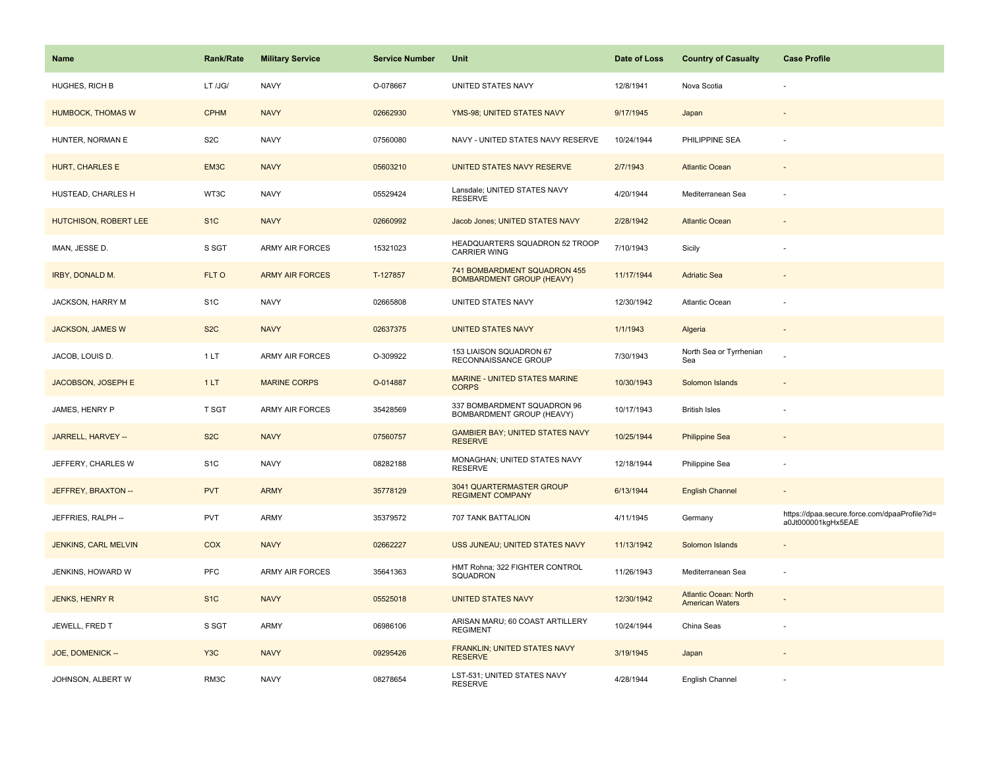| Name                     | <b>Rank/Rate</b> | <b>Military Service</b> | <b>Service Number</b> | Unit                                                             | Date of Loss | <b>Country of Casualty</b>                      | <b>Case Profile</b>                                                 |
|--------------------------|------------------|-------------------------|-----------------------|------------------------------------------------------------------|--------------|-------------------------------------------------|---------------------------------------------------------------------|
| <b>HUGHES, RICH B</b>    | LT /JG/          | <b>NAVY</b>             | O-078667              | UNITED STATES NAVY                                               | 12/8/1941    | Nova Scotia                                     |                                                                     |
| <b>HUMBOCK, THOMAS W</b> | <b>CPHM</b>      | <b>NAVY</b>             | 02662930              | YMS-98; UNITED STATES NAVY                                       | 9/17/1945    | Japan                                           |                                                                     |
| HUNTER, NORMAN E         | S <sub>2</sub> C | <b>NAVY</b>             | 07560080              | NAVY - UNITED STATES NAVY RESERVE                                | 10/24/1944   | PHILIPPINE SEA                                  |                                                                     |
| HURT, CHARLES E          | EM3C             | <b>NAVY</b>             | 05603210              | UNITED STATES NAVY RESERVE                                       | 2/7/1943     | <b>Atlantic Ocean</b>                           |                                                                     |
| HUSTEAD, CHARLES H       | WT3C             | <b>NAVY</b>             | 05529424              | Lansdale; UNITED STATES NAVY<br><b>RESERVE</b>                   | 4/20/1944    | Mediterranean Sea                               |                                                                     |
| HUTCHISON, ROBERT LEE    | S <sub>1</sub> C | <b>NAVY</b>             | 02660992              | Jacob Jones; UNITED STATES NAVY                                  | 2/28/1942    | <b>Atlantic Ocean</b>                           |                                                                     |
| IMAN, JESSE D.           | S SGT            | <b>ARMY AIR FORCES</b>  | 15321023              | HEADQUARTERS SQUADRON 52 TROOP<br><b>CARRIER WING</b>            | 7/10/1943    | Sicily                                          |                                                                     |
| IRBY, DONALD M.          | FLT O            | <b>ARMY AIR FORCES</b>  | T-127857              | 741 BOMBARDMENT SQUADRON 455<br><b>BOMBARDMENT GROUP (HEAVY)</b> | 11/17/1944   | <b>Adriatic Sea</b>                             |                                                                     |
| JACKSON, HARRY M         | S <sub>1</sub> C | <b>NAVY</b>             | 02665808              | UNITED STATES NAVY                                               | 12/30/1942   | Atlantic Ocean                                  |                                                                     |
| <b>JACKSON, JAMES W</b>  | S <sub>2</sub> C | <b>NAVY</b>             | 02637375              | <b>UNITED STATES NAVY</b>                                        | 1/1/1943     | Algeria                                         |                                                                     |
| JACOB, LOUIS D.          | 1LT              | ARMY AIR FORCES         | O-309922              | 153 LIAISON SQUADRON 67<br>RECONNAISSANCE GROUP                  | 7/30/1943    | North Sea or Tyrrhenian<br>Sea                  |                                                                     |
| JACOBSON, JOSEPH E       | 1LT              | <b>MARINE CORPS</b>     | O-014887              | <b>MARINE - UNITED STATES MARINE</b><br><b>CORPS</b>             | 10/30/1943   | Solomon Islands                                 |                                                                     |
| JAMES, HENRY P           | T SGT            | <b>ARMY AIR FORCES</b>  | 35428569              | 337 BOMBARDMENT SQUADRON 96<br>BOMBARDMENT GROUP (HEAVY)         | 10/17/1943   | <b>British Isles</b>                            |                                                                     |
| JARRELL, HARVEY --       | S <sub>2</sub> C | <b>NAVY</b>             | 07560757              | <b>GAMBIER BAY; UNITED STATES NAVY</b><br><b>RESERVE</b>         | 10/25/1944   | <b>Philippine Sea</b>                           |                                                                     |
| JEFFERY, CHARLES W       | S <sub>1</sub> C | <b>NAVY</b>             | 08282188              | MONAGHAN; UNITED STATES NAVY<br><b>RESERVE</b>                   | 12/18/1944   | Philippine Sea                                  |                                                                     |
| JEFFREY, BRAXTON --      | <b>PVT</b>       | <b>ARMY</b>             | 35778129              | 3041 QUARTERMASTER GROUP<br><b>REGIMENT COMPANY</b>              | 6/13/1944    | <b>English Channel</b>                          |                                                                     |
| JEFFRIES, RALPH --       | <b>PVT</b>       | ARMY                    | 35379572              | 707 TANK BATTALION                                               | 4/11/1945    | Germany                                         | https://dpaa.secure.force.com/dpaaProfile?id=<br>a0Jt000001kgHx5EAE |
| JENKINS, CARL MELVIN     | COX              | <b>NAVY</b>             | 02662227              | USS JUNEAU; UNITED STATES NAVY                                   | 11/13/1942   | Solomon Islands                                 |                                                                     |
| JENKINS, HOWARD W        | <b>PFC</b>       | <b>ARMY AIR FORCES</b>  | 35641363              | HMT Rohna; 322 FIGHTER CONTROL<br>SQUADRON                       | 11/26/1943   | Mediterranean Sea                               |                                                                     |
| <b>JENKS, HENRY R</b>    | S <sub>1C</sub>  | <b>NAVY</b>             | 05525018              | <b>UNITED STATES NAVY</b>                                        | 12/30/1942   | Atlantic Ocean: North<br><b>American Waters</b> |                                                                     |
| JEWELL, FRED T           | S SGT            | ARMY                    | 06986106              | ARISAN MARU; 60 COAST ARTILLERY<br><b>REGIMENT</b>               | 10/24/1944   | China Seas                                      |                                                                     |
| JOE, DOMENICK --         | Y <sub>3</sub> C | <b>NAVY</b>             | 09295426              | FRANKLIN; UNITED STATES NAVY<br><b>RESERVE</b>                   | 3/19/1945    | Japan                                           |                                                                     |
| JOHNSON, ALBERT W        | RM3C             | <b>NAVY</b>             | 08278654              | LST-531; UNITED STATES NAVY<br><b>RESERVE</b>                    | 4/28/1944    | English Channel                                 |                                                                     |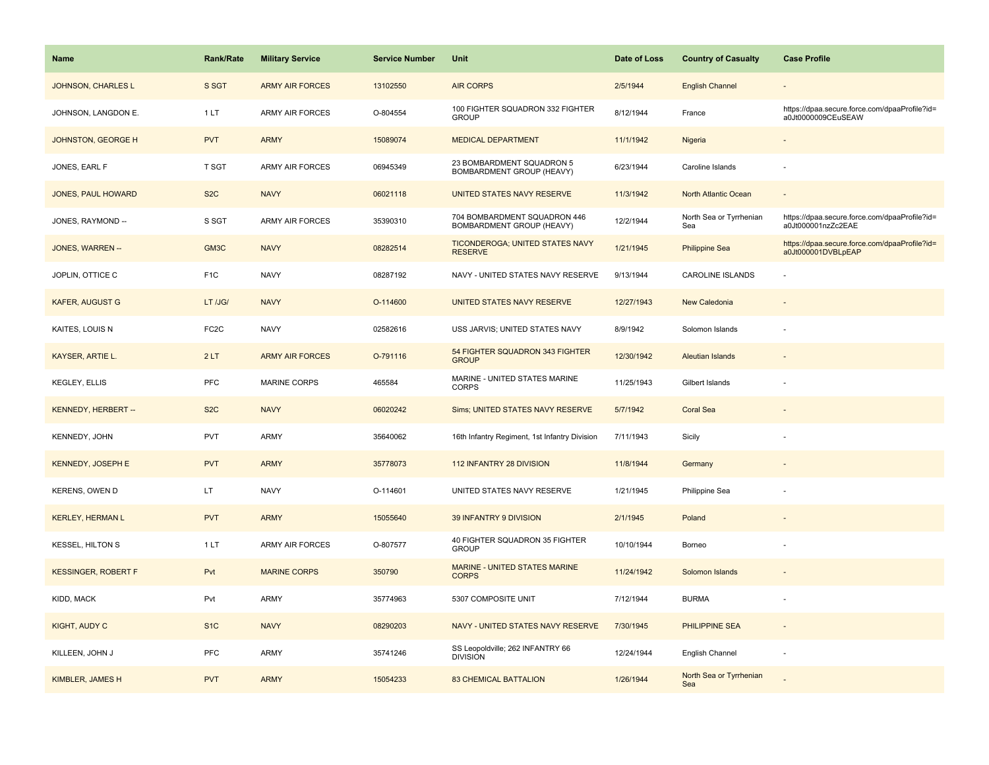| <b>Name</b>                | Rank/Rate         | <b>Military Service</b> | <b>Service Number</b> | Unit                                                      | Date of Loss | <b>Country of Casualty</b>     | <b>Case Profile</b>                                                 |
|----------------------------|-------------------|-------------------------|-----------------------|-----------------------------------------------------------|--------------|--------------------------------|---------------------------------------------------------------------|
| JOHNSON, CHARLES L         | S SGT             | <b>ARMY AIR FORCES</b>  | 13102550              | <b>AIR CORPS</b>                                          | 2/5/1944     | <b>English Channel</b>         |                                                                     |
| JOHNSON, LANGDON E.        | 1LT               | ARMY AIR FORCES         | O-804554              | 100 FIGHTER SQUADRON 332 FIGHTER<br><b>GROUP</b>          | 8/12/1944    | France                         | https://dpaa.secure.force.com/dpaaProfile?id=<br>a0Jt0000009CEuSEAW |
| <b>JOHNSTON, GEORGE H</b>  | <b>PVT</b>        | <b>ARMY</b>             | 15089074              | <b>MEDICAL DEPARTMENT</b>                                 | 11/1/1942    | Nigeria                        |                                                                     |
| JONES, EARL F              | T SGT             | <b>ARMY AIR FORCES</b>  | 06945349              | 23 BOMBARDMENT SQUADRON 5<br>BOMBARDMENT GROUP (HEAVY)    | 6/23/1944    | Caroline Islands               |                                                                     |
| <b>JONES, PAUL HOWARD</b>  | S <sub>2</sub> C  | <b>NAVY</b>             | 06021118              | UNITED STATES NAVY RESERVE                                | 11/3/1942    | <b>North Atlantic Ocean</b>    |                                                                     |
| JONES, RAYMOND --          | S SGT             | <b>ARMY AIR FORCES</b>  | 35390310              | 704 BOMBARDMENT SQUADRON 446<br>BOMBARDMENT GROUP (HEAVY) | 12/2/1944    | North Sea or Tyrrhenian<br>Sea | https://dpaa.secure.force.com/dpaaProfile?id=<br>a0Jt000001nzZc2EAE |
| JONES, WARREN --           | GM3C              | <b>NAVY</b>             | 08282514              | <b>TICONDEROGA; UNITED STATES NAVY</b><br><b>RESERVE</b>  | 1/21/1945    | <b>Philippine Sea</b>          | https://dpaa.secure.force.com/dpaaProfile?id=<br>a0Jt000001DVBLpEAP |
| JOPLIN, OTTICE C           | F <sub>1</sub> C  | <b>NAVY</b>             | 08287192              | NAVY - UNITED STATES NAVY RESERVE                         | 9/13/1944    | CAROLINE ISLANDS               |                                                                     |
| <b>KAFER, AUGUST G</b>     | LT /JG/           | <b>NAVY</b>             | O-114600              | UNITED STATES NAVY RESERVE                                | 12/27/1943   | New Caledonia                  |                                                                     |
| KAITES, LOUIS N            | FC <sub>2</sub> C | <b>NAVY</b>             | 02582616              | USS JARVIS; UNITED STATES NAVY                            | 8/9/1942     | Solomon Islands                |                                                                     |
| KAYSER, ARTIE L.           | 2LT               | <b>ARMY AIR FORCES</b>  | O-791116              | 54 FIGHTER SQUADRON 343 FIGHTER<br><b>GROUP</b>           | 12/30/1942   | <b>Aleutian Islands</b>        |                                                                     |
| <b>KEGLEY, ELLIS</b>       | <b>PFC</b>        | <b>MARINE CORPS</b>     | 465584                | MARINE - UNITED STATES MARINE<br><b>CORPS</b>             | 11/25/1943   | Gilbert Islands                |                                                                     |
| KENNEDY, HERBERT --        | S <sub>2</sub> C  | <b>NAVY</b>             | 06020242              | Sims; UNITED STATES NAVY RESERVE                          | 5/7/1942     | <b>Coral Sea</b>               | $\overline{a}$                                                      |
| <b>KENNEDY, JOHN</b>       | <b>PVT</b>        | <b>ARMY</b>             | 35640062              | 16th Infantry Regiment, 1st Infantry Division             | 7/11/1943    | Sicily                         |                                                                     |
| <b>KENNEDY, JOSEPH E</b>   | <b>PVT</b>        | <b>ARMY</b>             | 35778073              | 112 INFANTRY 28 DIVISION                                  | 11/8/1944    | Germany                        |                                                                     |
| <b>KERENS, OWEN D</b>      | LT                | <b>NAVY</b>             | O-114601              | UNITED STATES NAVY RESERVE                                | 1/21/1945    | Philippine Sea                 |                                                                     |
| <b>KERLEY, HERMAN L</b>    | <b>PVT</b>        | <b>ARMY</b>             | 15055640              | 39 INFANTRY 9 DIVISION                                    | 2/1/1945     | Poland                         |                                                                     |
| <b>KESSEL, HILTON S</b>    | 1LT               | <b>ARMY AIR FORCES</b>  | O-807577              | 40 FIGHTER SQUADRON 35 FIGHTER<br><b>GROUP</b>            | 10/10/1944   | Borneo                         |                                                                     |
| <b>KESSINGER, ROBERT F</b> | Pvt               | <b>MARINE CORPS</b>     | 350790                | <b>MARINE - UNITED STATES MARINE</b><br><b>CORPS</b>      | 11/24/1942   | Solomon Islands                |                                                                     |
| KIDD, MACK                 | Pvt               | <b>ARMY</b>             | 35774963              | 5307 COMPOSITE UNIT                                       | 7/12/1944    | <b>BURMA</b>                   |                                                                     |
| KIGHT, AUDY C              | S <sub>1</sub> C  | <b>NAVY</b>             | 08290203              | NAVY - UNITED STATES NAVY RESERVE                         | 7/30/1945    | <b>PHILIPPINE SEA</b>          | $\overline{\phantom{a}}$                                            |
| KILLEEN, JOHN J            | <b>PFC</b>        | ARMY                    | 35741246              | SS Leopoldville; 262 INFANTRY 66<br><b>DIVISION</b>       | 12/24/1944   | English Channel                | ÷,                                                                  |
| KIMBLER, JAMES H           | <b>PVT</b>        | <b>ARMY</b>             | 15054233              | <b>83 CHEMICAL BATTALION</b>                              | 1/26/1944    | North Sea or Tyrrhenian<br>Sea |                                                                     |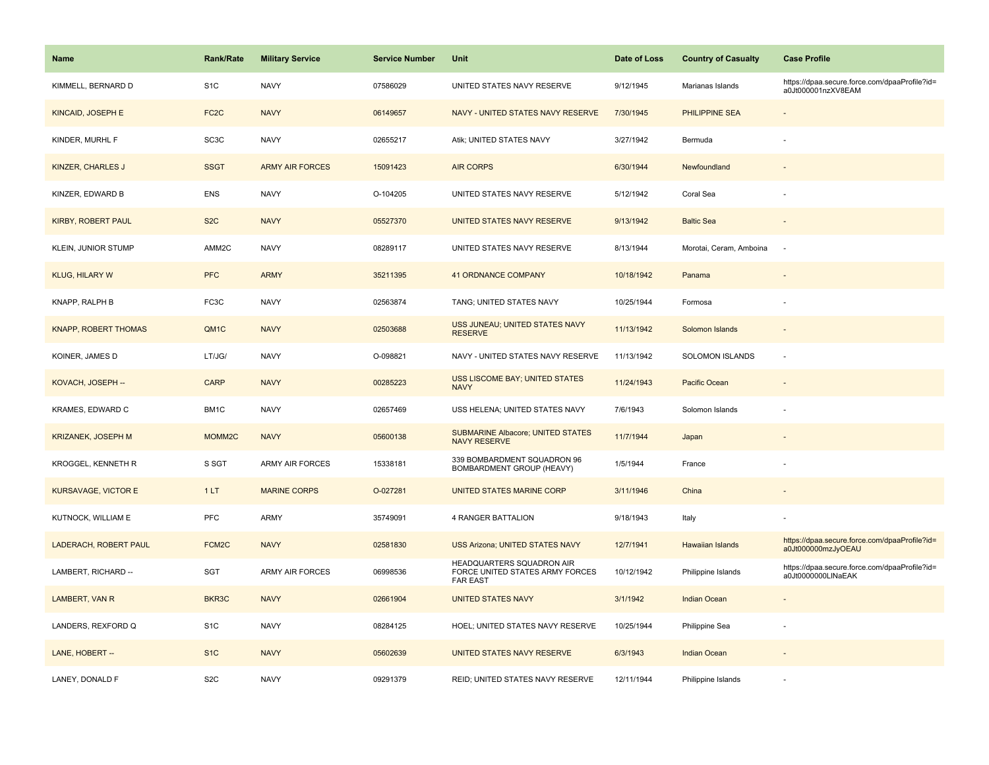| <b>Name</b>                 | <b>Rank/Rate</b>   | <b>Military Service</b> | <b>Service Number</b> | Unit                                                                            | Date of Loss | <b>Country of Casualty</b> | <b>Case Profile</b>                                                 |
|-----------------------------|--------------------|-------------------------|-----------------------|---------------------------------------------------------------------------------|--------------|----------------------------|---------------------------------------------------------------------|
| KIMMELL, BERNARD D          | S <sub>1</sub> C   | <b>NAVY</b>             | 07586029              | UNITED STATES NAVY RESERVE                                                      | 9/12/1945    | Marianas Islands           | https://dpaa.secure.force.com/dpaaProfile?id=<br>a0Jt000001nzXV8EAM |
| <b>KINCAID, JOSEPH E</b>    | FC <sub>2</sub> C  | <b>NAVY</b>             | 06149657              | NAVY - UNITED STATES NAVY RESERVE                                               | 7/30/1945    | <b>PHILIPPINE SEA</b>      |                                                                     |
| KINDER, MURHL F             | SC <sub>3</sub> C  | <b>NAVY</b>             | 02655217              | Atik; UNITED STATES NAVY                                                        | 3/27/1942    | Bermuda                    |                                                                     |
| <b>KINZER, CHARLES J</b>    | <b>SSGT</b>        | <b>ARMY AIR FORCES</b>  | 15091423              | <b>AIR CORPS</b>                                                                | 6/30/1944    | Newfoundland               |                                                                     |
| KINZER, EDWARD B            | ENS                | <b>NAVY</b>             | O-104205              | UNITED STATES NAVY RESERVE                                                      | 5/12/1942    | Coral Sea                  |                                                                     |
| KIRBY, ROBERT PAUL          | S <sub>2</sub> C   | <b>NAVY</b>             | 05527370              | UNITED STATES NAVY RESERVE                                                      | 9/13/1942    | <b>Baltic Sea</b>          |                                                                     |
| KLEIN, JUNIOR STUMP         | AMM2C              | <b>NAVY</b>             | 08289117              | UNITED STATES NAVY RESERVE                                                      | 8/13/1944    | Morotai, Ceram, Amboina    | $\sim$                                                              |
| <b>KLUG, HILARY W</b>       | <b>PFC</b>         | <b>ARMY</b>             | 35211395              | <b>41 ORDNANCE COMPANY</b>                                                      | 10/18/1942   | Panama                     |                                                                     |
| KNAPP, RALPH B              | FC3C               | <b>NAVY</b>             | 02563874              | TANG; UNITED STATES NAVY                                                        | 10/25/1944   | Formosa                    |                                                                     |
| <b>KNAPP, ROBERT THOMAS</b> | QM1C               | <b>NAVY</b>             | 02503688              | USS JUNEAU; UNITED STATES NAVY<br><b>RESERVE</b>                                | 11/13/1942   | Solomon Islands            |                                                                     |
| KOINER, JAMES D             | LT/JG/             | <b>NAVY</b>             | O-098821              | NAVY - UNITED STATES NAVY RESERVE                                               | 11/13/1942   | <b>SOLOMON ISLANDS</b>     |                                                                     |
| KOVACH, JOSEPH --           | <b>CARP</b>        | <b>NAVY</b>             | 00285223              | <b>USS LISCOME BAY; UNITED STATES</b><br><b>NAVY</b>                            | 11/24/1943   | Pacific Ocean              |                                                                     |
| KRAMES, EDWARD C            | BM1C               | <b>NAVY</b>             | 02657469              | USS HELENA; UNITED STATES NAVY                                                  | 7/6/1943     | Solomon Islands            |                                                                     |
| <b>KRIZANEK, JOSEPH M</b>   | MOMM2C             | <b>NAVY</b>             | 05600138              | <b>SUBMARINE Albacore; UNITED STATES</b><br><b>NAVY RESERVE</b>                 | 11/7/1944    | Japan                      |                                                                     |
| KROGGEL, KENNETH R          | S SGT              | <b>ARMY AIR FORCES</b>  | 15338181              | 339 BOMBARDMENT SQUADRON 96<br>BOMBARDMENT GROUP (HEAVY)                        | 1/5/1944     | France                     |                                                                     |
| <b>KURSAVAGE, VICTOR E</b>  | 1LT                | <b>MARINE CORPS</b>     | O-027281              | UNITED STATES MARINE CORP                                                       | 3/11/1946    | China                      |                                                                     |
| KUTNOCK, WILLIAM E          | <b>PFC</b>         | ARMY                    | 35749091              | 4 RANGER BATTALION                                                              | 9/18/1943    | Italy                      |                                                                     |
| LADERACH, ROBERT PAUL       | FCM <sub>2</sub> C | <b>NAVY</b>             | 02581830              | <b>USS Arizona; UNITED STATES NAVY</b>                                          | 12/7/1941    | Hawaiian Islands           | https://dpaa.secure.force.com/dpaaProfile?id=<br>a0Jt000000mzJyOEAU |
| LAMBERT, RICHARD --         | SGT                | ARMY AIR FORCES         | 06998536              | HEADQUARTERS SQUADRON AIR<br>FORCE UNITED STATES ARMY FORCES<br><b>FAR EAST</b> | 10/12/1942   | Philippine Islands         | https://dpaa.secure.force.com/dpaaProfile?id=<br>a0Jt0000000LINaEAK |
| LAMBERT, VAN R              | BKR3C              | <b>NAVY</b>             | 02661904              | <b>UNITED STATES NAVY</b>                                                       | 3/1/1942     | Indian Ocean               |                                                                     |
| LANDERS, REXFORD Q          | S <sub>1</sub> C   | <b>NAVY</b>             | 08284125              | HOEL; UNITED STATES NAVY RESERVE                                                | 10/25/1944   | Philippine Sea             |                                                                     |
| LANE, HOBERT --             | S <sub>1C</sub>    | <b>NAVY</b>             | 05602639              | UNITED STATES NAVY RESERVE                                                      | 6/3/1943     | <b>Indian Ocean</b>        |                                                                     |
| LANEY, DONALD F             | S <sub>2</sub> C   | <b>NAVY</b>             | 09291379              | REID; UNITED STATES NAVY RESERVE                                                | 12/11/1944   | Philippine Islands         |                                                                     |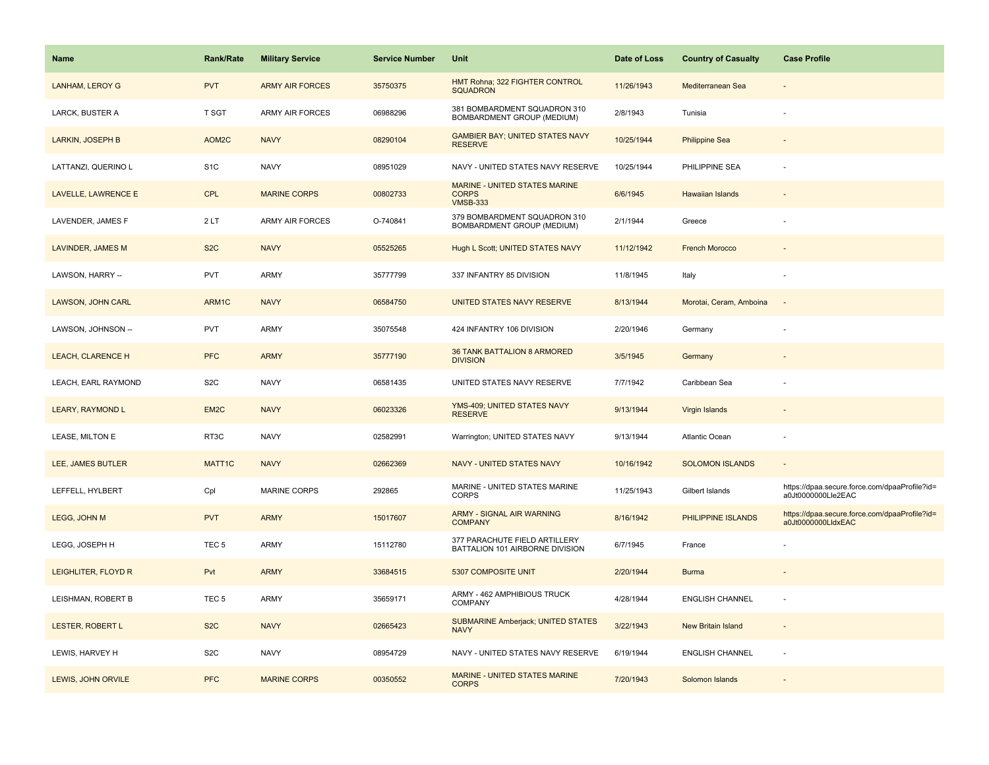| Name                     | Rank/Rate          | <b>Military Service</b> | <b>Service Number</b> | Unit                                                             | Date of Loss | <b>Country of Casualty</b> | <b>Case Profile</b>                                                 |
|--------------------------|--------------------|-------------------------|-----------------------|------------------------------------------------------------------|--------------|----------------------------|---------------------------------------------------------------------|
| LANHAM, LEROY G          | <b>PVT</b>         | <b>ARMY AIR FORCES</b>  | 35750375              | HMT Rohna; 322 FIGHTER CONTROL<br>SQUADRON                       | 11/26/1943   | Mediterranean Sea          |                                                                     |
| LARCK, BUSTER A          | T SGT              | <b>ARMY AIR FORCES</b>  | 06988296              | 381 BOMBARDMENT SQUADRON 310<br>BOMBARDMENT GROUP (MEDIUM)       | 2/8/1943     | Tunisia                    |                                                                     |
| <b>LARKIN, JOSEPH B</b>  | AOM <sub>2</sub> C | <b>NAVY</b>             | 08290104              | <b>GAMBIER BAY; UNITED STATES NAVY</b><br><b>RESERVE</b>         | 10/25/1944   | <b>Philippine Sea</b>      |                                                                     |
| LATTANZI, QUERINO L      | S <sub>1</sub> C   | <b>NAVY</b>             | 08951029              | NAVY - UNITED STATES NAVY RESERVE                                | 10/25/1944   | PHILIPPINE SEA             |                                                                     |
| LAVELLE, LAWRENCE E      | <b>CPL</b>         | <b>MARINE CORPS</b>     | 00802733              | MARINE - UNITED STATES MARINE<br><b>CORPS</b><br><b>VMSB-333</b> | 6/6/1945     | Hawaiian Islands           |                                                                     |
| LAVENDER, JAMES F        | 2LT                | <b>ARMY AIR FORCES</b>  | O-740841              | 379 BOMBARDMENT SQUADRON 310<br>BOMBARDMENT GROUP (MEDIUM)       | 2/1/1944     | Greece                     |                                                                     |
| <b>LAVINDER, JAMES M</b> | S <sub>2</sub> C   | <b>NAVY</b>             | 05525265              | Hugh L Scott; UNITED STATES NAVY                                 | 11/12/1942   | <b>French Morocco</b>      |                                                                     |
| LAWSON, HARRY --         | PVT                | <b>ARMY</b>             | 35777799              | 337 INFANTRY 85 DIVISION                                         | 11/8/1945    | Italy                      |                                                                     |
| <b>LAWSON, JOHN CARL</b> | ARM1C              | <b>NAVY</b>             | 06584750              | UNITED STATES NAVY RESERVE                                       | 8/13/1944    | Morotai, Ceram, Amboina    |                                                                     |
| LAWSON, JOHNSON --       | PVT                | ARMY                    | 35075548              | 424 INFANTRY 106 DIVISION                                        | 2/20/1946    | Germany                    |                                                                     |
| <b>LEACH, CLARENCE H</b> | <b>PFC</b>         | <b>ARMY</b>             | 35777190              | <b>36 TANK BATTALION 8 ARMORED</b><br><b>DIVISION</b>            | 3/5/1945     | Germany                    |                                                                     |
| LEACH, EARL RAYMOND      | S <sub>2</sub> C   | <b>NAVY</b>             | 06581435              | UNITED STATES NAVY RESERVE                                       | 7/7/1942     | Caribbean Sea              |                                                                     |
| LEARY, RAYMOND L         | EM <sub>2</sub> C  | <b>NAVY</b>             | 06023326              | YMS-409; UNITED STATES NAVY<br><b>RESERVE</b>                    | 9/13/1944    | <b>Virgin Islands</b>      |                                                                     |
| LEASE, MILTON E          | RT3C               | <b>NAVY</b>             | 02582991              | Warrington; UNITED STATES NAVY                                   | 9/13/1944    | Atlantic Ocean             |                                                                     |
| LEE, JAMES BUTLER        | MATT1C             | <b>NAVY</b>             | 02662369              | <b>NAVY - UNITED STATES NAVY</b>                                 | 10/16/1942   | <b>SOLOMON ISLANDS</b>     | $\overline{\phantom{a}}$                                            |
| LEFFELL, HYLBERT         | Cpl                | MARINE CORPS            | 292865                | MARINE - UNITED STATES MARINE<br><b>CORPS</b>                    | 11/25/1943   | Gilbert Islands            | https://dpaa.secure.force.com/dpaaProfile?id=<br>a0Jt0000000Lle2EAC |
| LEGG, JOHN M             | <b>PVT</b>         | <b>ARMY</b>             | 15017607              | <b>ARMY - SIGNAL AIR WARNING</b><br><b>COMPANY</b>               | 8/16/1942    | PHILIPPINE ISLANDS         | https://dpaa.secure.force.com/dpaaProfile?id=<br>a0Jt0000000LldxEAC |
| LEGG, JOSEPH H           | TEC <sub>5</sub>   | ARMY                    | 15112780              | 377 PARACHUTE FIELD ARTILLERY<br>BATTALION 101 AIRBORNE DIVISION | 6/7/1945     | France                     |                                                                     |
| LEIGHLITER, FLOYD R      | Pvt                | <b>ARMY</b>             | 33684515              | 5307 COMPOSITE UNIT                                              | 2/20/1944    | <b>Burma</b>               |                                                                     |
| LEISHMAN, ROBERT B       | TEC <sub>5</sub>   | ARMY                    | 35659171              | ARMY - 462 AMPHIBIOUS TRUCK<br>COMPANY                           | 4/28/1944    | <b>ENGLISH CHANNEL</b>     |                                                                     |
| LESTER, ROBERT L         | S <sub>2</sub> C   | <b>NAVY</b>             | 02665423              | <b>SUBMARINE Amberjack; UNITED STATES</b><br><b>NAVY</b>         | 3/22/1943    | New Britain Island         |                                                                     |
| LEWIS, HARVEY H          | S <sub>2</sub> C   | <b>NAVY</b>             | 08954729              | NAVY - UNITED STATES NAVY RESERVE                                | 6/19/1944    | <b>ENGLISH CHANNEL</b>     |                                                                     |
| LEWIS, JOHN ORVILE       | <b>PFC</b>         | <b>MARINE CORPS</b>     | 00350552              | MARINE - UNITED STATES MARINE<br><b>CORPS</b>                    | 7/20/1943    | Solomon Islands            |                                                                     |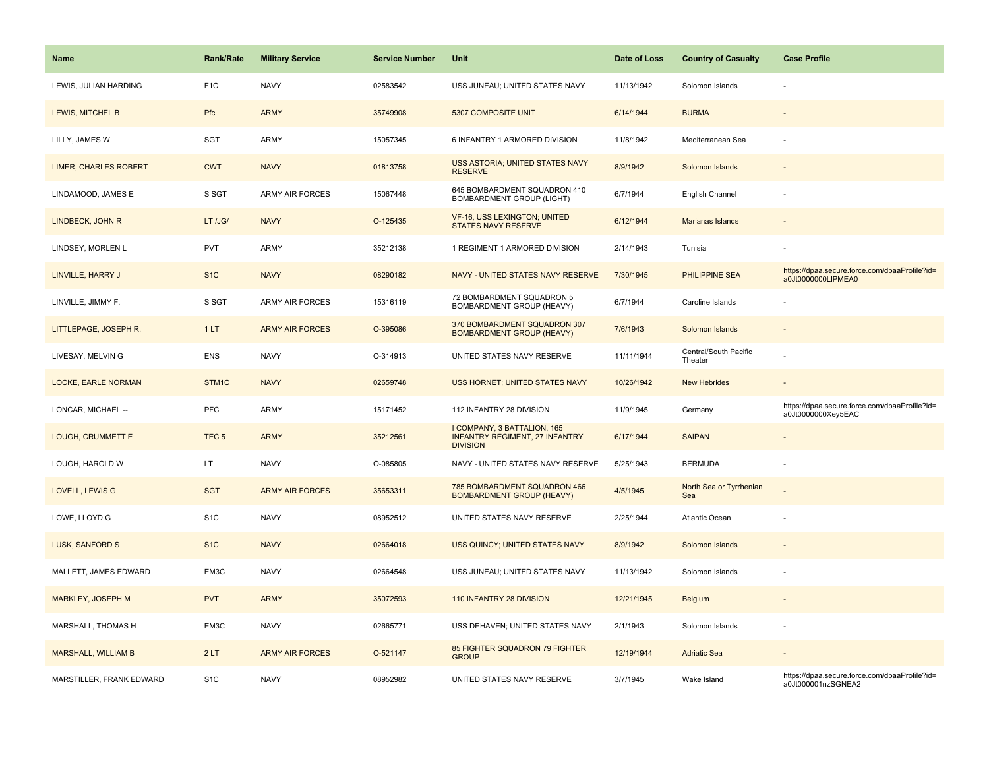| Name                         | <b>Rank/Rate</b> | <b>Military Service</b> | <b>Service Number</b> | Unit                                                                                    | Date of Loss | <b>Country of Casualty</b>       | <b>Case Profile</b>                                                 |
|------------------------------|------------------|-------------------------|-----------------------|-----------------------------------------------------------------------------------------|--------------|----------------------------------|---------------------------------------------------------------------|
| LEWIS, JULIAN HARDING        | F <sub>1C</sub>  | <b>NAVY</b>             | 02583542              | USS JUNEAU; UNITED STATES NAVY                                                          | 11/13/1942   | Solomon Islands                  |                                                                     |
| LEWIS, MITCHEL B             | Pfc              | <b>ARMY</b>             | 35749908              | 5307 COMPOSITE UNIT                                                                     | 6/14/1944    | <b>BURMA</b>                     |                                                                     |
| LILLY, JAMES W               | SGT              | <b>ARMY</b>             | 15057345              | 6 INFANTRY 1 ARMORED DIVISION                                                           | 11/8/1942    | Mediterranean Sea                |                                                                     |
| <b>LIMER, CHARLES ROBERT</b> | <b>CWT</b>       | <b>NAVY</b>             | 01813758              | USS ASTORIA; UNITED STATES NAVY<br><b>RESERVE</b>                                       | 8/9/1942     | Solomon Islands                  |                                                                     |
| LINDAMOOD, JAMES E           | S SGT            | <b>ARMY AIR FORCES</b>  | 15067448              | 645 BOMBARDMENT SQUADRON 410<br>BOMBARDMENT GROUP (LIGHT)                               | 6/7/1944     | English Channel                  |                                                                     |
| LINDBECK, JOHN R             | LT /JG/          | <b>NAVY</b>             | O-125435              | VF-16, USS LEXINGTON; UNITED<br>STATES NAVY RESERVE                                     | 6/12/1944    | <b>Marianas Islands</b>          |                                                                     |
| LINDSEY, MORLEN L            | <b>PVT</b>       | <b>ARMY</b>             | 35212138              | 1 REGIMENT 1 ARMORED DIVISION                                                           | 2/14/1943    | Tunisia                          |                                                                     |
| LINVILLE, HARRY J            | S <sub>1C</sub>  | <b>NAVY</b>             | 08290182              | NAVY - UNITED STATES NAVY RESERVE                                                       | 7/30/1945    | <b>PHILIPPINE SEA</b>            | https://dpaa.secure.force.com/dpaaProfile?id=<br>a0Jt0000000LIPMEA0 |
| LINVILLE, JIMMY F.           | S SGT            | ARMY AIR FORCES         | 15316119              | 72 BOMBARDMENT SQUADRON 5<br>BOMBARDMENT GROUP (HEAVY)                                  | 6/7/1944     | Caroline Islands                 |                                                                     |
| LITTLEPAGE, JOSEPH R.        | 1LT              | <b>ARMY AIR FORCES</b>  | O-395086              | 370 BOMBARDMENT SQUADRON 307<br><b>BOMBARDMENT GROUP (HEAVY)</b>                        | 7/6/1943     | Solomon Islands                  |                                                                     |
| LIVESAY, MELVIN G            | <b>ENS</b>       | <b>NAVY</b>             | O-314913              | UNITED STATES NAVY RESERVE                                                              | 11/11/1944   | Central/South Pacific<br>Theater |                                                                     |
| LOCKE, EARLE NORMAN          | STM1C            | <b>NAVY</b>             | 02659748              | USS HORNET; UNITED STATES NAVY                                                          | 10/26/1942   | <b>New Hebrides</b>              |                                                                     |
| LONCAR, MICHAEL --           | PFC              | <b>ARMY</b>             | 15171452              | 112 INFANTRY 28 DIVISION                                                                | 11/9/1945    | Germany                          | https://dpaa.secure.force.com/dpaaProfile?id=<br>a0Jt0000000Xey5EAC |
| LOUGH, CRUMMETT E            | TEC <sub>5</sub> | <b>ARMY</b>             | 35212561              | I COMPANY, 3 BATTALION, 165<br><b>INFANTRY REGIMENT, 27 INFANTRY</b><br><b>DIVISION</b> | 6/17/1944    | <b>SAIPAN</b>                    |                                                                     |
| LOUGH, HAROLD W              | LT.              | <b>NAVY</b>             | O-085805              | NAVY - UNITED STATES NAVY RESERVE                                                       | 5/25/1943    | <b>BERMUDA</b>                   | $\sim$                                                              |
| LOVELL, LEWIS G              | <b>SGT</b>       | <b>ARMY AIR FORCES</b>  | 35653311              | 785 BOMBARDMENT SQUADRON 466<br><b>BOMBARDMENT GROUP (HEAVY)</b>                        | 4/5/1945     | North Sea or Tyrrhenian<br>Sea   |                                                                     |
| LOWE, LLOYD G                | S <sub>1</sub> C | <b>NAVY</b>             | 08952512              | UNITED STATES NAVY RESERVE                                                              | 2/25/1944    | Atlantic Ocean                   |                                                                     |
| <b>LUSK, SANFORD S</b>       | S <sub>1</sub> C | <b>NAVY</b>             | 02664018              | USS QUINCY; UNITED STATES NAVY                                                          | 8/9/1942     | Solomon Islands                  |                                                                     |
| MALLETT, JAMES EDWARD        | EM3C             | <b>NAVY</b>             | 02664548              | USS JUNEAU; UNITED STATES NAVY                                                          | 11/13/1942   | Solomon Islands                  |                                                                     |
| MARKLEY, JOSEPH M            | <b>PVT</b>       | <b>ARMY</b>             | 35072593              | 110 INFANTRY 28 DIVISION                                                                | 12/21/1945   | <b>Belgium</b>                   |                                                                     |
| MARSHALL, THOMAS H           | EM3C             | <b>NAVY</b>             | 02665771              | USS DEHAVEN; UNITED STATES NAVY                                                         | 2/1/1943     | Solomon Islands                  |                                                                     |
| <b>MARSHALL, WILLIAM B</b>   | 2LT              | <b>ARMY AIR FORCES</b>  | O-521147              | 85 FIGHTER SQUADRON 79 FIGHTER<br><b>GROUP</b>                                          | 12/19/1944   | <b>Adriatic Sea</b>              |                                                                     |
| MARSTILLER, FRANK EDWARD     | S <sub>1</sub> C | <b>NAVY</b>             | 08952982              | UNITED STATES NAVY RESERVE                                                              | 3/7/1945     | Wake Island                      | https://dpaa.secure.force.com/dpaaProfile?id=<br>a0Jt000001nzSGNEA2 |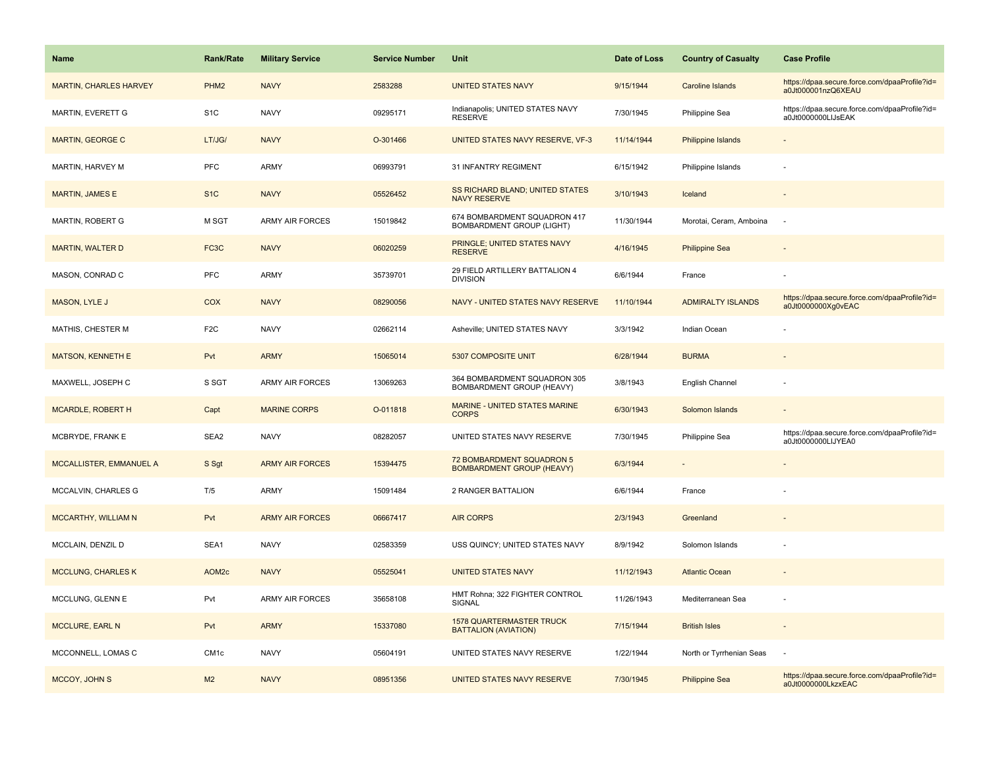| Name                          | <b>Rank/Rate</b>  | <b>Military Service</b> | <b>Service Number</b> | Unit                                                             | Date of Loss | <b>Country of Casualty</b> | <b>Case Profile</b>                                                 |
|-------------------------------|-------------------|-------------------------|-----------------------|------------------------------------------------------------------|--------------|----------------------------|---------------------------------------------------------------------|
| <b>MARTIN, CHARLES HARVEY</b> | PHM <sub>2</sub>  | <b>NAVY</b>             | 2583288               | <b>UNITED STATES NAVY</b>                                        | 9/15/1944    | Caroline Islands           | https://dpaa.secure.force.com/dpaaProfile?id=<br>a0Jt000001nzQ6XEAU |
| MARTIN, EVERETT G             | S <sub>1</sub> C  | <b>NAVY</b>             | 09295171              | Indianapolis; UNITED STATES NAVY<br><b>RESERVE</b>               | 7/30/1945    | Philippine Sea             | https://dpaa.secure.force.com/dpaaProfile?id=<br>a0Jt0000000LIJsEAK |
| <b>MARTIN, GEORGE C</b>       | LT/JG/            | <b>NAVY</b>             | O-301466              | UNITED STATES NAVY RESERVE, VF-3                                 | 11/14/1944   | <b>Philippine Islands</b>  |                                                                     |
| MARTIN, HARVEY M              | PFC               | <b>ARMY</b>             | 06993791              | 31 INFANTRY REGIMENT                                             | 6/15/1942    | Philippine Islands         |                                                                     |
| <b>MARTIN, JAMES E</b>        | S <sub>1C</sub>   | <b>NAVY</b>             | 05526452              | <b>SS RICHARD BLAND; UNITED STATES</b><br><b>NAVY RESERVE</b>    | 3/10/1943    | Iceland                    |                                                                     |
| MARTIN, ROBERT G              | M SGT             | <b>ARMY AIR FORCES</b>  | 15019842              | 674 BOMBARDMENT SQUADRON 417<br><b>BOMBARDMENT GROUP (LIGHT)</b> | 11/30/1944   | Morotai, Ceram, Amboina    |                                                                     |
| <b>MARTIN, WALTER D</b>       | FC <sub>3</sub> C | <b>NAVY</b>             | 06020259              | PRINGLE; UNITED STATES NAVY<br><b>RESERVE</b>                    | 4/16/1945    | <b>Philippine Sea</b>      |                                                                     |
| MASON, CONRAD C               | PFC               | <b>ARMY</b>             | 35739701              | 29 FIELD ARTILLERY BATTALION 4<br><b>DIVISION</b>                | 6/6/1944     | France                     |                                                                     |
| MASON, LYLE J                 | <b>COX</b>        | <b>NAVY</b>             | 08290056              | NAVY - UNITED STATES NAVY RESERVE                                | 11/10/1944   | <b>ADMIRALTY ISLANDS</b>   | https://dpaa.secure.force.com/dpaaProfile?id=<br>a0Jt0000000Xg0vEAC |
| MATHIS, CHESTER M             | F <sub>2C</sub>   | <b>NAVY</b>             | 02662114              | Asheville; UNITED STATES NAVY                                    | 3/3/1942     | Indian Ocean               |                                                                     |
| <b>MATSON, KENNETH E</b>      | Pvt               | <b>ARMY</b>             | 15065014              | 5307 COMPOSITE UNIT                                              | 6/28/1944    | <b>BURMA</b>               |                                                                     |
| MAXWELL, JOSEPH C             | S SGT             | <b>ARMY AIR FORCES</b>  | 13069263              | 364 BOMBARDMENT SQUADRON 305<br>BOMBARDMENT GROUP (HEAVY)        | 3/8/1943     | English Channel            |                                                                     |
| MCARDLE, ROBERT H             | Capt              | <b>MARINE CORPS</b>     | O-011818              | <b>MARINE - UNITED STATES MARINE</b><br><b>CORPS</b>             | 6/30/1943    | Solomon Islands            |                                                                     |
| MCBRYDE, FRANK E              | SEA2              | <b>NAVY</b>             | 08282057              | UNITED STATES NAVY RESERVE                                       | 7/30/1945    | Philippine Sea             | https://dpaa.secure.force.com/dpaaProfile?id=<br>a0Jt0000000LIJYEA0 |
| MCCALLISTER, EMMANUEL A       | S Sgt             | <b>ARMY AIR FORCES</b>  | 15394475              | 72 BOMBARDMENT SQUADRON 5<br><b>BOMBARDMENT GROUP (HEAVY)</b>    | 6/3/1944     |                            |                                                                     |
| MCCALVIN, CHARLES G           | T/5               | <b>ARMY</b>             | 15091484              | 2 RANGER BATTALION                                               | 6/6/1944     | France                     |                                                                     |
| <b>MCCARTHY, WILLIAM N</b>    | Pvt               | <b>ARMY AIR FORCES</b>  | 06667417              | <b>AIR CORPS</b>                                                 | 2/3/1943     | Greenland                  |                                                                     |
| MCCLAIN, DENZIL D             | SEA1              | <b>NAVY</b>             | 02583359              | USS QUINCY; UNITED STATES NAVY                                   | 8/9/1942     | Solomon Islands            |                                                                     |
| <b>MCCLUNG, CHARLES K</b>     | AOM <sub>2c</sub> | <b>NAVY</b>             | 05525041              | <b>UNITED STATES NAVY</b>                                        | 11/12/1943   | <b>Atlantic Ocean</b>      |                                                                     |
| MCCLUNG, GLENN E              | Pvt               | <b>ARMY AIR FORCES</b>  | 35658108              | HMT Rohna; 322 FIGHTER CONTROL<br>SIGNAL                         | 11/26/1943   | Mediterranean Sea          |                                                                     |
| MCCLURE, EARL N               | Pvt               | <b>ARMY</b>             | 15337080              | <b>1578 QUARTERMASTER TRUCK</b><br><b>BATTALION (AVIATION)</b>   | 7/15/1944    | <b>British Isles</b>       |                                                                     |
| MCCONNELL, LOMAS C            | CM <sub>1c</sub>  | <b>NAVY</b>             | 05604191              | UNITED STATES NAVY RESERVE                                       | 1/22/1944    | North or Tyrrhenian Seas   |                                                                     |
| MCCOY, JOHN S                 | M <sub>2</sub>    | <b>NAVY</b>             | 08951356              | UNITED STATES NAVY RESERVE                                       | 7/30/1945    | <b>Philippine Sea</b>      | https://dpaa.secure.force.com/dpaaProfile?id=<br>a0Jt0000000LkzxEAC |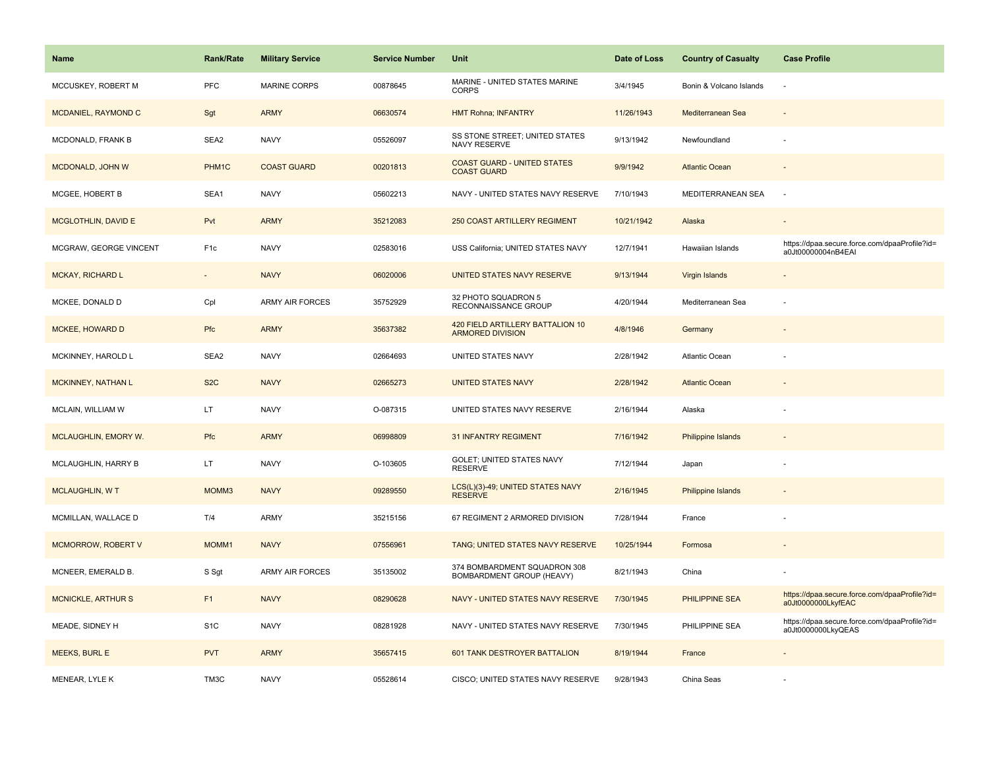| <b>Name</b>               | <b>Rank/Rate</b>  | <b>Military Service</b> | <b>Service Number</b> | Unit                                                        | Date of Loss | <b>Country of Casualty</b> | <b>Case Profile</b>                                                 |
|---------------------------|-------------------|-------------------------|-----------------------|-------------------------------------------------------------|--------------|----------------------------|---------------------------------------------------------------------|
| MCCUSKEY, ROBERT M        | PFC               | <b>MARINE CORPS</b>     | 00878645              | MARINE - UNITED STATES MARINE<br><b>CORPS</b>               | 3/4/1945     | Bonin & Volcano Islands    |                                                                     |
| MCDANIEL, RAYMOND C       | Sgt               | <b>ARMY</b>             | 06630574              | <b>HMT Rohna; INFANTRY</b>                                  | 11/26/1943   | Mediterranean Sea          |                                                                     |
| MCDONALD, FRANK B         | SEA2              | <b>NAVY</b>             | 05526097              | SS STONE STREET; UNITED STATES<br><b>NAVY RESERVE</b>       | 9/13/1942    | Newfoundland               |                                                                     |
| MCDONALD, JOHN W          | PHM1C             | <b>COAST GUARD</b>      | 00201813              | <b>COAST GUARD - UNITED STATES</b><br><b>COAST GUARD</b>    | 9/9/1942     | <b>Atlantic Ocean</b>      |                                                                     |
| MCGEE, HOBERT B           | SEA1              | <b>NAVY</b>             | 05602213              | NAVY - UNITED STATES NAVY RESERVE                           | 7/10/1943    | MEDITERRANEAN SEA          | $\overline{\phantom{a}}$                                            |
| MCGLOTHLIN, DAVID E       | Pvt               | <b>ARMY</b>             | 35212083              | <b>250 COAST ARTILLERY REGIMENT</b>                         | 10/21/1942   | Alaska                     |                                                                     |
| MCGRAW, GEORGE VINCENT    | F <sub>1c</sub>   | <b>NAVY</b>             | 02583016              | USS California; UNITED STATES NAVY                          | 12/7/1941    | Hawaiian Islands           | https://dpaa.secure.force.com/dpaaProfile?id=<br>a0Jt00000004nB4EAI |
| <b>MCKAY, RICHARD L</b>   | $\sim$            | <b>NAVY</b>             | 06020006              | UNITED STATES NAVY RESERVE                                  | 9/13/1944    | Virgin Islands             |                                                                     |
| MCKEE, DONALD D           | Cpl               | ARMY AIR FORCES         | 35752929              | 32 PHOTO SQUADRON 5<br>RECONNAISSANCE GROUP                 | 4/20/1944    | Mediterranean Sea          |                                                                     |
| <b>MCKEE, HOWARD D</b>    | Pfc               | <b>ARMY</b>             | 35637382              | 420 FIELD ARTILLERY BATTALION 10<br><b>ARMORED DIVISION</b> | 4/8/1946     | Germany                    |                                                                     |
| MCKINNEY, HAROLD L        | SEA2              | <b>NAVY</b>             | 02664693              | UNITED STATES NAVY                                          | 2/28/1942    | Atlantic Ocean             |                                                                     |
| <b>MCKINNEY, NATHAN L</b> | S <sub>2</sub> C  | <b>NAVY</b>             | 02665273              | <b>UNITED STATES NAVY</b>                                   | 2/28/1942    | <b>Atlantic Ocean</b>      |                                                                     |
| MCLAIN, WILLIAM W         | LT.               | <b>NAVY</b>             | O-087315              | UNITED STATES NAVY RESERVE                                  | 2/16/1944    | Alaska                     |                                                                     |
| MCLAUGHLIN, EMORY W.      | Pfc               | <b>ARMY</b>             | 06998809              | <b>31 INFANTRY REGIMENT</b>                                 | 7/16/1942    | <b>Philippine Islands</b>  |                                                                     |
| MCLAUGHLIN, HARRY B       | LT.               | <b>NAVY</b>             | O-103605              | GOLET; UNITED STATES NAVY<br><b>RESERVE</b>                 | 7/12/1944    | Japan                      |                                                                     |
| <b>MCLAUGHLIN, WT</b>     | MOMM3             | <b>NAVY</b>             | 09289550              | LCS(L)(3)-49; UNITED STATES NAVY<br><b>RESERVE</b>          | 2/16/1945    | Philippine Islands         |                                                                     |
| MCMILLAN, WALLACE D       | T/4               | <b>ARMY</b>             | 35215156              | 67 REGIMENT 2 ARMORED DIVISION                              | 7/28/1944    | France                     |                                                                     |
| MCMORROW, ROBERT V        | MOMM1             | <b>NAVY</b>             | 07556961              | TANG; UNITED STATES NAVY RESERVE                            | 10/25/1944   | Formosa                    |                                                                     |
| MCNEER, EMERALD B.        | S Sgt             | <b>ARMY AIR FORCES</b>  | 35135002              | 374 BOMBARDMENT SQUADRON 308<br>BOMBARDMENT GROUP (HEAVY)   | 8/21/1943    | China                      |                                                                     |
| <b>MCNICKLE, ARTHUR S</b> | F1                | <b>NAVY</b>             | 08290628              | NAVY - UNITED STATES NAVY RESERVE                           | 7/30/1945    | PHILIPPINE SEA             | https://dpaa.secure.force.com/dpaaProfile?id=<br>a0Jt0000000LkyfEAC |
| MEADE, SIDNEY H           | S <sub>1</sub> C  | <b>NAVY</b>             | 08281928              | NAVY - UNITED STATES NAVY RESERVE                           | 7/30/1945    | PHILIPPINE SEA             | https://dpaa.secure.force.com/dpaaProfile?id=<br>a0Jt0000000LkyQEAS |
| <b>MEEKS, BURL E</b>      | <b>PVT</b>        | <b>ARMY</b>             | 35657415              | 601 TANK DESTROYER BATTALION                                | 8/19/1944    | France                     |                                                                     |
| MENEAR, LYLE K            | TM <sub>3</sub> C | <b>NAVY</b>             | 05528614              | CISCO; UNITED STATES NAVY RESERVE                           | 9/28/1943    | China Seas                 |                                                                     |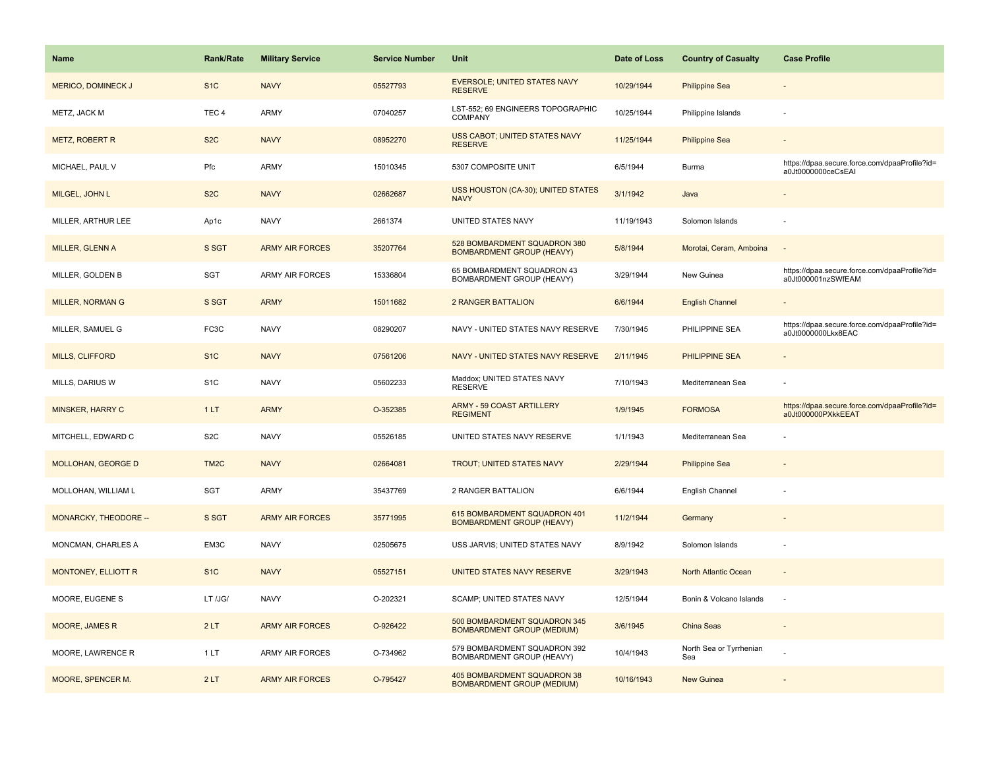| <b>Name</b>                | Rank/Rate         | <b>Military Service</b> | <b>Service Number</b> | Unit                                                              | Date of Loss | <b>Country of Casualty</b>     | <b>Case Profile</b>                                                 |
|----------------------------|-------------------|-------------------------|-----------------------|-------------------------------------------------------------------|--------------|--------------------------------|---------------------------------------------------------------------|
| <b>MERICO, DOMINECK J</b>  | S <sub>1</sub> C  | <b>NAVY</b>             | 05527793              | <b>EVERSOLE; UNITED STATES NAVY</b><br><b>RESERVE</b>             | 10/29/1944   | <b>Philippine Sea</b>          |                                                                     |
| METZ, JACK M               | TEC <sub>4</sub>  | ARMY                    | 07040257              | LST-552; 69 ENGINEERS TOPOGRAPHIC<br>COMPANY                      | 10/25/1944   | Philippine Islands             |                                                                     |
| METZ, ROBERT R             | S <sub>2</sub> C  | <b>NAVY</b>             | 08952270              | USS CABOT; UNITED STATES NAVY<br><b>RESERVE</b>                   | 11/25/1944   | <b>Philippine Sea</b>          |                                                                     |
| MICHAEL, PAUL V            | Pfc               | <b>ARMY</b>             | 15010345              | 5307 COMPOSITE UNIT                                               | 6/5/1944     | Burma                          | https://dpaa.secure.force.com/dpaaProfile?id=<br>a0Jt0000000ceCsEAI |
| MILGEL, JOHN L             | S <sub>2</sub> C  | <b>NAVY</b>             | 02662687              | USS HOUSTON (CA-30); UNITED STATES<br><b>NAVY</b>                 | 3/1/1942     | Java                           |                                                                     |
| MILLER, ARTHUR LEE         | Ap1c              | <b>NAVY</b>             | 2661374               | UNITED STATES NAVY                                                | 11/19/1943   | Solomon Islands                |                                                                     |
| MILLER, GLENN A            | S SGT             | <b>ARMY AIR FORCES</b>  | 35207764              | 528 BOMBARDMENT SQUADRON 380<br><b>BOMBARDMENT GROUP (HEAVY)</b>  | 5/8/1944     | Morotai, Ceram, Amboina        | $\sim$                                                              |
| MILLER, GOLDEN B           | SGT               | <b>ARMY AIR FORCES</b>  | 15336804              | 65 BOMBARDMENT SQUADRON 43<br>BOMBARDMENT GROUP (HEAVY)           | 3/29/1944    | New Guinea                     | https://dpaa.secure.force.com/dpaaProfile?id=<br>a0Jt000001nzSWfEAM |
| MILLER, NORMAN G           | S SGT             | <b>ARMY</b>             | 15011682              | <b>2 RANGER BATTALION</b>                                         | 6/6/1944     | <b>English Channel</b>         |                                                                     |
| MILLER, SAMUEL G           | FC3C              | <b>NAVY</b>             | 08290207              | NAVY - UNITED STATES NAVY RESERVE                                 | 7/30/1945    | PHILIPPINE SEA                 | https://dpaa.secure.force.com/dpaaProfile?id=<br>a0Jt0000000Lkx8EAC |
| MILLS, CLIFFORD            | S <sub>1</sub> C  | <b>NAVY</b>             | 07561206              | NAVY - UNITED STATES NAVY RESERVE                                 | 2/11/1945    | PHILIPPINE SEA                 |                                                                     |
| MILLS, DARIUS W            | S <sub>1</sub> C  | <b>NAVY</b>             | 05602233              | Maddox; UNITED STATES NAVY<br><b>RESERVE</b>                      | 7/10/1943    | Mediterranean Sea              |                                                                     |
| MINSKER, HARRY C           | 1LT               | <b>ARMY</b>             | O-352385              | ARMY - 59 COAST ARTILLERY<br><b>REGIMENT</b>                      | 1/9/1945     | <b>FORMOSA</b>                 | https://dpaa.secure.force.com/dpaaProfile?id=<br>a0Jt000000PXkkEEAT |
| MITCHELL, EDWARD C         | S <sub>2</sub> C  | <b>NAVY</b>             | 05526185              | UNITED STATES NAVY RESERVE                                        | 1/1/1943     | Mediterranean Sea              |                                                                     |
| MOLLOHAN, GEORGE D         | TM <sub>2</sub> C | <b>NAVY</b>             | 02664081              | <b>TROUT; UNITED STATES NAVY</b>                                  | 2/29/1944    | <b>Philippine Sea</b>          |                                                                     |
| MOLLOHAN, WILLIAM L        | SGT               | ARMY                    | 35437769              | 2 RANGER BATTALION                                                | 6/6/1944     | English Channel                |                                                                     |
| MONARCKY, THEODORE --      | S SGT             | <b>ARMY AIR FORCES</b>  | 35771995              | 615 BOMBARDMENT SQUADRON 401<br><b>BOMBARDMENT GROUP (HEAVY)</b>  | 11/2/1944    | Germany                        |                                                                     |
| MONCMAN, CHARLES A         | EM3C              | <b>NAVY</b>             | 02505675              | USS JARVIS; UNITED STATES NAVY                                    | 8/9/1942     | Solomon Islands                |                                                                     |
| <b>MONTONEY, ELLIOTT R</b> | S <sub>1C</sub>   | <b>NAVY</b>             | 05527151              | UNITED STATES NAVY RESERVE                                        | 3/29/1943    | North Atlantic Ocean           |                                                                     |
| MOORE, EUGENE S            | LT /JG/           | <b>NAVY</b>             | O-202321              | SCAMP; UNITED STATES NAVY                                         | 12/5/1944    | Bonin & Volcano Islands        |                                                                     |
| <b>MOORE, JAMES R</b>      | 2LT               | <b>ARMY AIR FORCES</b>  | O-926422              | 500 BOMBARDMENT SQUADRON 345<br><b>BOMBARDMENT GROUP (MEDIUM)</b> | 3/6/1945     | <b>China Seas</b>              | $\overline{\phantom{a}}$                                            |
| MOORE, LAWRENCE R          | 1LT               | <b>ARMY AIR FORCES</b>  | O-734962              | 579 BOMBARDMENT SQUADRON 392<br>BOMBARDMENT GROUP (HEAVY)         | 10/4/1943    | North Sea or Tyrrhenian<br>Sea |                                                                     |
| MOORE, SPENCER M.          | 2LT               | <b>ARMY AIR FORCES</b>  | O-795427              | 405 BOMBARDMENT SQUADRON 38<br><b>BOMBARDMENT GROUP (MEDIUM)</b>  | 10/16/1943   | <b>New Guinea</b>              |                                                                     |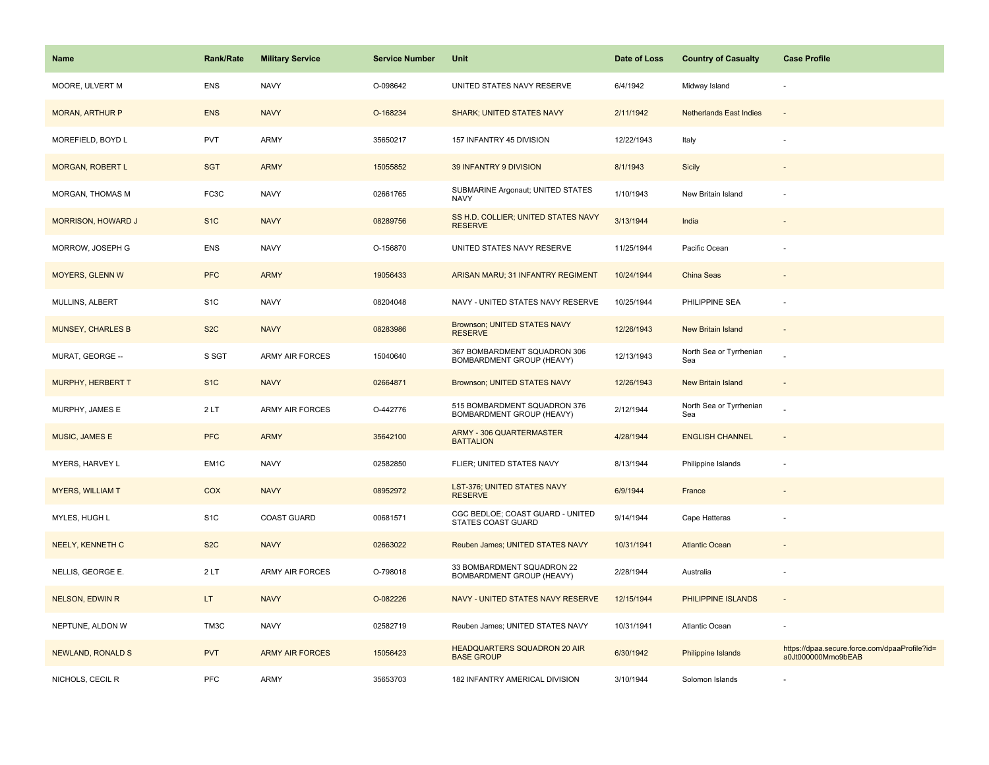| <b>Name</b>               | Rank/Rate         | <b>Military Service</b> | <b>Service Number</b> | Unit                                                             | Date of Loss | <b>Country of Casualty</b>     | <b>Case Profile</b>                                                 |
|---------------------------|-------------------|-------------------------|-----------------------|------------------------------------------------------------------|--------------|--------------------------------|---------------------------------------------------------------------|
| MOORE, ULVERT M           | <b>ENS</b>        | <b>NAVY</b>             | O-098642              | UNITED STATES NAVY RESERVE                                       | 6/4/1942     | Midway Island                  |                                                                     |
| <b>MORAN, ARTHUR P</b>    | <b>ENS</b>        | <b>NAVY</b>             | O-168234              | <b>SHARK; UNITED STATES NAVY</b>                                 | 2/11/1942    | <b>Netherlands East Indies</b> | $\sim$                                                              |
| MOREFIELD, BOYD L         | PVT               | <b>ARMY</b>             | 35650217              | 157 INFANTRY 45 DIVISION                                         | 12/22/1943   | Italy                          |                                                                     |
| <b>MORGAN, ROBERT L</b>   | <b>SGT</b>        | <b>ARMY</b>             | 15055852              | 39 INFANTRY 9 DIVISION                                           | 8/1/1943     | Sicily                         |                                                                     |
| MORGAN, THOMAS M          | FC <sub>3</sub> C | <b>NAVY</b>             | 02661765              | SUBMARINE Argonaut; UNITED STATES<br><b>NAVY</b>                 | 1/10/1943    | New Britain Island             |                                                                     |
| <b>MORRISON, HOWARD J</b> | S <sub>1</sub> C  | <b>NAVY</b>             | 08289756              | SS H.D. COLLIER; UNITED STATES NAVY<br><b>RESERVE</b>            | 3/13/1944    | India                          | $\overline{\phantom{a}}$                                            |
| MORROW, JOSEPH G          | <b>ENS</b>        | <b>NAVY</b>             | O-156870              | UNITED STATES NAVY RESERVE                                       | 11/25/1944   | Pacific Ocean                  |                                                                     |
| <b>MOYERS, GLENN W</b>    | <b>PFC</b>        | <b>ARMY</b>             | 19056433              | ARISAN MARU; 31 INFANTRY REGIMENT                                | 10/24/1944   | <b>China Seas</b>              |                                                                     |
| MULLINS, ALBERT           | S <sub>1</sub> C  | <b>NAVY</b>             | 08204048              | NAVY - UNITED STATES NAVY RESERVE                                | 10/25/1944   | PHILIPPINE SEA                 | ÷,                                                                  |
| <b>MUNSEY, CHARLES B</b>  | S <sub>2</sub> C  | <b>NAVY</b>             | 08283986              | Brownson; UNITED STATES NAVY<br><b>RESERVE</b>                   | 12/26/1943   | New Britain Island             |                                                                     |
| MURAT, GEORGE --          | S SGT             | <b>ARMY AIR FORCES</b>  | 15040640              | 367 BOMBARDMENT SQUADRON 306<br>BOMBARDMENT GROUP (HEAVY)        | 12/13/1943   | North Sea or Tyrrhenian<br>Sea |                                                                     |
| <b>MURPHY, HERBERT T</b>  | S <sub>1</sub> C  | <b>NAVY</b>             | 02664871              | Brownson; UNITED STATES NAVY                                     | 12/26/1943   | New Britain Island             | $\overline{\phantom{a}}$                                            |
| MURPHY, JAMES E           | 2 LT              | <b>ARMY AIR FORCES</b>  | O-442776              | 515 BOMBARDMENT SQUADRON 376<br><b>BOMBARDMENT GROUP (HEAVY)</b> | 2/12/1944    | North Sea or Tyrrhenian<br>Sea |                                                                     |
| MUSIC, JAMES E            | <b>PFC</b>        | <b>ARMY</b>             | 35642100              | <b>ARMY - 306 QUARTERMASTER</b><br><b>BATTALION</b>              | 4/28/1944    | <b>ENGLISH CHANNEL</b>         | $\sim$                                                              |
| MYERS, HARVEY L           | EM <sub>1</sub> C | <b>NAVY</b>             | 02582850              | FLIER; UNITED STATES NAVY                                        | 8/13/1944    | Philippine Islands             |                                                                     |
| <b>MYERS, WILLIAM T</b>   | <b>COX</b>        | <b>NAVY</b>             | 08952972              | LST-376; UNITED STATES NAVY<br><b>RESERVE</b>                    | 6/9/1944     | France                         |                                                                     |
| MYLES, HUGH L             | S <sub>1</sub> C  | COAST GUARD             | 00681571              | CGC BEDLOE; COAST GUARD - UNITED<br>STATES COAST GUARD           | 9/14/1944    | Cape Hatteras                  |                                                                     |
| <b>NEELY, KENNETH C</b>   | S <sub>2</sub> C  | <b>NAVY</b>             | 02663022              | Reuben James; UNITED STATES NAVY                                 | 10/31/1941   | <b>Atlantic Ocean</b>          |                                                                     |
| NELLIS, GEORGE E.         | 2LT               | <b>ARMY AIR FORCES</b>  | O-798018              | 33 BOMBARDMENT SQUADRON 22<br>BOMBARDMENT GROUP (HEAVY)          | 2/28/1944    | Australia                      | ÷,                                                                  |
| NELSON, EDWIN R           | LT.               | <b>NAVY</b>             | O-082226              | NAVY - UNITED STATES NAVY RESERVE                                | 12/15/1944   | PHILIPPINE ISLANDS             | $\omega$                                                            |
| NEPTUNE, ALDON W          | TM3C              | <b>NAVY</b>             | 02582719              | Reuben James; UNITED STATES NAVY                                 | 10/31/1941   | Atlantic Ocean                 |                                                                     |
| <b>NEWLAND, RONALD S</b>  | <b>PVT</b>        | <b>ARMY AIR FORCES</b>  | 15056423              | HEADQUARTERS SQUADRON 20 AIR<br><b>BASE GROUP</b>                | 6/30/1942    | Philippine Islands             | https://dpaa.secure.force.com/dpaaProfile?id=<br>a0Jt000000Mmo9bEAB |
| NICHOLS, CECIL R          | PFC               | <b>ARMY</b>             | 35653703              | 182 INFANTRY AMERICAL DIVISION                                   | 3/10/1944    | Solomon Islands                |                                                                     |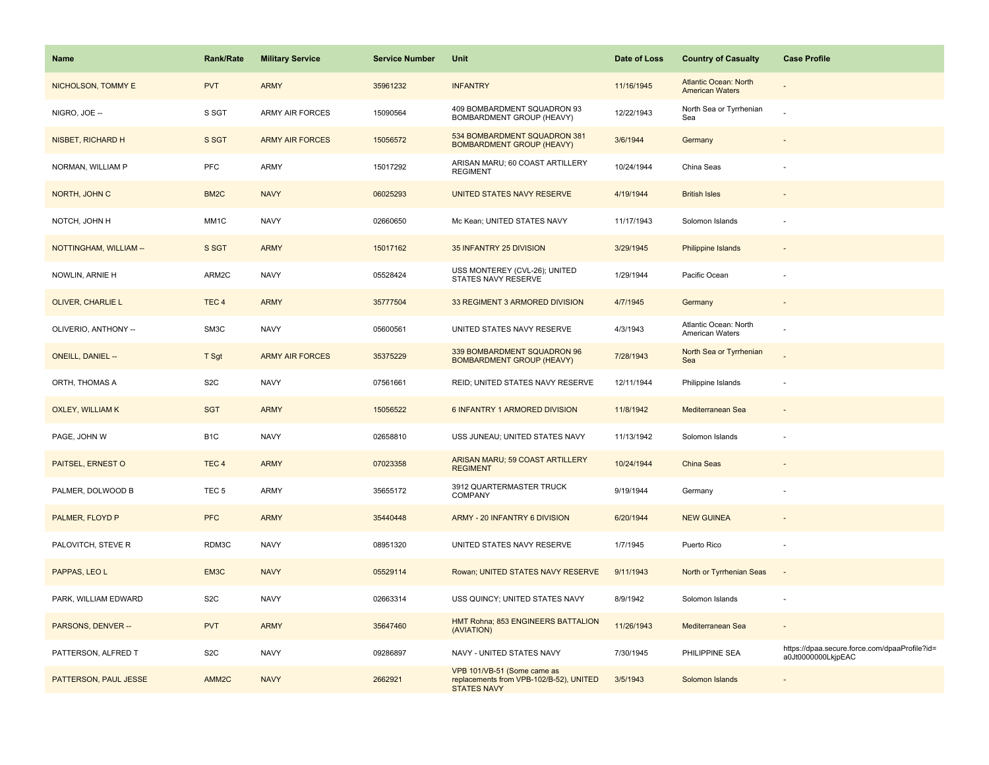| <b>Name</b>              | <b>Rank/Rate</b>  | <b>Military Service</b> | <b>Service Number</b> | Unit                                                                                         | Date of Loss | <b>Country of Casualty</b>                             | <b>Case Profile</b>                                                 |
|--------------------------|-------------------|-------------------------|-----------------------|----------------------------------------------------------------------------------------------|--------------|--------------------------------------------------------|---------------------------------------------------------------------|
| NICHOLSON, TOMMY E       | <b>PVT</b>        | <b>ARMY</b>             | 35961232              | <b>INFANTRY</b>                                                                              | 11/16/1945   | <b>Atlantic Ocean: North</b><br><b>American Waters</b> |                                                                     |
| NIGRO, JOE --            | S SGT             | <b>ARMY AIR FORCES</b>  | 15090564              | 409 BOMBARDMENT SQUADRON 93<br>BOMBARDMENT GROUP (HEAVY)                                     | 12/22/1943   | North Sea or Tyrrhenian<br>Sea                         |                                                                     |
| NISBET, RICHARD H        | S SGT             | <b>ARMY AIR FORCES</b>  | 15056572              | 534 BOMBARDMENT SQUADRON 381<br><b>BOMBARDMENT GROUP (HEAVY)</b>                             | 3/6/1944     | Germany                                                |                                                                     |
| NORMAN, WILLIAM P        | <b>PFC</b>        | ARMY                    | 15017292              | ARISAN MARU; 60 COAST ARTILLERY<br><b>REGIMENT</b>                                           | 10/24/1944   | China Seas                                             |                                                                     |
| NORTH, JOHN C            | BM <sub>2</sub> C | <b>NAVY</b>             | 06025293              | UNITED STATES NAVY RESERVE                                                                   | 4/19/1944    | <b>British Isles</b>                                   |                                                                     |
| NOTCH, JOHN H            | MM1C              | <b>NAVY</b>             | 02660650              | Mc Kean; UNITED STATES NAVY                                                                  | 11/17/1943   | Solomon Islands                                        |                                                                     |
| NOTTINGHAM, WILLIAM --   | S SGT             | <b>ARMY</b>             | 15017162              | 35 INFANTRY 25 DIVISION                                                                      | 3/29/1945    | Philippine Islands                                     |                                                                     |
| NOWLIN, ARNIE H          | ARM2C             | <b>NAVY</b>             | 05528424              | USS MONTEREY (CVL-26); UNITED<br>STATES NAVY RESERVE                                         | 1/29/1944    | Pacific Ocean                                          |                                                                     |
| OLIVER, CHARLIE L        | TEC <sub>4</sub>  | <b>ARMY</b>             | 35777504              | 33 REGIMENT 3 ARMORED DIVISION                                                               | 4/7/1945     | Germany                                                | $\sim$                                                              |
| OLIVERIO, ANTHONY --     | SM3C              | <b>NAVY</b>             | 05600561              | UNITED STATES NAVY RESERVE                                                                   | 4/3/1943     | Atlantic Ocean: North<br>American Waters               |                                                                     |
| <b>ONEILL, DANIEL --</b> | T Sgt             | <b>ARMY AIR FORCES</b>  | 35375229              | 339 BOMBARDMENT SQUADRON 96<br><b>BOMBARDMENT GROUP (HEAVY)</b>                              | 7/28/1943    | North Sea or Tyrrhenian<br>Sea                         |                                                                     |
| ORTH, THOMAS A           | S <sub>2</sub> C  | <b>NAVY</b>             | 07561661              | REID; UNITED STATES NAVY RESERVE                                                             | 12/11/1944   | Philippine Islands                                     |                                                                     |
| <b>OXLEY, WILLIAM K</b>  | <b>SGT</b>        | <b>ARMY</b>             | 15056522              | 6 INFANTRY 1 ARMORED DIVISION                                                                | 11/8/1942    | Mediterranean Sea                                      |                                                                     |
| PAGE, JOHN W             | B <sub>1C</sub>   | <b>NAVY</b>             | 02658810              | USS JUNEAU; UNITED STATES NAVY                                                               | 11/13/1942   | Solomon Islands                                        |                                                                     |
| PAITSEL, ERNEST O        | TEC <sub>4</sub>  | <b>ARMY</b>             | 07023358              | ARISAN MARU; 59 COAST ARTILLERY<br><b>REGIMENT</b>                                           | 10/24/1944   | <b>China Seas</b>                                      |                                                                     |
| PALMER, DOLWOOD B        | TEC <sub>5</sub>  | ARMY                    | 35655172              | 3912 QUARTERMASTER TRUCK<br><b>COMPANY</b>                                                   | 9/19/1944    | Germany                                                |                                                                     |
| PALMER, FLOYD P          | <b>PFC</b>        | <b>ARMY</b>             | 35440448              | ARMY - 20 INFANTRY 6 DIVISION                                                                | 6/20/1944    | <b>NEW GUINEA</b>                                      |                                                                     |
| PALOVITCH, STEVE R       | RDM3C             | <b>NAVY</b>             | 08951320              | UNITED STATES NAVY RESERVE                                                                   | 1/7/1945     | Puerto Rico                                            |                                                                     |
| PAPPAS, LEO L            | EM3C              | <b>NAVY</b>             | 05529114              | Rowan; UNITED STATES NAVY RESERVE                                                            | 9/11/1943    | North or Tyrrhenian Seas                               |                                                                     |
| PARK, WILLIAM EDWARD     | S <sub>2</sub> C  | <b>NAVY</b>             | 02663314              | USS QUINCY; UNITED STATES NAVY                                                               | 8/9/1942     | Solomon Islands                                        |                                                                     |
| PARSONS, DENVER --       | <b>PVT</b>        | <b>ARMY</b>             | 35647460              | HMT Rohna; 853 ENGINEERS BATTALION<br>(AVIATION)                                             | 11/26/1943   | Mediterranean Sea                                      |                                                                     |
| PATTERSON, ALFRED T      | S <sub>2</sub> C  | <b>NAVY</b>             | 09286897              | NAVY - UNITED STATES NAVY                                                                    | 7/30/1945    | PHILIPPINE SEA                                         | https://dpaa.secure.force.com/dpaaProfile?id=<br>a0Jt0000000LkjpEAC |
| PATTERSON, PAUL JESSE    | AMM <sub>2C</sub> | <b>NAVY</b>             | 2662921               | VPB 101/VB-51 (Some came as<br>replacements from VPB-102/B-52), UNITED<br><b>STATES NAVY</b> | 3/5/1943     | Solomon Islands                                        |                                                                     |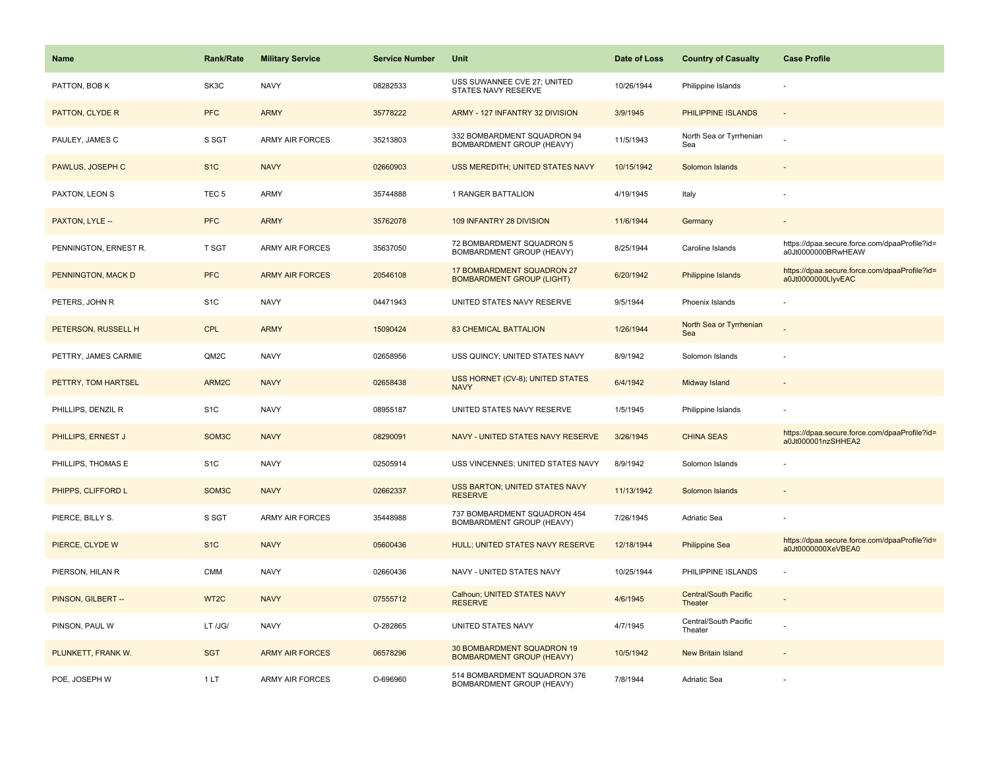| <b>Name</b>           | <b>Rank/Rate</b>   | <b>Military Service</b> | <b>Service Number</b> | Unit                                                           | Date of Loss | <b>Country of Casualty</b>                     | <b>Case Profile</b>                                                 |
|-----------------------|--------------------|-------------------------|-----------------------|----------------------------------------------------------------|--------------|------------------------------------------------|---------------------------------------------------------------------|
| PATTON, BOB K         | SK3C               | <b>NAVY</b>             | 08282533              | USS SUWANNEE CVE 27; UNITED<br>STATES NAVY RESERVE             | 10/26/1944   | Philippine Islands                             |                                                                     |
| PATTON, CLYDE R       | <b>PFC</b>         | <b>ARMY</b>             | 35778222              | ARMY - 127 INFANTRY 32 DIVISION                                | 3/9/1945     | PHILIPPINE ISLANDS                             |                                                                     |
| PAULEY, JAMES C       | S SGT              | <b>ARMY AIR FORCES</b>  | 35213803              | 332 BOMBARDMENT SQUADRON 94<br>BOMBARDMENT GROUP (HEAVY)       | 11/5/1943    | North Sea or Tyrrhenian<br>Sea                 |                                                                     |
| PAWLUS, JOSEPH C      | S <sub>1C</sub>    | <b>NAVY</b>             | 02660903              | USS MEREDITH; UNITED STATES NAVY                               | 10/15/1942   | Solomon Islands                                |                                                                     |
| PAXTON, LEON S        | TEC <sub>5</sub>   | ARMY                    | 35744888              | 1 RANGER BATTALION                                             | 4/19/1945    | Italy                                          |                                                                     |
| PAXTON, LYLE --       | <b>PFC</b>         | <b>ARMY</b>             | 35762078              | 109 INFANTRY 28 DIVISION                                       | 11/6/1944    | Germany                                        |                                                                     |
| PENNINGTON, ERNEST R. | T SGT              | ARMY AIR FORCES         | 35637050              | 72 BOMBARDMENT SQUADRON 5<br>BOMBARDMENT GROUP (HEAVY)         | 8/25/1944    | Caroline Islands                               | https://dpaa.secure.force.com/dpaaProfile?id=<br>a0Jt0000000BRwHEAW |
| PENNINGTON, MACK D    | <b>PFC</b>         | <b>ARMY AIR FORCES</b>  | 20546108              | 17 BOMBARDMENT SQUADRON 27<br><b>BOMBARDMENT GROUP (LIGHT)</b> | 6/20/1942    | Philippine Islands                             | https://dpaa.secure.force.com/dpaaProfile?id=<br>a0Jt0000000LlyvEAC |
| PETERS, JOHN R        | S <sub>1</sub> C   | <b>NAVY</b>             | 04471943              | UNITED STATES NAVY RESERVE                                     | 9/5/1944     | Phoenix Islands                                |                                                                     |
| PETERSON, RUSSELL H   | <b>CPL</b>         | <b>ARMY</b>             | 15090424              | <b>83 CHEMICAL BATTALION</b>                                   | 1/26/1944    | North Sea or Tyrrhenian<br>Sea                 |                                                                     |
| PETTRY, JAMES CARMIE  | QM2C               | <b>NAVY</b>             | 02658956              | USS QUINCY; UNITED STATES NAVY                                 | 8/9/1942     | Solomon Islands                                |                                                                     |
| PETTRY, TOM HARTSEL   | ARM2C              | <b>NAVY</b>             | 02658438              | USS HORNET (CV-8); UNITED STATES<br><b>NAVY</b>                | 6/4/1942     | Midway Island                                  |                                                                     |
| PHILLIPS, DENZIL R    | S <sub>1</sub> C   | <b>NAVY</b>             | 08955187              | UNITED STATES NAVY RESERVE                                     | 1/5/1945     | Philippine Islands                             |                                                                     |
| PHILLIPS, ERNEST J    | SOM3C              | <b>NAVY</b>             | 08290091              | NAVY - UNITED STATES NAVY RESERVE                              | 3/26/1945    | <b>CHINA SEAS</b>                              | https://dpaa.secure.force.com/dpaaProfile?id=<br>a0Jt000001nzSHHEA2 |
| PHILLIPS, THOMAS E    | S <sub>1</sub> C   | <b>NAVY</b>             | 02505914              | USS VINCENNES; UNITED STATES NAVY                              | 8/9/1942     | Solomon Islands                                |                                                                     |
| PHIPPS, CLIFFORD L    | SOM <sub>3</sub> C | <b>NAVY</b>             | 02662337              | USS BARTON; UNITED STATES NAVY<br><b>RESERVE</b>               | 11/13/1942   | Solomon Islands                                |                                                                     |
| PIERCE, BILLY S.      | S SGT              | <b>ARMY AIR FORCES</b>  | 35448988              | 737 BOMBARDMENT SQUADRON 454<br>BOMBARDMENT GROUP (HEAVY)      | 7/26/1945    | Adriatic Sea                                   |                                                                     |
| PIERCE, CLYDE W       | S <sub>1</sub> C   | <b>NAVY</b>             | 05600436              | HULL; UNITED STATES NAVY RESERVE                               | 12/18/1944   | <b>Philippine Sea</b>                          | https://dpaa.secure.force.com/dpaaProfile?id=<br>a0Jt0000000XeVBEA0 |
| PIERSON, HILAN R      | <b>CMM</b>         | <b>NAVY</b>             | 02660436              | NAVY - UNITED STATES NAVY                                      | 10/25/1944   | PHILIPPINE ISLANDS                             |                                                                     |
| PINSON, GILBERT --    | WT <sub>2</sub> C  | <b>NAVY</b>             | 07555712              | Calhoun; UNITED STATES NAVY<br><b>RESERVE</b>                  | 4/6/1945     | <b>Central/South Pacific</b><br><b>Theater</b> |                                                                     |
| PINSON, PAUL W        | LT /JG/            | <b>NAVY</b>             | O-282865              | UNITED STATES NAVY                                             | 4/7/1945     | Central/South Pacific<br>Theater               |                                                                     |
| PLUNKETT, FRANK W.    | <b>SGT</b>         | <b>ARMY AIR FORCES</b>  | 06578296              | 30 BOMBARDMENT SQUADRON 19<br><b>BOMBARDMENT GROUP (HEAVY)</b> | 10/5/1942    | New Britain Island                             |                                                                     |
| POE, JOSEPH W         | 1LT                | <b>ARMY AIR FORCES</b>  | O-696960              | 514 BOMBARDMENT SQUADRON 376<br>BOMBARDMENT GROUP (HEAVY)      | 7/8/1944     | Adriatic Sea                                   |                                                                     |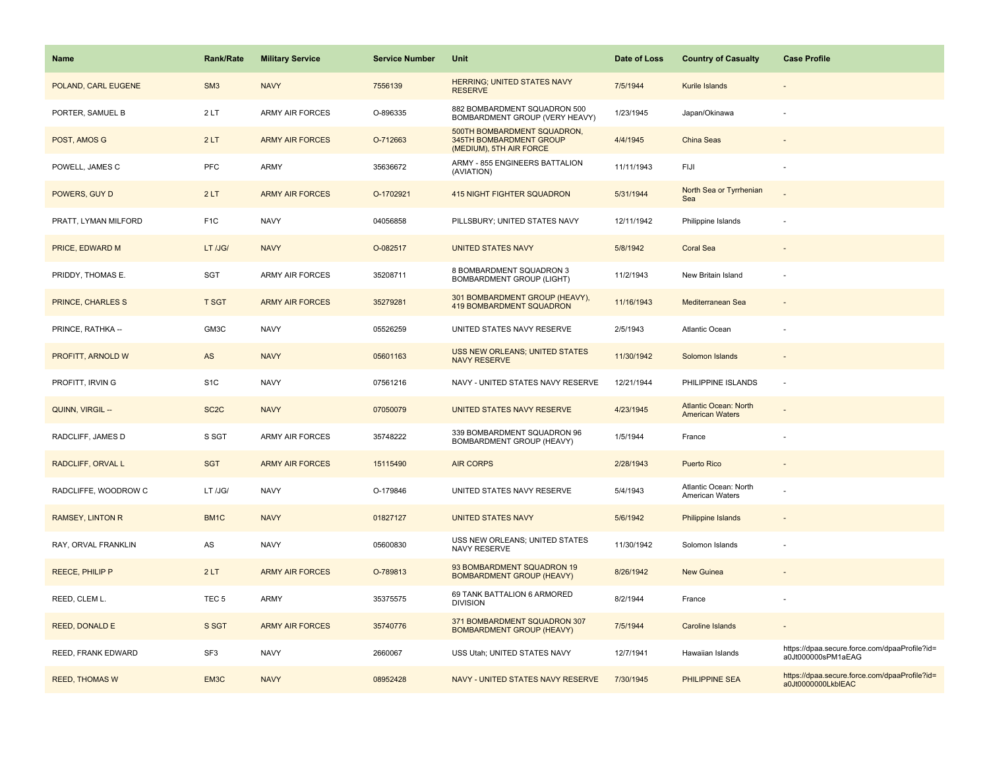| <b>Name</b>              | <b>Rank/Rate</b>  | <b>Military Service</b> | <b>Service Number</b> | Unit                                                                              | Date of Loss | <b>Country of Casualty</b>                             | <b>Case Profile</b>                                                 |
|--------------------------|-------------------|-------------------------|-----------------------|-----------------------------------------------------------------------------------|--------------|--------------------------------------------------------|---------------------------------------------------------------------|
| POLAND, CARL EUGENE      | SM <sub>3</sub>   | <b>NAVY</b>             | 7556139               | <b>HERRING; UNITED STATES NAVY</b><br><b>RESERVE</b>                              | 7/5/1944     | Kurile Islands                                         |                                                                     |
| PORTER, SAMUEL B         | 2LT               | <b>ARMY AIR FORCES</b>  | O-896335              | 882 BOMBARDMENT SQUADRON 500<br>BOMBARDMENT GROUP (VERY HEAVY)                    | 1/23/1945    | Japan/Okinawa                                          |                                                                     |
| POST, AMOS G             | 2LT               | <b>ARMY AIR FORCES</b>  | O-712663              | 500TH BOMBARDMENT SQUADRON,<br>345TH BOMBARDMENT GROUP<br>(MEDIUM), 5TH AIR FORCE | 4/4/1945     | China Seas                                             |                                                                     |
| POWELL, JAMES C          | <b>PFC</b>        | ARMY                    | 35636672              | ARMY - 855 ENGINEERS BATTALION<br>(AVIATION)                                      | 11/11/1943   | FIJI                                                   |                                                                     |
| POWERS, GUY D            | 2LT               | <b>ARMY AIR FORCES</b>  | O-1702921             | <b>415 NIGHT FIGHTER SQUADRON</b>                                                 | 5/31/1944    | North Sea or Tyrrhenian<br>Sea                         |                                                                     |
| PRATT, LYMAN MILFORD     | F <sub>1</sub> C  | <b>NAVY</b>             | 04056858              | PILLSBURY; UNITED STATES NAVY                                                     | 12/11/1942   | Philippine Islands                                     |                                                                     |
| PRICE, EDWARD M          | LT /JG/           | <b>NAVY</b>             | O-082517              | <b>UNITED STATES NAVY</b>                                                         | 5/8/1942     | <b>Coral Sea</b>                                       |                                                                     |
| PRIDDY, THOMAS E.        | SGT               | <b>ARMY AIR FORCES</b>  | 35208711              | 8 BOMBARDMENT SQUADRON 3<br><b>BOMBARDMENT GROUP (LIGHT)</b>                      | 11/2/1943    | New Britain Island                                     |                                                                     |
| <b>PRINCE, CHARLES S</b> | <b>T SGT</b>      | <b>ARMY AIR FORCES</b>  | 35279281              | 301 BOMBARDMENT GROUP (HEAVY),<br><b>419 BOMBARDMENT SQUADRON</b>                 | 11/16/1943   | Mediterranean Sea                                      |                                                                     |
| PRINCE, RATHKA --        | GM3C              | <b>NAVY</b>             | 05526259              | UNITED STATES NAVY RESERVE                                                        | 2/5/1943     | <b>Atlantic Ocean</b>                                  |                                                                     |
| PROFITT, ARNOLD W        | AS                | <b>NAVY</b>             | 05601163              | <b>USS NEW ORLEANS; UNITED STATES</b><br><b>NAVY RESERVE</b>                      | 11/30/1942   | Solomon Islands                                        |                                                                     |
| PROFITT, IRVIN G         | S <sub>1</sub> C  | <b>NAVY</b>             | 07561216              | NAVY - UNITED STATES NAVY RESERVE                                                 | 12/21/1944   | PHILIPPINE ISLANDS                                     |                                                                     |
| QUINN, VIRGIL --         | SC <sub>2</sub> C | <b>NAVY</b>             | 07050079              | UNITED STATES NAVY RESERVE                                                        | 4/23/1945    | <b>Atlantic Ocean: North</b><br><b>American Waters</b> |                                                                     |
| RADCLIFF, JAMES D        | S SGT             | <b>ARMY AIR FORCES</b>  | 35748222              | 339 BOMBARDMENT SQUADRON 96<br>BOMBARDMENT GROUP (HEAVY)                          | 1/5/1944     | France                                                 |                                                                     |
| RADCLIFF, ORVAL L        | <b>SGT</b>        | <b>ARMY AIR FORCES</b>  | 15115490              | <b>AIR CORPS</b>                                                                  | 2/28/1943    | <b>Puerto Rico</b>                                     |                                                                     |
| RADCLIFFE, WOODROW C     | LT /JG/           | <b>NAVY</b>             | O-179846              | UNITED STATES NAVY RESERVE                                                        | 5/4/1943     | Atlantic Ocean: North<br>American Waters               |                                                                     |
| <b>RAMSEY, LINTON R</b>  | BM1C              | <b>NAVY</b>             | 01827127              | <b>UNITED STATES NAVY</b>                                                         | 5/6/1942     | Philippine Islands                                     |                                                                     |
| RAY, ORVAL FRANKLIN      | AS                | <b>NAVY</b>             | 05600830              | USS NEW ORLEANS; UNITED STATES<br>NAVY RESERVE                                    | 11/30/1942   | Solomon Islands                                        |                                                                     |
| <b>REECE, PHILIP P</b>   | 2LT               | <b>ARMY AIR FORCES</b>  | O-789813              | 93 BOMBARDMENT SQUADRON 19<br><b>BOMBARDMENT GROUP (HEAVY)</b>                    | 8/26/1942    | <b>New Guinea</b>                                      |                                                                     |
| REED, CLEM L.            | TEC <sub>5</sub>  | ARMY                    | 35375575              | 69 TANK BATTALION 6 ARMORED<br><b>DIVISION</b>                                    | 8/2/1944     | France                                                 |                                                                     |
| <b>REED, DONALD E</b>    | S SGT             | <b>ARMY AIR FORCES</b>  | 35740776              | 371 BOMBARDMENT SQUADRON 307<br><b>BOMBARDMENT GROUP (HEAVY)</b>                  | 7/5/1944     | <b>Caroline Islands</b>                                |                                                                     |
| REED, FRANK EDWARD       | SF <sub>3</sub>   | <b>NAVY</b>             | 2660067               | USS Utah; UNITED STATES NAVY                                                      | 12/7/1941    | Hawaiian Islands                                       | https://dpaa.secure.force.com/dpaaProfile?id=<br>a0Jt000000sPM1aEAG |
| <b>REED, THOMAS W</b>    | EM3C              | <b>NAVY</b>             | 08952428              | NAVY - UNITED STATES NAVY RESERVE                                                 | 7/30/1945    | <b>PHILIPPINE SEA</b>                                  | https://dpaa.secure.force.com/dpaaProfile?id=<br>a0Jt0000000LkblEAC |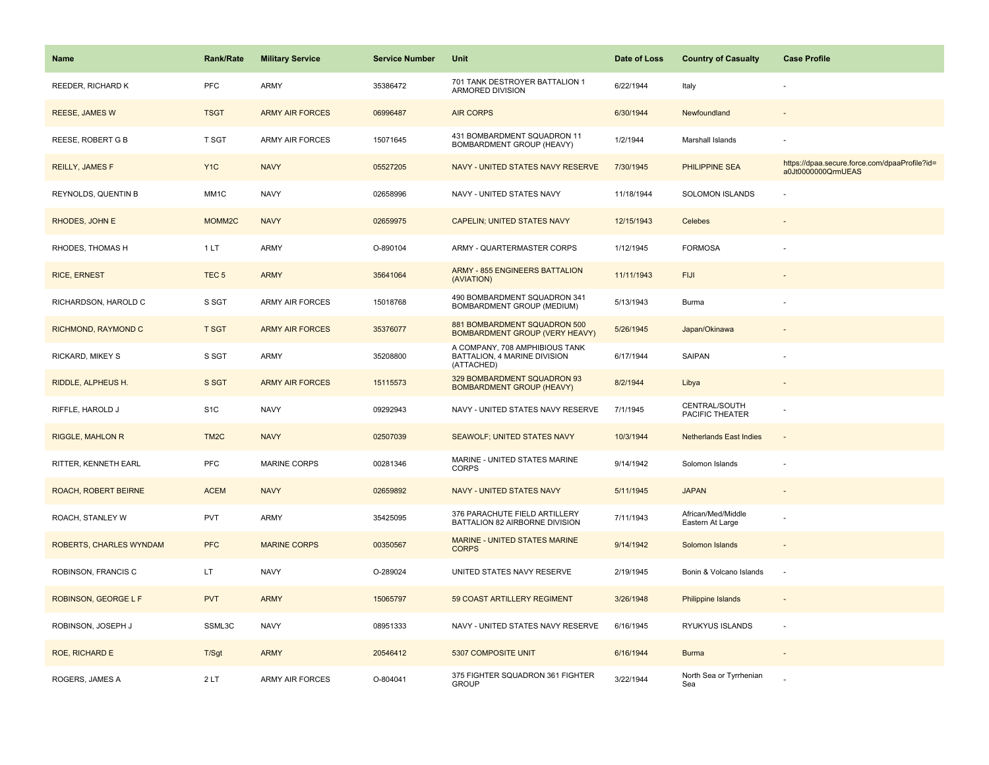| Name                           | <b>Rank/Rate</b>  | <b>Military Service</b> | <b>Service Number</b> | Unit                                                                         | Date of Loss | <b>Country of Casualty</b>             | <b>Case Profile</b>                                                 |
|--------------------------------|-------------------|-------------------------|-----------------------|------------------------------------------------------------------------------|--------------|----------------------------------------|---------------------------------------------------------------------|
| REEDER, RICHARD K              | PFC               | ARMY                    | 35386472              | 701 TANK DESTROYER BATTALION 1<br>ARMORED DIVISION                           | 6/22/1944    | Italy                                  |                                                                     |
| <b>REESE, JAMES W</b>          | <b>TSGT</b>       | <b>ARMY AIR FORCES</b>  | 06996487              | <b>AIR CORPS</b>                                                             | 6/30/1944    | Newfoundland                           |                                                                     |
| REESE, ROBERT G B              | T SGT             | ARMY AIR FORCES         | 15071645              | 431 BOMBARDMENT SQUADRON 11<br>BOMBARDMENT GROUP (HEAVY)                     | 1/2/1944     | Marshall Islands                       |                                                                     |
| REILLY, JAMES F                | Y <sub>1</sub> C  | <b>NAVY</b>             | 05527205              | NAVY - UNITED STATES NAVY RESERVE                                            | 7/30/1945    | <b>PHILIPPINE SEA</b>                  | https://dpaa.secure.force.com/dpaaProfile?id=<br>a0Jt0000000QrmUEAS |
| REYNOLDS, QUENTIN B            | MM <sub>1</sub> C | <b>NAVY</b>             | 02658996              | NAVY - UNITED STATES NAVY                                                    | 11/18/1944   | <b>SOLOMON ISLANDS</b>                 |                                                                     |
| RHODES, JOHN E                 | MOMM2C            | <b>NAVY</b>             | 02659975              | CAPELIN; UNITED STATES NAVY                                                  | 12/15/1943   | Celebes                                |                                                                     |
| RHODES, THOMAS H               | 1LT               | ARMY                    | O-890104              | ARMY - QUARTERMASTER CORPS                                                   | 1/12/1945    | <b>FORMOSA</b>                         |                                                                     |
| <b>RICE, ERNEST</b>            | TEC <sub>5</sub>  | <b>ARMY</b>             | 35641064              | <b>ARMY - 855 ENGINEERS BATTALION</b><br>(AVIATION)                          | 11/11/1943   | <b>FIJI</b>                            |                                                                     |
| RICHARDSON, HAROLD C           | S SGT             | ARMY AIR FORCES         | 15018768              | 490 BOMBARDMENT SQUADRON 341<br>BOMBARDMENT GROUP (MEDIUM)                   | 5/13/1943    | <b>Burma</b>                           |                                                                     |
| RICHMOND, RAYMOND C            | <b>T SGT</b>      | <b>ARMY AIR FORCES</b>  | 35376077              | 881 BOMBARDMENT SQUADRON 500<br><b>BOMBARDMENT GROUP (VERY HEAVY)</b>        | 5/26/1945    | Japan/Okinawa                          |                                                                     |
| RICKARD, MIKEY S               | S SGT             | ARMY                    | 35208800              | A COMPANY, 708 AMPHIBIOUS TANK<br>BATTALION, 4 MARINE DIVISION<br>(ATTACHED) | 6/17/1944    | SAIPAN                                 |                                                                     |
| RIDDLE, ALPHEUS H.             | S SGT             | <b>ARMY AIR FORCES</b>  | 15115573              | 329 BOMBARDMENT SQUADRON 93<br><b>BOMBARDMENT GROUP (HEAVY)</b>              | 8/2/1944     | Libya                                  |                                                                     |
| RIFFLE, HAROLD J               | S <sub>1</sub> C  | <b>NAVY</b>             | 09292943              | NAVY - UNITED STATES NAVY RESERVE                                            | 7/1/1945     | CENTRAL/SOUTH<br>PACIFIC THEATER       |                                                                     |
| <b>RIGGLE, MAHLON R</b>        | TM <sub>2</sub> C | <b>NAVY</b>             | 02507039              | <b>SEAWOLF; UNITED STATES NAVY</b>                                           | 10/3/1944    | <b>Netherlands East Indies</b>         | $\bar{z}$                                                           |
| RITTER, KENNETH EARL           | PFC               | <b>MARINE CORPS</b>     | 00281346              | MARINE - UNITED STATES MARINE<br><b>CORPS</b>                                | 9/14/1942    | Solomon Islands                        |                                                                     |
| ROACH, ROBERT BEIRNE           | <b>ACEM</b>       | <b>NAVY</b>             | 02659892              | NAVY - UNITED STATES NAVY                                                    | 5/11/1945    | <b>JAPAN</b>                           |                                                                     |
| ROACH, STANLEY W               | <b>PVT</b>        | ARMY                    | 35425095              | 376 PARACHUTE FIELD ARTILLERY<br>BATTALION 82 AIRBORNE DIVISION              | 7/11/1943    | African/Med/Middle<br>Eastern At Large |                                                                     |
| <b>ROBERTS, CHARLES WYNDAM</b> | <b>PFC</b>        | <b>MARINE CORPS</b>     | 00350567              | MARINE - UNITED STATES MARINE<br><b>CORPS</b>                                | 9/14/1942    | Solomon Islands                        |                                                                     |
| ROBINSON, FRANCIS C            | LT.               | <b>NAVY</b>             | O-289024              | UNITED STATES NAVY RESERVE                                                   | 2/19/1945    | Bonin & Volcano Islands                | ÷,                                                                  |
| ROBINSON, GEORGE L F           | <b>PVT</b>        | <b>ARMY</b>             | 15065797              | 59 COAST ARTILLERY REGIMENT                                                  | 3/26/1948    | <b>Philippine Islands</b>              | $\overline{\phantom{a}}$                                            |
| ROBINSON, JOSEPH J             | SSML3C            | <b>NAVY</b>             | 08951333              | NAVY - UNITED STATES NAVY RESERVE                                            | 6/16/1945    | RYUKYUS ISLANDS                        | $\overline{\phantom{a}}$                                            |
| ROE, RICHARD E                 | T/Sgt             | <b>ARMY</b>             | 20546412              | 5307 COMPOSITE UNIT                                                          | 6/16/1944    | <b>Burma</b>                           |                                                                     |
| ROGERS, JAMES A                | 2LT               | <b>ARMY AIR FORCES</b>  | O-804041              | 375 FIGHTER SQUADRON 361 FIGHTER<br><b>GROUP</b>                             | 3/22/1944    | North Sea or Tyrrhenian<br>Sea         |                                                                     |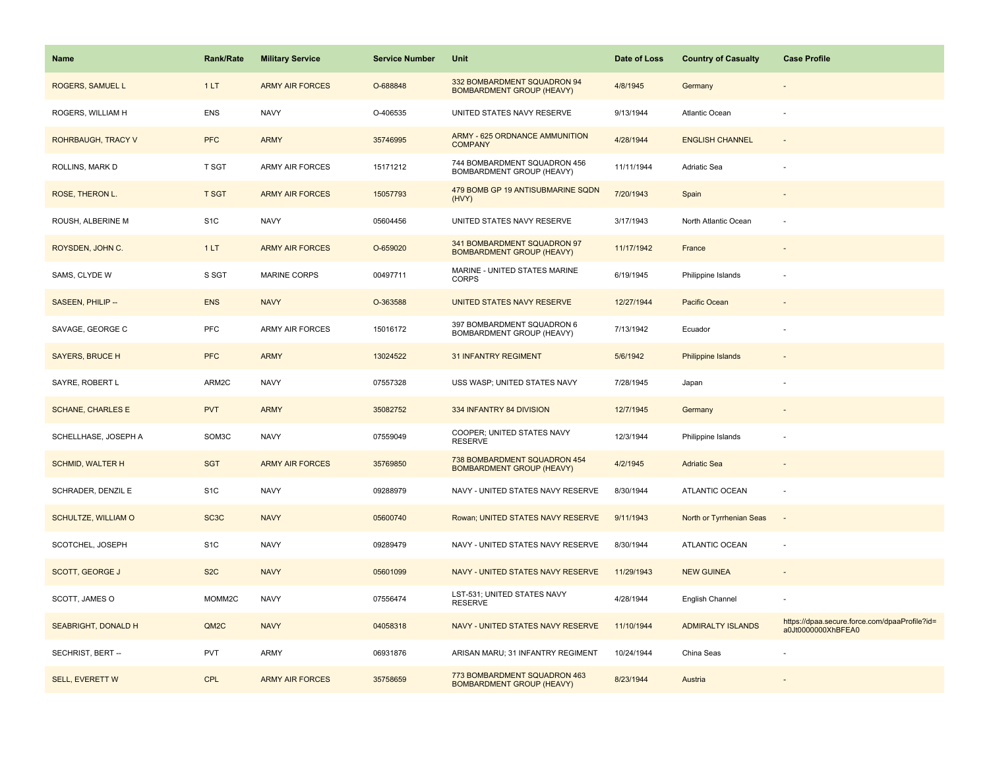| <b>Name</b>               | <b>Rank/Rate</b>  | <b>Military Service</b> | <b>Service Number</b> | Unit                                                             | Date of Loss | <b>Country of Casualty</b> | <b>Case Profile</b>                                                 |
|---------------------------|-------------------|-------------------------|-----------------------|------------------------------------------------------------------|--------------|----------------------------|---------------------------------------------------------------------|
| ROGERS, SAMUEL L          | 1LT               | <b>ARMY AIR FORCES</b>  | O-688848              | 332 BOMBARDMENT SQUADRON 94<br><b>BOMBARDMENT GROUP (HEAVY)</b>  | 4/8/1945     | Germany                    |                                                                     |
| ROGERS, WILLIAM H         | <b>ENS</b>        | <b>NAVY</b>             | O-406535              | UNITED STATES NAVY RESERVE                                       | 9/13/1944    | Atlantic Ocean             |                                                                     |
| <b>ROHRBAUGH, TRACY V</b> | <b>PFC</b>        | <b>ARMY</b>             | 35746995              | <b>ARMY - 625 ORDNANCE AMMUNITION</b><br><b>COMPANY</b>          | 4/28/1944    | <b>ENGLISH CHANNEL</b>     |                                                                     |
| ROLLINS, MARK D           | T SGT             | <b>ARMY AIR FORCES</b>  | 15171212              | 744 BOMBARDMENT SQUADRON 456<br>BOMBARDMENT GROUP (HEAVY)        | 11/11/1944   | Adriatic Sea               |                                                                     |
| ROSE, THERON L.           | T SGT             | <b>ARMY AIR FORCES</b>  | 15057793              | 479 BOMB GP 19 ANTISUBMARINE SQDN<br>(HVY)                       | 7/20/1943    | Spain                      |                                                                     |
| ROUSH, ALBERINE M         | S <sub>1</sub> C  | <b>NAVY</b>             | 05604456              | UNITED STATES NAVY RESERVE                                       | 3/17/1943    | North Atlantic Ocean       |                                                                     |
| ROYSDEN, JOHN C.          | 1LT               | <b>ARMY AIR FORCES</b>  | O-659020              | 341 BOMBARDMENT SQUADRON 97<br><b>BOMBARDMENT GROUP (HEAVY)</b>  | 11/17/1942   | France                     | $\overline{\phantom{a}}$                                            |
| SAMS, CLYDE W             | S SGT             | MARINE CORPS            | 00497711              | MARINE - UNITED STATES MARINE<br><b>CORPS</b>                    | 6/19/1945    | Philippine Islands         |                                                                     |
| SASEEN, PHILIP --         | <b>ENS</b>        | <b>NAVY</b>             | O-363588              | UNITED STATES NAVY RESERVE                                       | 12/27/1944   | Pacific Ocean              |                                                                     |
| SAVAGE, GEORGE C          | <b>PFC</b>        | <b>ARMY AIR FORCES</b>  | 15016172              | 397 BOMBARDMENT SQUADRON 6<br>BOMBARDMENT GROUP (HEAVY)          | 7/13/1942    | Ecuador                    |                                                                     |
| <b>SAYERS, BRUCE H</b>    | <b>PFC</b>        | <b>ARMY</b>             | 13024522              | <b>31 INFANTRY REGIMENT</b>                                      | 5/6/1942     | <b>Philippine Islands</b>  |                                                                     |
| SAYRE, ROBERT L           | ARM2C             | <b>NAVY</b>             | 07557328              | USS WASP; UNITED STATES NAVY                                     | 7/28/1945    | Japan                      |                                                                     |
| <b>SCHANE, CHARLES E</b>  | <b>PVT</b>        | <b>ARMY</b>             | 35082752              | 334 INFANTRY 84 DIVISION                                         | 12/7/1945    | Germany                    |                                                                     |
| SCHELLHASE, JOSEPH A      | SOM3C             | <b>NAVY</b>             | 07559049              | COOPER; UNITED STATES NAVY<br><b>RESERVE</b>                     | 12/3/1944    | Philippine Islands         |                                                                     |
| <b>SCHMID, WALTER H</b>   | <b>SGT</b>        | <b>ARMY AIR FORCES</b>  | 35769850              | 738 BOMBARDMENT SQUADRON 454<br><b>BOMBARDMENT GROUP (HEAVY)</b> | 4/2/1945     | <b>Adriatic Sea</b>        |                                                                     |
| SCHRADER, DENZIL E        | S <sub>1</sub> C  | <b>NAVY</b>             | 09288979              | NAVY - UNITED STATES NAVY RESERVE                                | 8/30/1944    | <b>ATLANTIC OCEAN</b>      | ×.                                                                  |
| SCHULTZE, WILLIAM O       | SC <sub>3</sub> C | <b>NAVY</b>             | 05600740              | Rowan; UNITED STATES NAVY RESERVE                                | 9/11/1943    | North or Tyrrhenian Seas   | $\overline{\phantom{a}}$                                            |
| SCOTCHEL, JOSEPH          | S <sub>1</sub> C  | <b>NAVY</b>             | 09289479              | NAVY - UNITED STATES NAVY RESERVE                                | 8/30/1944    | ATLANTIC OCEAN             | $\overline{\phantom{a}}$                                            |
| SCOTT, GEORGE J           | S <sub>2</sub> C  | <b>NAVY</b>             | 05601099              | NAVY - UNITED STATES NAVY RESERVE                                | 11/29/1943   | <b>NEW GUINEA</b>          |                                                                     |
| SCOTT, JAMES O            | MOMM2C            | <b>NAVY</b>             | 07556474              | LST-531; UNITED STATES NAVY<br><b>RESERVE</b>                    | 4/28/1944    | English Channel            |                                                                     |
| SEABRIGHT, DONALD H       | QM <sub>2</sub> C | <b>NAVY</b>             | 04058318              | NAVY - UNITED STATES NAVY RESERVE                                | 11/10/1944   | <b>ADMIRALTY ISLANDS</b>   | https://dpaa.secure.force.com/dpaaProfile?id=<br>a0Jt0000000XhBFEA0 |
| SECHRIST, BERT --         | <b>PVT</b>        | ARMY                    | 06931876              | ARISAN MARU; 31 INFANTRY REGIMENT                                | 10/24/1944   | China Seas                 |                                                                     |
| <b>SELL, EVERETT W</b>    | CPL               | <b>ARMY AIR FORCES</b>  | 35758659              | 773 BOMBARDMENT SQUADRON 463<br><b>BOMBARDMENT GROUP (HEAVY)</b> | 8/23/1944    | Austria                    |                                                                     |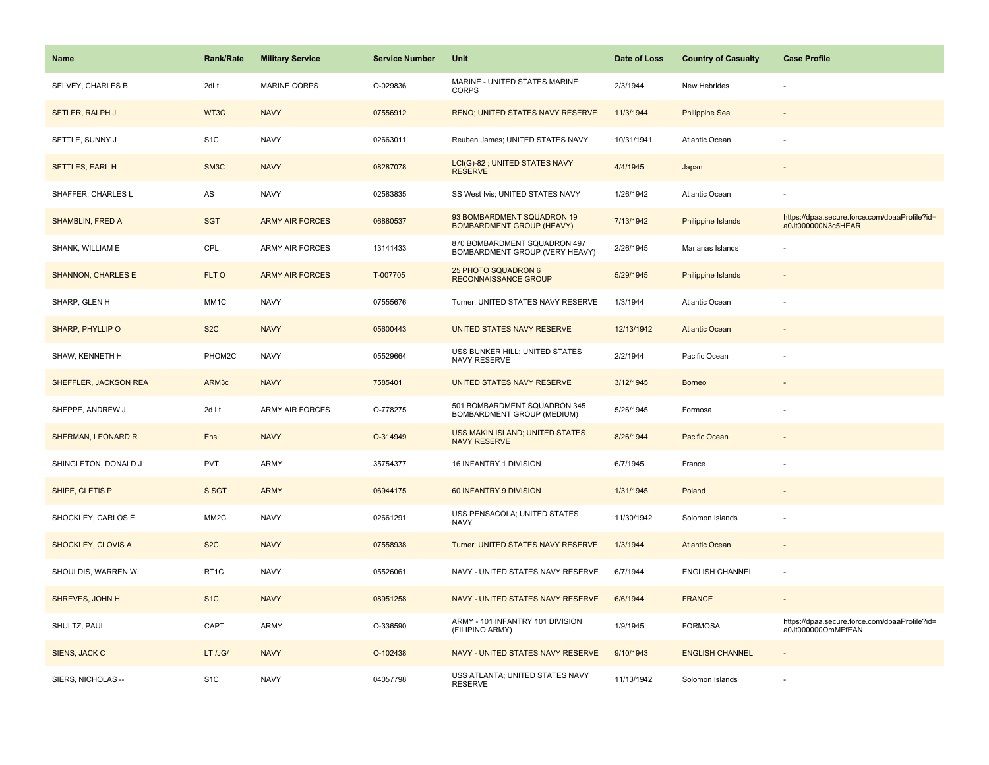| <b>Name</b>               | Rank/Rate         | <b>Military Service</b> | <b>Service Number</b> | Unit                                                           | Date of Loss | <b>Country of Casualty</b> | <b>Case Profile</b>                                                 |
|---------------------------|-------------------|-------------------------|-----------------------|----------------------------------------------------------------|--------------|----------------------------|---------------------------------------------------------------------|
| SELVEY, CHARLES B         | 2dLt              | <b>MARINE CORPS</b>     | O-029836              | MARINE - UNITED STATES MARINE<br><b>CORPS</b>                  | 2/3/1944     | New Hebrides               |                                                                     |
| SETLER, RALPH J           | WT3C              | <b>NAVY</b>             | 07556912              | RENO; UNITED STATES NAVY RESERVE                               | 11/3/1944    | <b>Philippine Sea</b>      |                                                                     |
| SETTLE, SUNNY J           | S <sub>1</sub> C  | <b>NAVY</b>             | 02663011              | Reuben James; UNITED STATES NAVY                               | 10/31/1941   | Atlantic Ocean             |                                                                     |
| <b>SETTLES, EARL H</b>    | SM <sub>3</sub> C | <b>NAVY</b>             | 08287078              | LCI(G)-82 ; UNITED STATES NAVY<br><b>RESERVE</b>               | 4/4/1945     | Japan                      |                                                                     |
| SHAFFER, CHARLES L        | AS                | <b>NAVY</b>             | 02583835              | SS West Ivis; UNITED STATES NAVY                               | 1/26/1942    | Atlantic Ocean             |                                                                     |
| <b>SHAMBLIN, FRED A</b>   | <b>SGT</b>        | <b>ARMY AIR FORCES</b>  | 06880537              | 93 BOMBARDMENT SQUADRON 19<br><b>BOMBARDMENT GROUP (HEAVY)</b> | 7/13/1942    | Philippine Islands         | https://dpaa.secure.force.com/dpaaProfile?id=<br>a0Jt000000N3c5HEAR |
| SHANK, WILLIAM E          | CPL               | <b>ARMY AIR FORCES</b>  | 13141433              | 870 BOMBARDMENT SQUADRON 497<br>BOMBARDMENT GROUP (VERY HEAVY) | 2/26/1945    | Marianas Islands           |                                                                     |
| <b>SHANNON, CHARLES E</b> | FLT O             | <b>ARMY AIR FORCES</b>  | T-007705              | 25 PHOTO SQUADRON 6<br><b>RECONNAISSANCE GROUP</b>             | 5/29/1945    | <b>Philippine Islands</b>  |                                                                     |
| SHARP, GLEN H             | MM1C              | <b>NAVY</b>             | 07555676              | Turner; UNITED STATES NAVY RESERVE                             | 1/3/1944     | Atlantic Ocean             |                                                                     |
| SHARP, PHYLLIP O          | S <sub>2</sub> C  | <b>NAVY</b>             | 05600443              | UNITED STATES NAVY RESERVE                                     | 12/13/1942   | <b>Atlantic Ocean</b>      |                                                                     |
| SHAW, KENNETH H           | PHOM2C            | <b>NAVY</b>             | 05529664              | USS BUNKER HILL; UNITED STATES<br><b>NAVY RESERVE</b>          | 2/2/1944     | Pacific Ocean              |                                                                     |
| SHEFFLER, JACKSON REA     | ARM3c             | <b>NAVY</b>             | 7585401               | UNITED STATES NAVY RESERVE                                     | 3/12/1945    | <b>Borneo</b>              |                                                                     |
| SHEPPE, ANDREW J          | 2d Lt             | <b>ARMY AIR FORCES</b>  | O-778275              | 501 BOMBARDMENT SQUADRON 345<br>BOMBARDMENT GROUP (MEDIUM)     | 5/26/1945    | Formosa                    |                                                                     |
| SHERMAN, LEONARD R        | Ens               | <b>NAVY</b>             | O-314949              | USS MAKIN ISLAND; UNITED STATES<br><b>NAVY RESERVE</b>         | 8/26/1944    | Pacific Ocean              |                                                                     |
| SHINGLETON, DONALD J      | <b>PVT</b>        | ARMY                    | 35754377              | 16 INFANTRY 1 DIVISION                                         | 6/7/1945     | France                     |                                                                     |
| SHIPE, CLETIS P           | S SGT             | <b>ARMY</b>             | 06944175              | 60 INFANTRY 9 DIVISION                                         | 1/31/1945    | Poland                     |                                                                     |
| SHOCKLEY, CARLOS E        | MM <sub>2</sub> C | <b>NAVY</b>             | 02661291              | USS PENSACOLA; UNITED STATES<br><b>NAVY</b>                    | 11/30/1942   | Solomon Islands            |                                                                     |
| SHOCKLEY, CLOVIS A        | S <sub>2</sub> C  | <b>NAVY</b>             | 07558938              | Turner; UNITED STATES NAVY RESERVE                             | 1/3/1944     | <b>Atlantic Ocean</b>      |                                                                     |
| SHOULDIS, WARREN W        | RT1C              | <b>NAVY</b>             | 05526061              | NAVY - UNITED STATES NAVY RESERVE                              | 6/7/1944     | <b>ENGLISH CHANNEL</b>     | ÷,                                                                  |
| SHREVES, JOHN H           | S <sub>1</sub> C  | <b>NAVY</b>             | 08951258              | NAVY - UNITED STATES NAVY RESERVE                              | 6/6/1944     | <b>FRANCE</b>              | $\overline{\phantom{a}}$                                            |
| SHULTZ, PAUL              | CAPT              | ARMY                    | O-336590              | ARMY - 101 INFANTRY 101 DIVISION<br>(FILIPINO ARMY)            | 1/9/1945     | <b>FORMOSA</b>             | https://dpaa.secure.force.com/dpaaProfile?id=<br>a0Jt000000OmMFfEAN |
| SIENS, JACK C             | LT /JG/           | <b>NAVY</b>             | O-102438              | NAVY - UNITED STATES NAVY RESERVE                              | 9/10/1943    | <b>ENGLISH CHANNEL</b>     |                                                                     |
| SIERS, NICHOLAS --        | S <sub>1</sub> C  | <b>NAVY</b>             | 04057798              | USS ATLANTA; UNITED STATES NAVY<br><b>RESERVE</b>              | 11/13/1942   | Solomon Islands            |                                                                     |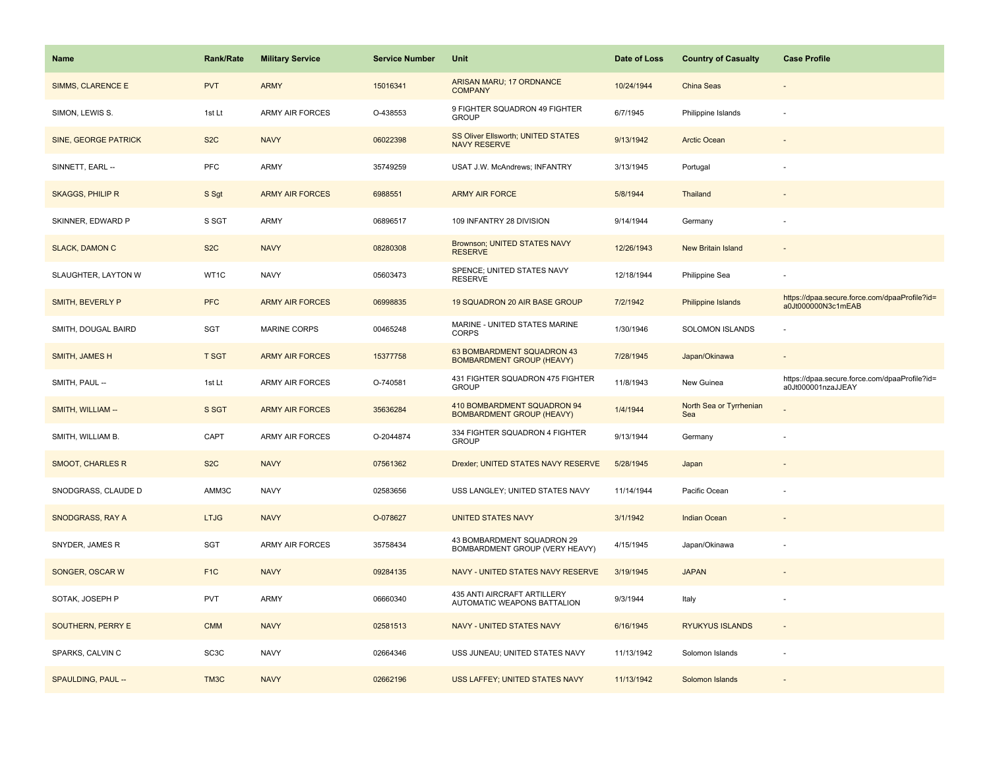| Name                        | Rank/Rate         | <b>Military Service</b> | <b>Service Number</b> | Unit                                                            | Date of Loss | <b>Country of Casualty</b>     | <b>Case Profile</b>                                                 |
|-----------------------------|-------------------|-------------------------|-----------------------|-----------------------------------------------------------------|--------------|--------------------------------|---------------------------------------------------------------------|
| <b>SIMMS, CLARENCE E</b>    | <b>PVT</b>        | <b>ARMY</b>             | 15016341              | ARISAN MARU; 17 ORDNANCE<br><b>COMPANY</b>                      | 10/24/1944   | <b>China Seas</b>              |                                                                     |
| SIMON, LEWIS S.             | 1st Lt            | <b>ARMY AIR FORCES</b>  | O-438553              | 9 FIGHTER SQUADRON 49 FIGHTER<br><b>GROUP</b>                   | 6/7/1945     | Philippine Islands             |                                                                     |
| <b>SINE, GEORGE PATRICK</b> | S <sub>2</sub> C  | <b>NAVY</b>             | 06022398              | SS Oliver Ellsworth; UNITED STATES<br><b>NAVY RESERVE</b>       | 9/13/1942    | <b>Arctic Ocean</b>            |                                                                     |
| SINNETT, EARL --            | <b>PFC</b>        | ARMY                    | 35749259              | USAT J.W. McAndrews; INFANTRY                                   | 3/13/1945    | Portugal                       |                                                                     |
| <b>SKAGGS, PHILIP R</b>     | S Sgt             | <b>ARMY AIR FORCES</b>  | 6988551               | <b>ARMY AIR FORCE</b>                                           | 5/8/1944     | Thailand                       |                                                                     |
| SKINNER, EDWARD P           | S SGT             | <b>ARMY</b>             | 06896517              | 109 INFANTRY 28 DIVISION                                        | 9/14/1944    | Germany                        |                                                                     |
| <b>SLACK, DAMON C</b>       | S <sub>2</sub> C  | <b>NAVY</b>             | 08280308              | Brownson; UNITED STATES NAVY<br><b>RESERVE</b>                  | 12/26/1943   | <b>New Britain Island</b>      |                                                                     |
| SLAUGHTER, LAYTON W         | WT1C              | <b>NAVY</b>             | 05603473              | SPENCE; UNITED STATES NAVY<br><b>RESERVE</b>                    | 12/18/1944   | Philippine Sea                 |                                                                     |
| SMITH, BEVERLY P            | <b>PFC</b>        | <b>ARMY AIR FORCES</b>  | 06998835              | 19 SQUADRON 20 AIR BASE GROUP                                   | 7/2/1942     | <b>Philippine Islands</b>      | https://dpaa.secure.force.com/dpaaProfile?id=<br>a0Jt000000N3c1mEAB |
| SMITH, DOUGAL BAIRD         | SGT               | <b>MARINE CORPS</b>     | 00465248              | MARINE - UNITED STATES MARINE<br><b>CORPS</b>                   | 1/30/1946    | SOLOMON ISLANDS                |                                                                     |
| SMITH, JAMES H              | <b>T SGT</b>      | <b>ARMY AIR FORCES</b>  | 15377758              | 63 BOMBARDMENT SQUADRON 43<br><b>BOMBARDMENT GROUP (HEAVY)</b>  | 7/28/1945    | Japan/Okinawa                  |                                                                     |
| SMITH, PAUL --              | 1st Lt            | ARMY AIR FORCES         | O-740581              | 431 FIGHTER SQUADRON 475 FIGHTER<br><b>GROUP</b>                | 11/8/1943    | New Guinea                     | https://dpaa.secure.force.com/dpaaProfile?id=<br>a0Jt000001nzaJJEAY |
| SMITH, WILLIAM --           | S SGT             | <b>ARMY AIR FORCES</b>  | 35636284              | 410 BOMBARDMENT SQUADRON 94<br><b>BOMBARDMENT GROUP (HEAVY)</b> | 1/4/1944     | North Sea or Tyrrhenian<br>Sea |                                                                     |
| SMITH, WILLIAM B.           | CAPT              | <b>ARMY AIR FORCES</b>  | O-2044874             | 334 FIGHTER SQUADRON 4 FIGHTER<br><b>GROUP</b>                  | 9/13/1944    | Germany                        |                                                                     |
| <b>SMOOT, CHARLES R</b>     | S <sub>2</sub> C  | <b>NAVY</b>             | 07561362              | Drexler; UNITED STATES NAVY RESERVE                             | 5/28/1945    | Japan                          |                                                                     |
| SNODGRASS, CLAUDE D         | AMM3C             | <b>NAVY</b>             | 02583656              | USS LANGLEY; UNITED STATES NAVY                                 | 11/14/1944   | Pacific Ocean                  |                                                                     |
| SNODGRASS, RAY A            | <b>LTJG</b>       | <b>NAVY</b>             | O-078627              | <b>UNITED STATES NAVY</b>                                       | 3/1/1942     | <b>Indian Ocean</b>            |                                                                     |
| SNYDER, JAMES R             | SGT               | ARMY AIR FORCES         | 35758434              | 43 BOMBARDMENT SQUADRON 29<br>BOMBARDMENT GROUP (VERY HEAVY)    | 4/15/1945    | Japan/Okinawa                  |                                                                     |
| SONGER, OSCAR W             | F <sub>1</sub> C  | <b>NAVY</b>             | 09284135              | NAVY - UNITED STATES NAVY RESERVE                               | 3/19/1945    | <b>JAPAN</b>                   |                                                                     |
| SOTAK, JOSEPH P             | <b>PVT</b>        | <b>ARMY</b>             | 06660340              | 435 ANTI AIRCRAFT ARTILLERY<br>AUTOMATIC WEAPONS BATTALION      | 9/3/1944     | Italy                          |                                                                     |
| SOUTHERN, PERRY E           | <b>CMM</b>        | <b>NAVY</b>             | 02581513              | NAVY - UNITED STATES NAVY                                       | 6/16/1945    | <b>RYUKYUS ISLANDS</b>         | $\sim$                                                              |
| SPARKS, CALVIN C            | SC <sub>3</sub> C | <b>NAVY</b>             | 02664346              | USS JUNEAU; UNITED STATES NAVY                                  | 11/13/1942   | Solomon Islands                |                                                                     |
| SPAULDING, PAUL --          | TM3C              | <b>NAVY</b>             | 02662196              | USS LAFFEY; UNITED STATES NAVY                                  | 11/13/1942   | Solomon Islands                |                                                                     |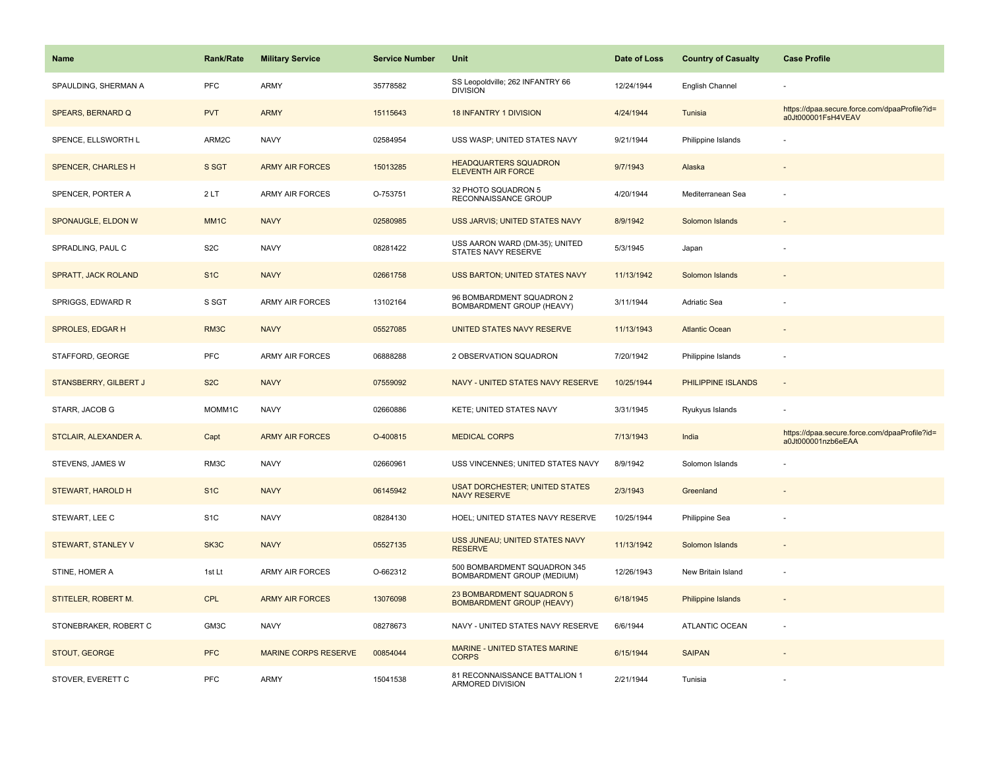| <b>Name</b>                | <b>Rank/Rate</b>  | <b>Military Service</b>     | <b>Service Number</b> | Unit                                                          | Date of Loss | <b>Country of Casualty</b> | <b>Case Profile</b>                                                 |
|----------------------------|-------------------|-----------------------------|-----------------------|---------------------------------------------------------------|--------------|----------------------------|---------------------------------------------------------------------|
| SPAULDING, SHERMAN A       | PFC               | <b>ARMY</b>                 | 35778582              | SS Leopoldville; 262 INFANTRY 66<br><b>DIVISION</b>           | 12/24/1944   | English Channel            |                                                                     |
| SPEARS, BERNARD Q          | <b>PVT</b>        | <b>ARMY</b>                 | 15115643              | 18 INFANTRY 1 DIVISION                                        | 4/24/1944    | Tunisia                    | https://dpaa.secure.force.com/dpaaProfile?id=<br>a0Jt000001FsH4VEAV |
| SPENCE, ELLSWORTH L        | ARM2C             | <b>NAVY</b>                 | 02584954              | USS WASP; UNITED STATES NAVY                                  | 9/21/1944    | Philippine Islands         |                                                                     |
| SPENCER, CHARLES H         | S SGT             | <b>ARMY AIR FORCES</b>      | 15013285              | <b>HEADQUARTERS SQUADRON</b><br><b>ELEVENTH AIR FORCE</b>     | 9/7/1943     | Alaska                     |                                                                     |
| SPENCER, PORTER A          | 2LT               | <b>ARMY AIR FORCES</b>      | O-753751              | 32 PHOTO SQUADRON 5<br>RECONNAISSANCE GROUP                   | 4/20/1944    | Mediterranean Sea          |                                                                     |
| SPONAUGLE, ELDON W         | MM <sub>1</sub> C | <b>NAVY</b>                 | 02580985              | USS JARVIS; UNITED STATES NAVY                                | 8/9/1942     | Solomon Islands            |                                                                     |
| SPRADLING, PAUL C          | S <sub>2</sub> C  | <b>NAVY</b>                 | 08281422              | USS AARON WARD (DM-35); UNITED<br>STATES NAVY RESERVE         | 5/3/1945     | Japan                      |                                                                     |
| <b>SPRATT, JACK ROLAND</b> | S <sub>1C</sub>   | <b>NAVY</b>                 | 02661758              | USS BARTON; UNITED STATES NAVY                                | 11/13/1942   | Solomon Islands            |                                                                     |
| SPRIGGS, EDWARD R          | S SGT             | <b>ARMY AIR FORCES</b>      | 13102164              | 96 BOMBARDMENT SQUADRON 2<br>BOMBARDMENT GROUP (HEAVY)        | 3/11/1944    | Adriatic Sea               |                                                                     |
| SPROLES, EDGAR H           | RM3C              | <b>NAVY</b>                 | 05527085              | UNITED STATES NAVY RESERVE                                    | 11/13/1943   | <b>Atlantic Ocean</b>      |                                                                     |
| STAFFORD, GEORGE           | <b>PFC</b>        | <b>ARMY AIR FORCES</b>      | 06888288              | 2 OBSERVATION SQUADRON                                        | 7/20/1942    | Philippine Islands         |                                                                     |
| STANSBERRY, GILBERT J      | S <sub>2</sub> C  | <b>NAVY</b>                 | 07559092              | NAVY - UNITED STATES NAVY RESERVE                             | 10/25/1944   | PHILIPPINE ISLANDS         | $\blacksquare$                                                      |
| STARR, JACOB G             | MOMM1C            | <b>NAVY</b>                 | 02660886              | KETE; UNITED STATES NAVY                                      | 3/31/1945    | Ryukyus Islands            |                                                                     |
| STCLAIR, ALEXANDER A.      | Capt              | <b>ARMY AIR FORCES</b>      | O-400815              | <b>MEDICAL CORPS</b>                                          | 7/13/1943    | India                      | https://dpaa.secure.force.com/dpaaProfile?id=<br>a0Jt000001nzb6eEAA |
| STEVENS, JAMES W           | RM3C              | <b>NAVY</b>                 | 02660961              | USS VINCENNES; UNITED STATES NAVY                             | 8/9/1942     | Solomon Islands            |                                                                     |
| STEWART, HAROLD H          | S <sub>1C</sub>   | <b>NAVY</b>                 | 06145942              | <b>USAT DORCHESTER; UNITED STATES</b><br><b>NAVY RESERVE</b>  | 2/3/1943     | Greenland                  |                                                                     |
| STEWART, LEE C             | S <sub>1</sub> C  | <b>NAVY</b>                 | 08284130              | HOEL; UNITED STATES NAVY RESERVE                              | 10/25/1944   | Philippine Sea             |                                                                     |
| STEWART, STANLEY V         | SK3C              | <b>NAVY</b>                 | 05527135              | USS JUNEAU; UNITED STATES NAVY<br><b>RESERVE</b>              | 11/13/1942   | Solomon Islands            |                                                                     |
| STINE, HOMER A             | 1st Lt            | <b>ARMY AIR FORCES</b>      | O-662312              | 500 BOMBARDMENT SQUADRON 345<br>BOMBARDMENT GROUP (MEDIUM)    | 12/26/1943   | New Britain Island         | ÷,                                                                  |
| STITELER, ROBERT M.        | <b>CPL</b>        | <b>ARMY AIR FORCES</b>      | 13076098              | 23 BOMBARDMENT SQUADRON 5<br><b>BOMBARDMENT GROUP (HEAVY)</b> | 6/18/1945    | Philippine Islands         | $\overline{\phantom{a}}$                                            |
| STONEBRAKER, ROBERT C      | GM3C              | <b>NAVY</b>                 | 08278673              | NAVY - UNITED STATES NAVY RESERVE                             | 6/6/1944     | <b>ATLANTIC OCEAN</b>      | $\sim$                                                              |
| STOUT, GEORGE              | <b>PFC</b>        | <b>MARINE CORPS RESERVE</b> | 00854044              | MARINE - UNITED STATES MARINE<br><b>CORPS</b>                 | 6/15/1944    | <b>SAIPAN</b>              |                                                                     |
| STOVER, EVERETT C          | PFC               | <b>ARMY</b>                 | 15041538              | 81 RECONNAISSANCE BATTALION 1<br>ARMORED DIVISION             | 2/21/1944    | Tunisia                    |                                                                     |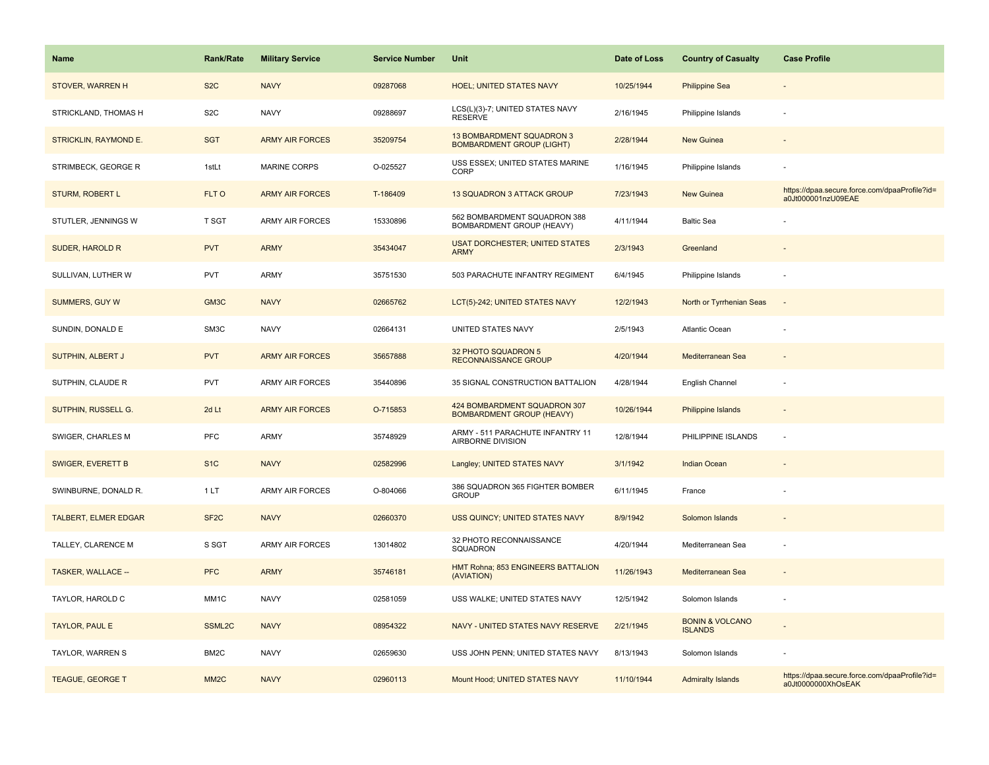| Name                        | <b>Rank/Rate</b>  | <b>Military Service</b> | <b>Service Number</b> | Unit                                                             | Date of Loss | <b>Country of Casualty</b>                   | <b>Case Profile</b>                                                 |
|-----------------------------|-------------------|-------------------------|-----------------------|------------------------------------------------------------------|--------------|----------------------------------------------|---------------------------------------------------------------------|
| STOVER, WARREN H            | S <sub>2</sub> C  | <b>NAVY</b>             | 09287068              | <b>HOEL; UNITED STATES NAVY</b>                                  | 10/25/1944   | <b>Philippine Sea</b>                        |                                                                     |
| STRICKLAND, THOMAS H        | S <sub>2</sub> C  | <b>NAVY</b>             | 09288697              | LCS(L)(3)-7; UNITED STATES NAVY<br><b>RESERVE</b>                | 2/16/1945    | Philippine Islands                           |                                                                     |
| STRICKLIN, RAYMOND E.       | <b>SGT</b>        | <b>ARMY AIR FORCES</b>  | 35209754              | 13 BOMBARDMENT SQUADRON 3<br><b>BOMBARDMENT GROUP (LIGHT)</b>    | 2/28/1944    | New Guinea                                   |                                                                     |
| STRIMBECK, GEORGE R         | 1stLt             | <b>MARINE CORPS</b>     | O-025527              | USS ESSEX; UNITED STATES MARINE<br>CORP                          | 1/16/1945    | Philippine Islands                           |                                                                     |
| <b>STURM, ROBERT L</b>      | FLT O             | <b>ARMY AIR FORCES</b>  | T-186409              | 13 SQUADRON 3 ATTACK GROUP                                       | 7/23/1943    | New Guinea                                   | https://dpaa.secure.force.com/dpaaProfile?id=<br>a0Jt000001nzU09EAE |
| STUTLER, JENNINGS W         | <b>T SGT</b>      | <b>ARMY AIR FORCES</b>  | 15330896              | 562 BOMBARDMENT SQUADRON 388<br>BOMBARDMENT GROUP (HEAVY)        | 4/11/1944    | <b>Baltic Sea</b>                            |                                                                     |
| SUDER, HAROLD R             | <b>PVT</b>        | <b>ARMY</b>             | 35434047              | <b>USAT DORCHESTER; UNITED STATES</b><br><b>ARMY</b>             | 2/3/1943     | Greenland                                    |                                                                     |
| SULLIVAN, LUTHER W          | <b>PVT</b>        | <b>ARMY</b>             | 35751530              | 503 PARACHUTE INFANTRY REGIMENT                                  | 6/4/1945     | Philippine Islands                           |                                                                     |
| SUMMERS, GUY W              | GM3C              | <b>NAVY</b>             | 02665762              | LCT(5)-242; UNITED STATES NAVY                                   | 12/2/1943    | North or Tyrrhenian Seas                     | $\sim$                                                              |
| SUNDIN, DONALD E            | SM3C              | <b>NAVY</b>             | 02664131              | UNITED STATES NAVY                                               | 2/5/1943     | <b>Atlantic Ocean</b>                        |                                                                     |
| SUTPHIN, ALBERT J           | <b>PVT</b>        | <b>ARMY AIR FORCES</b>  | 35657888              | 32 PHOTO SQUADRON 5<br><b>RECONNAISSANCE GROUP</b>               | 4/20/1944    | Mediterranean Sea                            |                                                                     |
| SUTPHIN, CLAUDE R           | <b>PVT</b>        | <b>ARMY AIR FORCES</b>  | 35440896              | 35 SIGNAL CONSTRUCTION BATTALION                                 | 4/28/1944    | English Channel                              |                                                                     |
| SUTPHIN, RUSSELL G.         | 2d Lt             | <b>ARMY AIR FORCES</b>  | O-715853              | 424 BOMBARDMENT SQUADRON 307<br><b>BOMBARDMENT GROUP (HEAVY)</b> | 10/26/1944   | <b>Philippine Islands</b>                    |                                                                     |
| SWIGER, CHARLES M           | <b>PFC</b>        | <b>ARMY</b>             | 35748929              | ARMY - 511 PARACHUTE INFANTRY 11<br>AIRBORNE DIVISION            | 12/8/1944    | PHILIPPINE ISLANDS                           | ÷,                                                                  |
| <b>SWIGER, EVERETT B</b>    | S <sub>1</sub> C  | <b>NAVY</b>             | 02582996              | Langley; UNITED STATES NAVY                                      | 3/1/1942     | <b>Indian Ocean</b>                          |                                                                     |
| SWINBURNE, DONALD R.        | 1LT               | <b>ARMY AIR FORCES</b>  | O-804066              | 386 SQUADRON 365 FIGHTER BOMBER<br><b>GROUP</b>                  | 6/11/1945    | France                                       |                                                                     |
| <b>TALBERT, ELMER EDGAR</b> | SF <sub>2</sub> C | <b>NAVY</b>             | 02660370              | USS QUINCY; UNITED STATES NAVY                                   | 8/9/1942     | Solomon Islands                              |                                                                     |
| TALLEY, CLARENCE M          | S SGT             | <b>ARMY AIR FORCES</b>  | 13014802              | 32 PHOTO RECONNAISSANCE<br>SQUADRON                              | 4/20/1944    | Mediterranean Sea                            |                                                                     |
| TASKER, WALLACE --          | <b>PFC</b>        | <b>ARMY</b>             | 35746181              | HMT Rohna; 853 ENGINEERS BATTALION<br>(AVIATION)                 | 11/26/1943   | Mediterranean Sea                            |                                                                     |
| TAYLOR, HAROLD C            | MM1C              | <b>NAVY</b>             | 02581059              | USS WALKE; UNITED STATES NAVY                                    | 12/5/1942    | Solomon Islands                              |                                                                     |
| <b>TAYLOR, PAUL E</b>       | SSML2C            | <b>NAVY</b>             | 08954322              | NAVY - UNITED STATES NAVY RESERVE                                | 2/21/1945    | <b>BONIN &amp; VOLCANO</b><br><b>ISLANDS</b> |                                                                     |
| TAYLOR, WARREN S            | BM <sub>2</sub> C | <b>NAVY</b>             | 02659630              | USS JOHN PENN; UNITED STATES NAVY                                | 8/13/1943    | Solomon Islands                              |                                                                     |
| <b>TEAGUE, GEORGE T</b>     | MM <sub>2</sub> C | <b>NAVY</b>             | 02960113              | Mount Hood; UNITED STATES NAVY                                   | 11/10/1944   | <b>Admiralty Islands</b>                     | https://dpaa.secure.force.com/dpaaProfile?id=<br>a0Jt0000000XhOsEAK |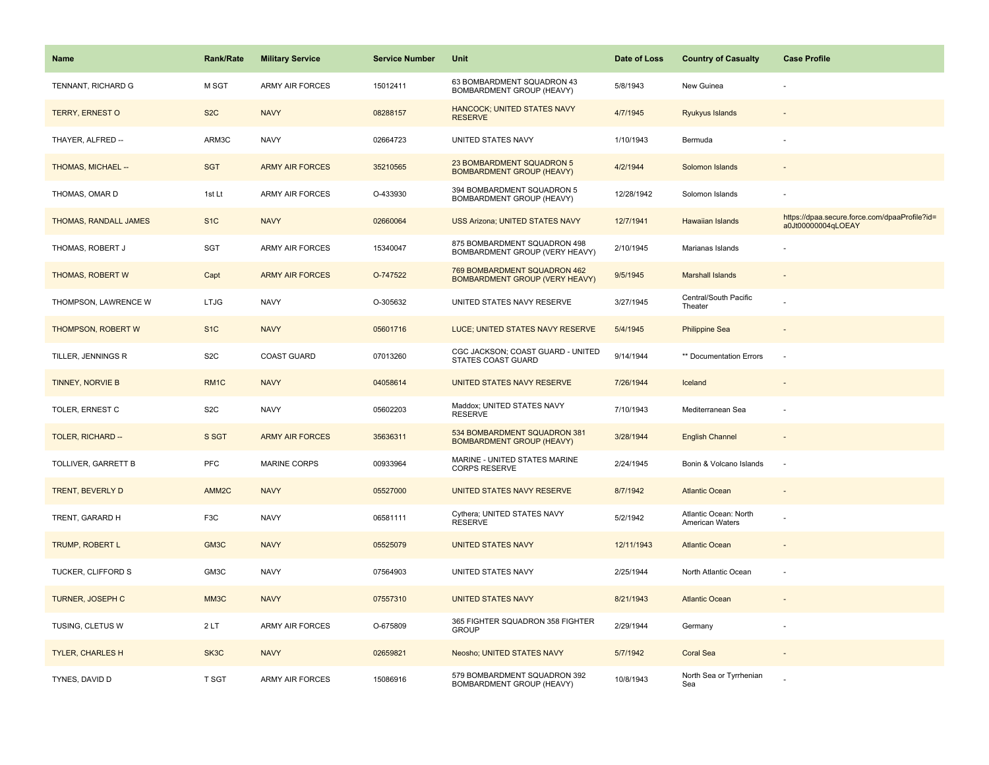| Name                      | <b>Rank/Rate</b>   | <b>Military Service</b> | <b>Service Number</b> | Unit                                                                  | Date of Loss | <b>Country of Casualty</b>               | <b>Case Profile</b>                                                 |
|---------------------------|--------------------|-------------------------|-----------------------|-----------------------------------------------------------------------|--------------|------------------------------------------|---------------------------------------------------------------------|
| TENNANT, RICHARD G        | M SGT              | <b>ARMY AIR FORCES</b>  | 15012411              | 63 BOMBARDMENT SQUADRON 43<br>BOMBARDMENT GROUP (HEAVY)               | 5/8/1943     | New Guinea                               |                                                                     |
| <b>TERRY, ERNEST O</b>    | S <sub>2</sub> C   | <b>NAVY</b>             | 08288157              | HANCOCK; UNITED STATES NAVY<br><b>RESERVE</b>                         | 4/7/1945     | Ryukyus Islands                          |                                                                     |
| THAYER, ALFRED --         | ARM3C              | <b>NAVY</b>             | 02664723              | UNITED STATES NAVY                                                    | 1/10/1943    | Bermuda                                  |                                                                     |
| THOMAS, MICHAEL --        | <b>SGT</b>         | <b>ARMY AIR FORCES</b>  | 35210565              | 23 BOMBARDMENT SQUADRON 5<br><b>BOMBARDMENT GROUP (HEAVY)</b>         | 4/2/1944     | Solomon Islands                          |                                                                     |
| THOMAS, OMAR D            | 1st Lt             | <b>ARMY AIR FORCES</b>  | O-433930              | 394 BOMBARDMENT SQUADRON 5<br>BOMBARDMENT GROUP (HEAVY)               | 12/28/1942   | Solomon Islands                          |                                                                     |
| THOMAS, RANDALL JAMES     | S <sub>1</sub> C   | <b>NAVY</b>             | 02660064              | <b>USS Arizona; UNITED STATES NAVY</b>                                | 12/7/1941    | Hawaiian Islands                         | https://dpaa.secure.force.com/dpaaProfile?id=<br>a0Jt00000004qLOEAY |
| THOMAS, ROBERT J          | SGT                | <b>ARMY AIR FORCES</b>  | 15340047              | 875 BOMBARDMENT SQUADRON 498<br>BOMBARDMENT GROUP (VERY HEAVY)        | 2/10/1945    | Marianas Islands                         |                                                                     |
| <b>THOMAS, ROBERT W</b>   | Capt               | <b>ARMY AIR FORCES</b>  | O-747522              | 769 BOMBARDMENT SQUADRON 462<br><b>BOMBARDMENT GROUP (VERY HEAVY)</b> | 9/5/1945     | <b>Marshall Islands</b>                  |                                                                     |
| THOMPSON, LAWRENCE W      | <b>LTJG</b>        | <b>NAVY</b>             | O-305632              | UNITED STATES NAVY RESERVE                                            | 3/27/1945    | Central/South Pacific<br>Theater         |                                                                     |
| <b>THOMPSON, ROBERT W</b> | S <sub>1C</sub>    | <b>NAVY</b>             | 05601716              | LUCE; UNITED STATES NAVY RESERVE                                      | 5/4/1945     | <b>Philippine Sea</b>                    |                                                                     |
| TILLER, JENNINGS R        | S <sub>2</sub> C   | <b>COAST GUARD</b>      | 07013260              | CGC JACKSON; COAST GUARD - UNITED<br>STATES COAST GUARD               | 9/14/1944    | ** Documentation Errors                  | ÷.                                                                  |
| <b>TINNEY, NORVIE B</b>   | RM <sub>1C</sub>   | <b>NAVY</b>             | 04058614              | UNITED STATES NAVY RESERVE                                            | 7/26/1944    | Iceland                                  |                                                                     |
| <b>TOLER, ERNEST C</b>    | S <sub>2</sub> C   | <b>NAVY</b>             | 05602203              | Maddox; UNITED STATES NAVY<br><b>RESERVE</b>                          | 7/10/1943    | Mediterranean Sea                        |                                                                     |
| TOLER, RICHARD --         | S SGT              | <b>ARMY AIR FORCES</b>  | 35636311              | 534 BOMBARDMENT SQUADRON 381<br><b>BOMBARDMENT GROUP (HEAVY)</b>      | 3/28/1944    | <b>English Channel</b>                   | $\sim$                                                              |
| TOLLIVER, GARRETT B       | PFC                | <b>MARINE CORPS</b>     | 00933964              | MARINE - UNITED STATES MARINE<br><b>CORPS RESERVE</b>                 | 2/24/1945    | Bonin & Volcano Islands                  | $\sim$                                                              |
| <b>TRENT, BEVERLY D</b>   | AMM <sub>2</sub> C | <b>NAVY</b>             | 05527000              | UNITED STATES NAVY RESERVE                                            | 8/7/1942     | <b>Atlantic Ocean</b>                    |                                                                     |
| TRENT, GARARD H           | F <sub>3</sub> C   | <b>NAVY</b>             | 06581111              | Cythera; UNITED STATES NAVY<br><b>RESERVE</b>                         | 5/2/1942     | Atlantic Ocean: North<br>American Waters |                                                                     |
| <b>TRUMP, ROBERT L</b>    | GM3C               | <b>NAVY</b>             | 05525079              | <b>UNITED STATES NAVY</b>                                             | 12/11/1943   | <b>Atlantic Ocean</b>                    |                                                                     |
| TUCKER, CLIFFORD S        | GM3C               | <b>NAVY</b>             | 07564903              | UNITED STATES NAVY                                                    | 2/25/1944    | North Atlantic Ocean                     |                                                                     |
| TURNER, JOSEPH C          | MM3C               | <b>NAVY</b>             | 07557310              | <b>UNITED STATES NAVY</b>                                             | 8/21/1943    | <b>Atlantic Ocean</b>                    |                                                                     |
| TUSING, CLETUS W          | 2LT                | <b>ARMY AIR FORCES</b>  | O-675809              | 365 FIGHTER SQUADRON 358 FIGHTER<br><b>GROUP</b>                      | 2/29/1944    | Germany                                  |                                                                     |
| <b>TYLER, CHARLES H</b>   | SK3C               | <b>NAVY</b>             | 02659821              | Neosho; UNITED STATES NAVY                                            | 5/7/1942     | <b>Coral Sea</b>                         |                                                                     |
| TYNES, DAVID D            | T SGT              | <b>ARMY AIR FORCES</b>  | 15086916              | 579 BOMBARDMENT SQUADRON 392<br>BOMBARDMENT GROUP (HEAVY)             | 10/8/1943    | North Sea or Tyrrhenian<br>Sea           |                                                                     |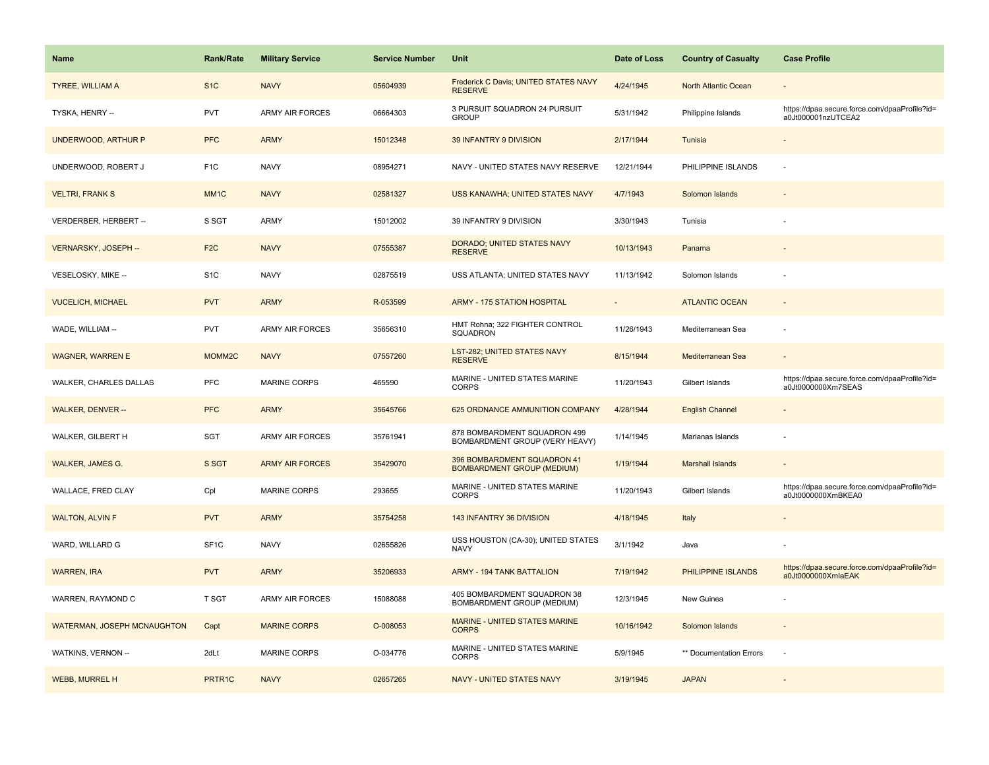| <b>Name</b>                 | <b>Rank/Rate</b>  | <b>Military Service</b> | <b>Service Number</b> | Unit                                                             | Date of Loss | <b>Country of Casualty</b> | <b>Case Profile</b>                                                 |
|-----------------------------|-------------------|-------------------------|-----------------------|------------------------------------------------------------------|--------------|----------------------------|---------------------------------------------------------------------|
| <b>TYREE, WILLIAM A</b>     | S <sub>1</sub> C  | <b>NAVY</b>             | 05604939              | Frederick C Davis; UNITED STATES NAVY<br><b>RESERVE</b>          | 4/24/1945    | North Atlantic Ocean       |                                                                     |
| TYSKA, HENRY --             | PVT               | <b>ARMY AIR FORCES</b>  | 06664303              | 3 PURSUIT SQUADRON 24 PURSUIT<br><b>GROUP</b>                    | 5/31/1942    | Philippine Islands         | https://dpaa.secure.force.com/dpaaProfile?id=<br>a0Jt000001nzUTCEA2 |
| UNDERWOOD, ARTHUR P         | <b>PFC</b>        | <b>ARMY</b>             | 15012348              | 39 INFANTRY 9 DIVISION                                           | 2/17/1944    | Tunisia                    |                                                                     |
| UNDERWOOD, ROBERT J         | F <sub>1</sub> C  | <b>NAVY</b>             | 08954271              | NAVY - UNITED STATES NAVY RESERVE                                | 12/21/1944   | PHILIPPINE ISLANDS         |                                                                     |
| <b>VELTRI, FRANK S</b>      | MM <sub>1</sub> C | <b>NAVY</b>             | 02581327              | USS KANAWHA; UNITED STATES NAVY                                  | 4/7/1943     | Solomon Islands            |                                                                     |
| VERDERBER, HERBERT --       | S SGT             | ARMY                    | 15012002              | 39 INFANTRY 9 DIVISION                                           | 3/30/1943    | Tunisia                    |                                                                     |
| VERNARSKY, JOSEPH --        | F <sub>2</sub> C  | <b>NAVY</b>             | 07555387              | DORADO; UNITED STATES NAVY<br><b>RESERVE</b>                     | 10/13/1943   | Panama                     | $\sim$                                                              |
| VESELOSKY, MIKE --          | S <sub>1</sub> C  | <b>NAVY</b>             | 02875519              | USS ATLANTA; UNITED STATES NAVY                                  | 11/13/1942   | Solomon Islands            |                                                                     |
| <b>VUCELICH, MICHAEL</b>    | <b>PVT</b>        | <b>ARMY</b>             | R-053599              | <b>ARMY - 175 STATION HOSPITAL</b>                               |              | <b>ATLANTIC OCEAN</b>      |                                                                     |
| WADE, WILLIAM --            | PVT               | ARMY AIR FORCES         | 35656310              | HMT Rohna; 322 FIGHTER CONTROL<br>SQUADRON                       | 11/26/1943   | Mediterranean Sea          |                                                                     |
| <b>WAGNER, WARREN E</b>     | MOMM2C            | <b>NAVY</b>             | 07557260              | LST-282; UNITED STATES NAVY<br><b>RESERVE</b>                    | 8/15/1944    | Mediterranean Sea          |                                                                     |
| WALKER, CHARLES DALLAS      | <b>PFC</b>        | <b>MARINE CORPS</b>     | 465590                | MARINE - UNITED STATES MARINE<br><b>CORPS</b>                    | 11/20/1943   | Gilbert Islands            | https://dpaa.secure.force.com/dpaaProfile?id=<br>a0Jt0000000Xm7SEAS |
| <b>WALKER, DENVER --</b>    | <b>PFC</b>        | <b>ARMY</b>             | 35645766              | 625 ORDNANCE AMMUNITION COMPANY                                  | 4/28/1944    | <b>English Channel</b>     |                                                                     |
| WALKER, GILBERT H           | SGT               | ARMY AIR FORCES         | 35761941              | 878 BOMBARDMENT SQUADRON 499<br>BOMBARDMENT GROUP (VERY HEAVY)   | 1/14/1945    | Marianas Islands           | ÷,                                                                  |
| <b>WALKER, JAMES G.</b>     | S SGT             | <b>ARMY AIR FORCES</b>  | 35429070              | 396 BOMBARDMENT SQUADRON 41<br><b>BOMBARDMENT GROUP (MEDIUM)</b> | 1/19/1944    | <b>Marshall Islands</b>    |                                                                     |
| WALLACE, FRED CLAY          | Cpl               | <b>MARINE CORPS</b>     | 293655                | MARINE - UNITED STATES MARINE<br><b>CORPS</b>                    | 11/20/1943   | Gilbert Islands            | https://dpaa.secure.force.com/dpaaProfile?id=<br>a0Jt0000000XmBKEA0 |
| <b>WALTON, ALVIN F</b>      | <b>PVT</b>        | <b>ARMY</b>             | 35754258              | 143 INFANTRY 36 DIVISION                                         | 4/18/1945    | Italy                      |                                                                     |
| WARD, WILLARD G             | SF <sub>1</sub> C | <b>NAVY</b>             | 02655826              | USS HOUSTON (CA-30); UNITED STATES<br><b>NAVY</b>                | 3/1/1942     | Java                       |                                                                     |
| <b>WARREN, IRA</b>          | <b>PVT</b>        | <b>ARMY</b>             | 35206933              | <b>ARMY - 194 TANK BATTALION</b>                                 | 7/19/1942    | PHILIPPINE ISLANDS         | https://dpaa.secure.force.com/dpaaProfile?id=<br>a0Jt0000000XmlaEAK |
| WARREN, RAYMOND C           | <b>T SGT</b>      | ARMY AIR FORCES         | 15088088              | 405 BOMBARDMENT SQUADRON 38<br>BOMBARDMENT GROUP (MEDIUM)        | 12/3/1945    | New Guinea                 |                                                                     |
| WATERMAN, JOSEPH MCNAUGHTON | Capt              | <b>MARINE CORPS</b>     | O-008053              | <b>MARINE - UNITED STATES MARINE</b><br><b>CORPS</b>             | 10/16/1942   | Solomon Islands            | $\overline{\phantom{a}}$                                            |
| WATKINS, VERNON --          | 2dLt              | <b>MARINE CORPS</b>     | O-034776              | MARINE - UNITED STATES MARINE<br><b>CORPS</b>                    | 5/9/1945     | ** Documentation Errors    | ÷.                                                                  |
| <b>WEBB, MURREL H</b>       | PRTR1C            | <b>NAVY</b>             | 02657265              | NAVY - UNITED STATES NAVY                                        | 3/19/1945    | <b>JAPAN</b>               |                                                                     |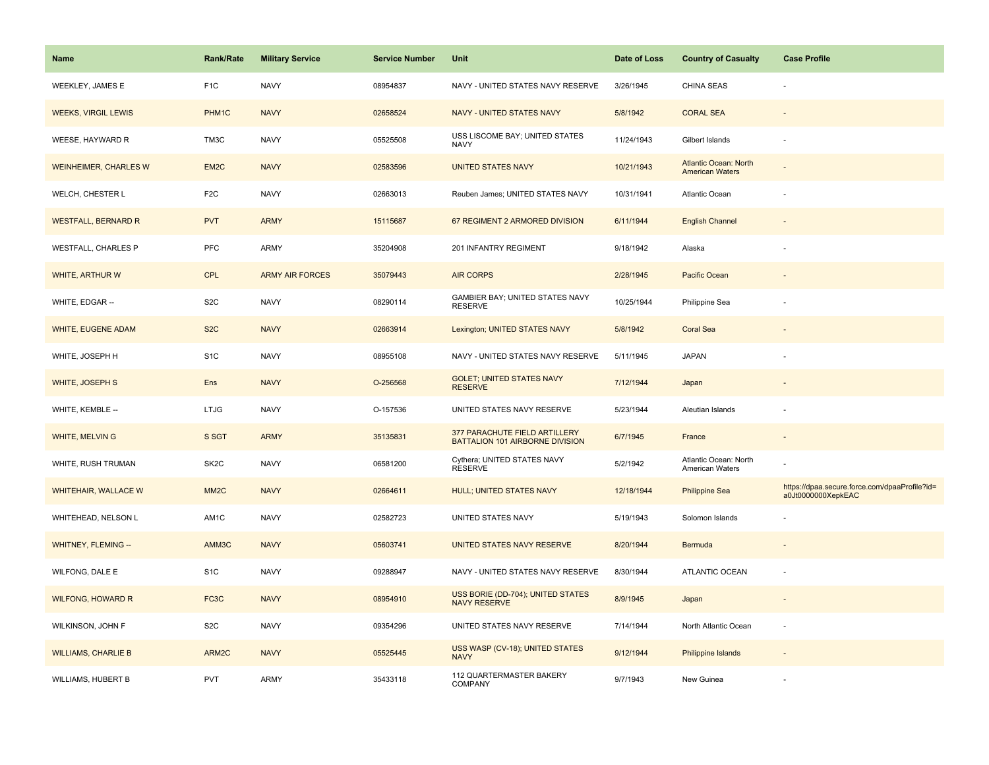| Name                         | <b>Rank/Rate</b>  | <b>Military Service</b> | <b>Service Number</b> | Unit                                                             | Date of Loss | <b>Country of Casualty</b>                             | <b>Case Profile</b>                                                 |
|------------------------------|-------------------|-------------------------|-----------------------|------------------------------------------------------------------|--------------|--------------------------------------------------------|---------------------------------------------------------------------|
| <b>WEEKLEY, JAMES E</b>      | F <sub>1</sub> C  | <b>NAVY</b>             | 08954837              | NAVY - UNITED STATES NAVY RESERVE                                | 3/26/1945    | <b>CHINA SEAS</b>                                      |                                                                     |
| <b>WEEKS, VIRGIL LEWIS</b>   | PHM1C             | <b>NAVY</b>             | 02658524              | NAVY - UNITED STATES NAVY                                        | 5/8/1942     | <b>CORAL SEA</b>                                       |                                                                     |
| WEESE, HAYWARD R             | TM3C              | <b>NAVY</b>             | 05525508              | USS LISCOME BAY; UNITED STATES<br><b>NAVY</b>                    | 11/24/1943   | Gilbert Islands                                        |                                                                     |
| <b>WEINHEIMER, CHARLES W</b> | EM2C              | <b>NAVY</b>             | 02583596              | <b>UNITED STATES NAVY</b>                                        | 10/21/1943   | <b>Atlantic Ocean: North</b><br><b>American Waters</b> |                                                                     |
| WELCH, CHESTER L             | F <sub>2</sub> C  | <b>NAVY</b>             | 02663013              | Reuben James; UNITED STATES NAVY                                 | 10/31/1941   | <b>Atlantic Ocean</b>                                  |                                                                     |
| <b>WESTFALL, BERNARD R</b>   | <b>PVT</b>        | <b>ARMY</b>             | 15115687              | 67 REGIMENT 2 ARMORED DIVISION                                   | 6/11/1944    | <b>English Channel</b>                                 |                                                                     |
| <b>WESTFALL, CHARLES P</b>   | PFC               | ARMY                    | 35204908              | 201 INFANTRY REGIMENT                                            | 9/18/1942    | Alaska                                                 |                                                                     |
| <b>WHITE, ARTHUR W</b>       | <b>CPL</b>        | <b>ARMY AIR FORCES</b>  | 35079443              | <b>AIR CORPS</b>                                                 | 2/28/1945    | Pacific Ocean                                          |                                                                     |
| WHITE, EDGAR --              | S <sub>2</sub> C  | <b>NAVY</b>             | 08290114              | GAMBIER BAY; UNITED STATES NAVY<br><b>RESERVE</b>                | 10/25/1944   | Philippine Sea                                         |                                                                     |
| WHITE, EUGENE ADAM           | S <sub>2</sub> C  | <b>NAVY</b>             | 02663914              | Lexington; UNITED STATES NAVY                                    | 5/8/1942     | <b>Coral Sea</b>                                       |                                                                     |
| WHITE, JOSEPH H              | S <sub>1</sub> C  | <b>NAVY</b>             | 08955108              | NAVY - UNITED STATES NAVY RESERVE                                | 5/11/1945    | <b>JAPAN</b>                                           |                                                                     |
| WHITE, JOSEPH S              | Ens               | <b>NAVY</b>             | O-256568              | <b>GOLET: UNITED STATES NAVY</b><br><b>RESERVE</b>               | 7/12/1944    | Japan                                                  |                                                                     |
| WHITE, KEMBLE --             | <b>LTJG</b>       | <b>NAVY</b>             | O-157536              | UNITED STATES NAVY RESERVE                                       | 5/23/1944    | Aleutian Islands                                       |                                                                     |
| WHITE, MELVIN G              | S SGT             | <b>ARMY</b>             | 35135831              | 377 PARACHUTE FIELD ARTILLERY<br>BATTALION 101 AIRBORNE DIVISION | 6/7/1945     | France                                                 | $\sim$                                                              |
| WHITE, RUSH TRUMAN           | SK <sub>2</sub> C | <b>NAVY</b>             | 06581200              | Cythera; UNITED STATES NAVY<br><b>RESERVE</b>                    | 5/2/1942     | Atlantic Ocean: North<br>American Waters               |                                                                     |
| <b>WHITEHAIR, WALLACE W</b>  | MM <sub>2</sub> C | <b>NAVY</b>             | 02664611              | HULL; UNITED STATES NAVY                                         | 12/18/1944   | <b>Philippine Sea</b>                                  | https://dpaa.secure.force.com/dpaaProfile?id=<br>a0Jt0000000XepkEAC |
| WHITEHEAD, NELSON L          | AM1C              | <b>NAVY</b>             | 02582723              | UNITED STATES NAVY                                               | 5/19/1943    | Solomon Islands                                        |                                                                     |
| WHITNEY, FLEMING --          | AMM3C             | <b>NAVY</b>             | 05603741              | UNITED STATES NAVY RESERVE                                       | 8/20/1944    | Bermuda                                                |                                                                     |
| WILFONG, DALE E              | S <sub>1</sub> C  | <b>NAVY</b>             | 09288947              | NAVY - UNITED STATES NAVY RESERVE                                | 8/30/1944    | ATLANTIC OCEAN                                         |                                                                     |
| <b>WILFONG, HOWARD R</b>     | FC <sub>3</sub> C | <b>NAVY</b>             | 08954910              | USS BORIE (DD-704); UNITED STATES<br><b>NAVY RESERVE</b>         | 8/9/1945     | Japan                                                  |                                                                     |
| WILKINSON, JOHN F            | S <sub>2</sub> C  | <b>NAVY</b>             | 09354296              | UNITED STATES NAVY RESERVE                                       | 7/14/1944    | North Atlantic Ocean                                   | $\sim$                                                              |
| <b>WILLIAMS, CHARLIE B</b>   | ARM2C             | <b>NAVY</b>             | 05525445              | USS WASP (CV-18); UNITED STATES<br><b>NAVY</b>                   | 9/12/1944    | <b>Philippine Islands</b>                              |                                                                     |
| WILLIAMS, HUBERT B           | PVT               | ARMY                    | 35433118              | 112 QUARTERMASTER BAKERY<br><b>COMPANY</b>                       | 9/7/1943     | New Guinea                                             |                                                                     |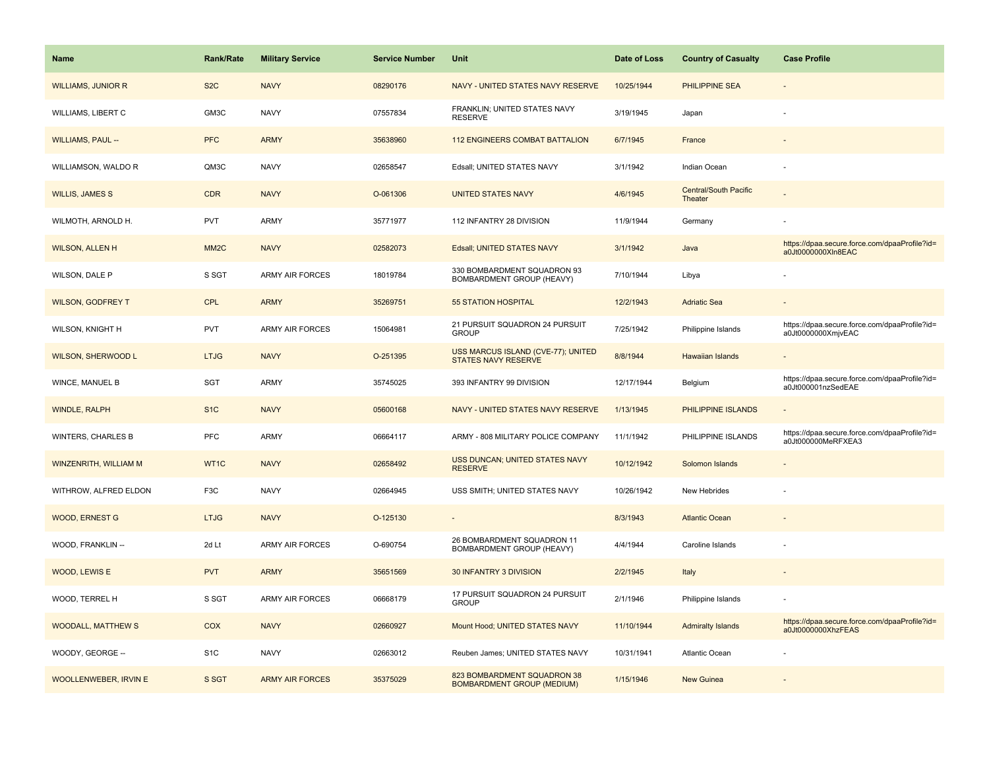| Name                      | <b>Rank/Rate</b>  | <b>Military Service</b> | <b>Service Number</b> | Unit                                                             | Date of Loss | <b>Country of Casualty</b>              | <b>Case Profile</b>                                                 |
|---------------------------|-------------------|-------------------------|-----------------------|------------------------------------------------------------------|--------------|-----------------------------------------|---------------------------------------------------------------------|
| <b>WILLIAMS, JUNIOR R</b> | S <sub>2</sub> C  | <b>NAVY</b>             | 08290176              | NAVY - UNITED STATES NAVY RESERVE                                | 10/25/1944   | <b>PHILIPPINE SEA</b>                   |                                                                     |
| <b>WILLIAMS, LIBERT C</b> | GM3C              | <b>NAVY</b>             | 07557834              | FRANKLIN; UNITED STATES NAVY<br><b>RESERVE</b>                   | 3/19/1945    | Japan                                   |                                                                     |
| <b>WILLIAMS, PAUL --</b>  | <b>PFC</b>        | <b>ARMY</b>             | 35638960              | <b>112 ENGINEERS COMBAT BATTALION</b>                            | 6/7/1945     | France                                  |                                                                     |
| WILLIAMSON, WALDO R       | QM3C              | <b>NAVY</b>             | 02658547              | Edsall; UNITED STATES NAVY                                       | 3/1/1942     | Indian Ocean                            |                                                                     |
| <b>WILLIS, JAMES S</b>    | <b>CDR</b>        | <b>NAVY</b>             | O-061306              | <b>UNITED STATES NAVY</b>                                        | 4/6/1945     | <b>Central/South Pacific</b><br>Theater |                                                                     |
| WILMOTH, ARNOLD H.        | PVT               | <b>ARMY</b>             | 35771977              | 112 INFANTRY 28 DIVISION                                         | 11/9/1944    | Germany                                 |                                                                     |
| <b>WILSON, ALLEN H</b>    | MM <sub>2</sub> C | <b>NAVY</b>             | 02582073              | Edsall; UNITED STATES NAVY                                       | 3/1/1942     | Java                                    | https://dpaa.secure.force.com/dpaaProfile?id=<br>a0Jt0000000XIn8EAC |
| WILSON, DALE P            | S SGT             | <b>ARMY AIR FORCES</b>  | 18019784              | 330 BOMBARDMENT SQUADRON 93<br>BOMBARDMENT GROUP (HEAVY)         | 7/10/1944    | Libya                                   |                                                                     |
| <b>WILSON, GODFREY T</b>  | <b>CPL</b>        | <b>ARMY</b>             | 35269751              | <b>55 STATION HOSPITAL</b>                                       | 12/2/1943    | <b>Adriatic Sea</b>                     |                                                                     |
| WILSON, KNIGHT H          | PVT               | <b>ARMY AIR FORCES</b>  | 15064981              | 21 PURSUIT SQUADRON 24 PURSUIT<br><b>GROUP</b>                   | 7/25/1942    | Philippine Islands                      | https://dpaa.secure.force.com/dpaaProfile?id=<br>a0Jt0000000XmjvEAC |
| <b>WILSON, SHERWOOD L</b> | <b>LTJG</b>       | <b>NAVY</b>             | O-251395              | USS MARCUS ISLAND (CVE-77); UNITED<br><b>STATES NAVY RESERVE</b> | 8/8/1944     | <b>Hawaiian Islands</b>                 |                                                                     |
| WINCE, MANUEL B           | SGT               | <b>ARMY</b>             | 35745025              | 393 INFANTRY 99 DIVISION                                         | 12/17/1944   | Belgium                                 | https://dpaa.secure.force.com/dpaaProfile?id=<br>a0Jt000001nzSedEAE |
| <b>WINDLE, RALPH</b>      | S <sub>1C</sub>   | <b>NAVY</b>             | 05600168              | NAVY - UNITED STATES NAVY RESERVE                                | 1/13/1945    | PHILIPPINE ISLANDS                      |                                                                     |
| <b>WINTERS, CHARLES B</b> | <b>PFC</b>        | <b>ARMY</b>             | 06664117              | ARMY - 808 MILITARY POLICE COMPANY                               | 11/1/1942    | PHILIPPINE ISLANDS                      | https://dpaa.secure.force.com/dpaaProfile?id=<br>a0Jt000000MeRFXEA3 |
| WINZENRITH, WILLIAM M     | WT1C              | <b>NAVY</b>             | 02658492              | USS DUNCAN; UNITED STATES NAVY<br><b>RESERVE</b>                 | 10/12/1942   | Solomon Islands                         |                                                                     |
| WITHROW, ALFRED ELDON     | F <sub>3</sub> C  | <b>NAVY</b>             | 02664945              | USS SMITH; UNITED STATES NAVY                                    | 10/26/1942   | New Hebrides                            |                                                                     |
| <b>WOOD, ERNEST G</b>     | <b>LTJG</b>       | <b>NAVY</b>             | O-125130              | ٠                                                                | 8/3/1943     | <b>Atlantic Ocean</b>                   |                                                                     |
| WOOD, FRANKLIN --         | 2d Lt             | <b>ARMY AIR FORCES</b>  | O-690754              | 26 BOMBARDMENT SQUADRON 11<br>BOMBARDMENT GROUP (HEAVY)          | 4/4/1944     | Caroline Islands                        |                                                                     |
| WOOD, LEWIS E             | <b>PVT</b>        | <b>ARMY</b>             | 35651569              | 30 INFANTRY 3 DIVISION                                           | 2/2/1945     | Italy                                   |                                                                     |
| WOOD, TERREL H            | S SGT             | <b>ARMY AIR FORCES</b>  | 06668179              | 17 PURSUIT SQUADRON 24 PURSUIT<br><b>GROUP</b>                   | 2/1/1946     | Philippine Islands                      |                                                                     |
| <b>WOODALL, MATTHEW S</b> | COX               | <b>NAVY</b>             | 02660927              | Mount Hood; UNITED STATES NAVY                                   | 11/10/1944   | <b>Admiralty Islands</b>                | https://dpaa.secure.force.com/dpaaProfile?id=<br>a0Jt0000000XhzFEAS |
| WOODY, GEORGE --          | S <sub>1</sub> C  | <b>NAVY</b>             | 02663012              | Reuben James; UNITED STATES NAVY                                 | 10/31/1941   | Atlantic Ocean                          |                                                                     |
| WOOLLENWEBER, IRVIN E     | S SGT             | <b>ARMY AIR FORCES</b>  | 35375029              | 823 BOMBARDMENT SQUADRON 38<br><b>BOMBARDMENT GROUP (MEDIUM)</b> | 1/15/1946    | <b>New Guinea</b>                       |                                                                     |